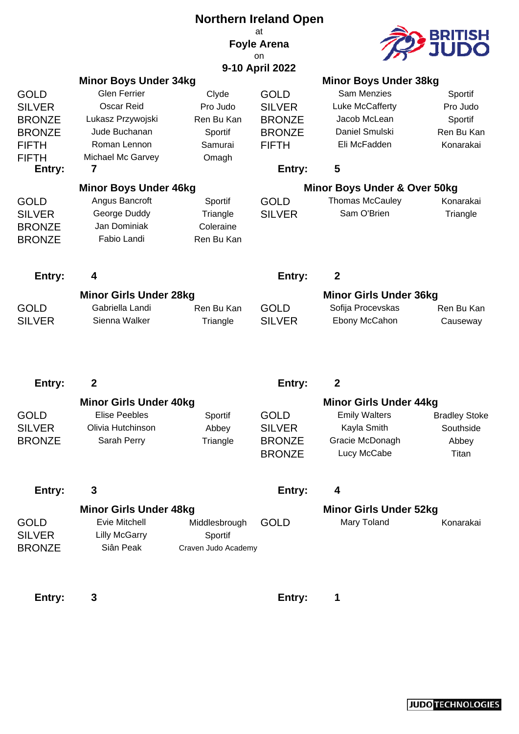|               |                                                  |                     | <b>Northern Ireland Open</b><br>at<br><b>Foyle Arena</b> |                                                    |                      |
|---------------|--------------------------------------------------|---------------------|----------------------------------------------------------|----------------------------------------------------|----------------------|
|               |                                                  |                     | on.                                                      |                                                    |                      |
|               |                                                  |                     | 9-10 April 2022                                          |                                                    |                      |
|               | <b>Minor Boys Under 34kg</b>                     |                     |                                                          | <b>Minor Boys Under 38kg</b>                       |                      |
| GOLD          | <b>Glen Ferrier</b>                              | Clyde               | <b>GOLD</b>                                              | <b>Sam Menzies</b>                                 | Sportif              |
| <b>SILVER</b> | <b>Oscar Reid</b>                                | Pro Judo            | <b>SILVER</b>                                            | Luke McCafferty                                    | Pro Judo             |
| <b>BRONZE</b> | Lukasz Przywojski                                | Ren Bu Kan          | <b>BRONZE</b>                                            | Jacob McLean                                       | Sportif              |
| <b>BRONZE</b> | Jude Buchanan                                    | Sportif             | <b>BRONZE</b>                                            | Daniel Smulski                                     | Ren Bu Kan           |
| FIFTH         | Roman Lennon                                     | Samurai             | <b>FIFTH</b>                                             | Eli McFadden                                       | Konarakai            |
| FIFTH         | Michael Mc Garvey                                | Omagh               |                                                          |                                                    |                      |
| Entry:        | 7                                                |                     | Entry:                                                   | 5                                                  |                      |
|               | <b>Minor Boys Under 46kg</b>                     |                     |                                                          | Minor Boys Under & Over 50kg                       |                      |
| GOLD          | Angus Bancroft                                   | Sportif             | <b>GOLD</b>                                              | <b>Thomas McCauley</b>                             | Konarakai            |
| <b>SILVER</b> | George Duddy                                     | Triangle            | <b>SILVER</b>                                            | Sam O'Brien                                        | Triangle             |
| <b>BRONZE</b> | Jan Dominiak                                     | Coleraine           |                                                          |                                                    |                      |
| <b>BRONZE</b> | Fabio Landi                                      | Ren Bu Kan          |                                                          |                                                    |                      |
| Entry:        | 4                                                |                     | Entry:                                                   | $\boldsymbol{2}$                                   |                      |
|               |                                                  |                     |                                                          |                                                    |                      |
| <b>GOLD</b>   | <b>Minor Girls Under 28kg</b><br>Gabriella Landi | Ren Bu Kan          | <b>GOLD</b>                                              | <b>Minor Girls Under 36kg</b><br>Sofija Procevskas | Ren Bu Kan           |
| <b>SILVER</b> | Sienna Walker                                    | Triangle            | <b>SILVER</b>                                            | Ebony McCahon                                      | Causeway             |
|               |                                                  |                     |                                                          |                                                    |                      |
| Entry:        | $\mathbf{2}$                                     |                     | Entry:                                                   | $\boldsymbol{2}$                                   |                      |
|               | <b>Minor Girls Under 40kg</b>                    |                     |                                                          | <b>Minor Girls Under 44kg</b>                      |                      |
| GOLD          | <b>Elise Peebles</b>                             | Sportif             | <b>GOLD</b>                                              | <b>Emily Walters</b>                               | <b>Bradley Stoke</b> |
| <b>SILVER</b> | Olivia Hutchinson                                | Abbey               | <b>SILVER</b>                                            | Kayla Smith                                        | Southside            |
| <b>BRONZE</b> | Sarah Perry                                      | Triangle            | <b>BRONZE</b>                                            | Gracie McDonagh                                    | Abbey                |
|               |                                                  |                     | <b>BRONZE</b>                                            | Lucy McCabe                                        | Titan                |
| Entry:        | 3                                                |                     | Entry:                                                   | 4                                                  |                      |
|               | <b>Minor Girls Under 48kg</b>                    |                     |                                                          | <b>Minor Girls Under 52kg</b>                      |                      |
| GOLD          | Evie Mitchell                                    | Middlesbrough       | <b>GOLD</b>                                              | Mary Toland                                        | Konarakai            |
| <b>SILVER</b> | <b>Lilly McGarry</b>                             | Sportif             |                                                          |                                                    |                      |
| <b>BRONZE</b> | Siân Peak                                        | Craven Judo Academy |                                                          |                                                    |                      |
|               |                                                  |                     |                                                          |                                                    |                      |

**Entry:** 3 **Entry:** 1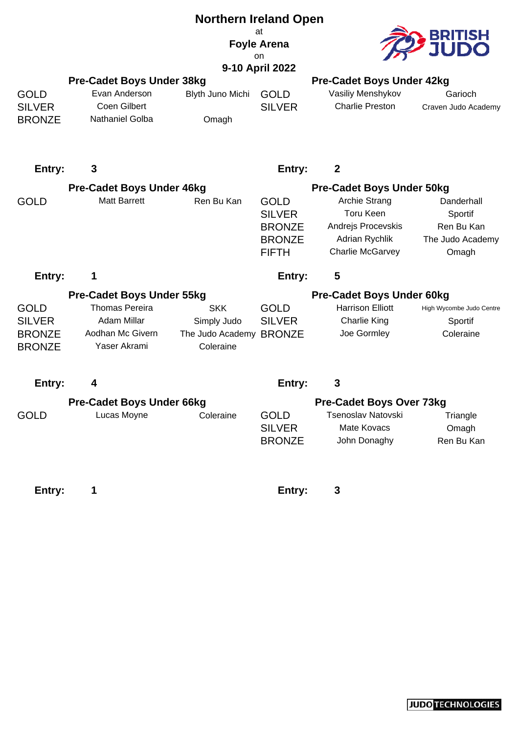|                                                                |                                                                                                              | <b>Northern Ireland Open</b>                                      |                                                                                |                                                                                                      |                                                                  |
|----------------------------------------------------------------|--------------------------------------------------------------------------------------------------------------|-------------------------------------------------------------------|--------------------------------------------------------------------------------|------------------------------------------------------------------------------------------------------|------------------------------------------------------------------|
|                                                                | at<br><b>Foyle Arena</b><br>on                                                                               |                                                                   |                                                                                |                                                                                                      |                                                                  |
|                                                                |                                                                                                              |                                                                   | 9-10 April 2022                                                                |                                                                                                      |                                                                  |
| <b>GOLD</b><br><b>SILVER</b><br><b>BRONZE</b>                  | <b>Pre-Cadet Boys Under 38kg</b><br>Evan Anderson<br>Coen Gilbert<br>Nathaniel Golba                         | Blyth Juno Michi<br>Omagh                                         | <b>GOLD</b><br><b>SILVER</b>                                                   | <b>Pre-Cadet Boys Under 42kg</b><br>Vasiliy Menshykov<br><b>Charlie Preston</b>                      | Garioch<br>Craven Judo Academy                                   |
| Entry:                                                         | 3                                                                                                            |                                                                   | Entry:                                                                         | $\boldsymbol{2}$                                                                                     |                                                                  |
|                                                                | <b>Pre-Cadet Boys Under 46kg</b>                                                                             |                                                                   |                                                                                | <b>Pre-Cadet Boys Under 50kg</b>                                                                     |                                                                  |
| <b>GOLD</b>                                                    | <b>Matt Barrett</b>                                                                                          | Ren Bu Kan                                                        | <b>GOLD</b><br><b>SILVER</b><br><b>BRONZE</b><br><b>BRONZE</b><br><b>FIFTH</b> | <b>Archie Strang</b><br><b>Toru Keen</b><br>Andrejs Procevskis<br>Adrian Rychlik<br>Charlie McGarvey | Danderhall<br>Sportif<br>Ren Bu Kan<br>The Judo Academy<br>Omagh |
| Entry:                                                         |                                                                                                              |                                                                   | Entry:                                                                         | 5                                                                                                    |                                                                  |
| <b>GOLD</b><br><b>SILVER</b><br><b>BRONZE</b><br><b>BRONZE</b> | <b>Pre-Cadet Boys Under 55kg</b><br><b>Thomas Pereira</b><br>Adam Millar<br>Aodhan Mc Givern<br>Yaser Akrami | <b>SKK</b><br>Simply Judo<br>The Judo Academy BRONZE<br>Coleraine | <b>GOLD</b><br><b>SILVER</b>                                                   | <b>Pre-Cadet Boys Under 60kg</b><br><b>Harrison Elliott</b><br><b>Charlie King</b><br>Joe Gormley    | High Wycombe Judo Centre<br>Sportif<br>Coleraine                 |
| Entry:                                                         | 4                                                                                                            |                                                                   | Entry:                                                                         | 3                                                                                                    |                                                                  |
|                                                                | <b>Pre-Cadet Boys Under 66kg</b>                                                                             |                                                                   |                                                                                | <b>Pre-Cadet Boys Over 73kg</b>                                                                      |                                                                  |
| <b>GOLD</b>                                                    | Lucas Moyne                                                                                                  | Coleraine                                                         | <b>GOLD</b><br><b>SILVER</b><br><b>BRONZE</b>                                  | Tsenoslav Natovski<br>Mate Kovacs<br>John Donaghy                                                    | Triangle<br>Omagh<br>Ren Bu Kan                                  |
| Entry:                                                         | 1                                                                                                            |                                                                   | Entry:                                                                         | 3                                                                                                    |                                                                  |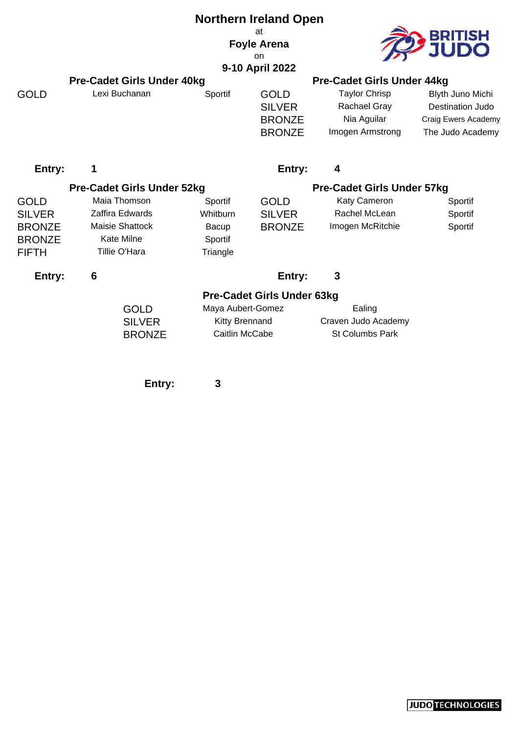|                                                                                |                                                                                                 |                                                              | <b>Northern Ireland Open</b>                                   |                                                                         |                                                                                        |  |
|--------------------------------------------------------------------------------|-------------------------------------------------------------------------------------------------|--------------------------------------------------------------|----------------------------------------------------------------|-------------------------------------------------------------------------|----------------------------------------------------------------------------------------|--|
|                                                                                |                                                                                                 | at<br><b>Foyle Arena</b><br>on<br>9-10 April 2022            |                                                                |                                                                         |                                                                                        |  |
|                                                                                | <b>Pre-Cadet Girls Under 40kg</b>                                                               |                                                              |                                                                | <b>Pre-Cadet Girls Under 44kg</b>                                       |                                                                                        |  |
| <b>GOLD</b>                                                                    | Lexi Buchanan                                                                                   | Sportif                                                      | <b>GOLD</b><br><b>SILVER</b><br><b>BRONZE</b><br><b>BRONZE</b> | <b>Taylor Chrisp</b><br>Rachael Gray<br>Nia Aguilar<br>Imogen Armstrong | Blyth Juno Michi<br><b>Destination Judo</b><br>Craig Ewers Academy<br>The Judo Academy |  |
| Entry:                                                                         | 1                                                                                               |                                                              | Entry:                                                         | 4                                                                       |                                                                                        |  |
|                                                                                | <b>Pre-Cadet Girls Under 52kg</b>                                                               |                                                              |                                                                | <b>Pre-Cadet Girls Under 57kg</b>                                       |                                                                                        |  |
| <b>GOLD</b><br><b>SILVER</b><br><b>BRONZE</b><br><b>BRONZE</b><br><b>FIFTH</b> | Maia Thomson<br>Zaffira Edwards<br><b>Maisie Shattock</b><br><b>Kate Milne</b><br>Tillie O'Hara | Sportif<br>Whitburn<br>Bacup<br>Sportif<br>Triangle          | <b>GOLD</b><br><b>SILVER</b><br><b>BRONZE</b>                  | Katy Cameron<br>Rachel McLean<br>Imogen McRitchie                       | Sportif<br>Sportif<br>Sportif                                                          |  |
| Entry:                                                                         | 6                                                                                               |                                                              | Entry:                                                         | 3                                                                       |                                                                                        |  |
|                                                                                | <b>GOLD</b><br><b>SILVER</b><br><b>BRONZE</b>                                                   | Maya Aubert-Gomez<br><b>Kitty Brennand</b><br>Caitlin McCabe | <b>Pre-Cadet Girls Under 63kg</b>                              | Ealing<br>Craven Judo Academy<br>St Columbs Park                        |                                                                                        |  |
|                                                                                | Entry:                                                                                          | 3                                                            |                                                                |                                                                         |                                                                                        |  |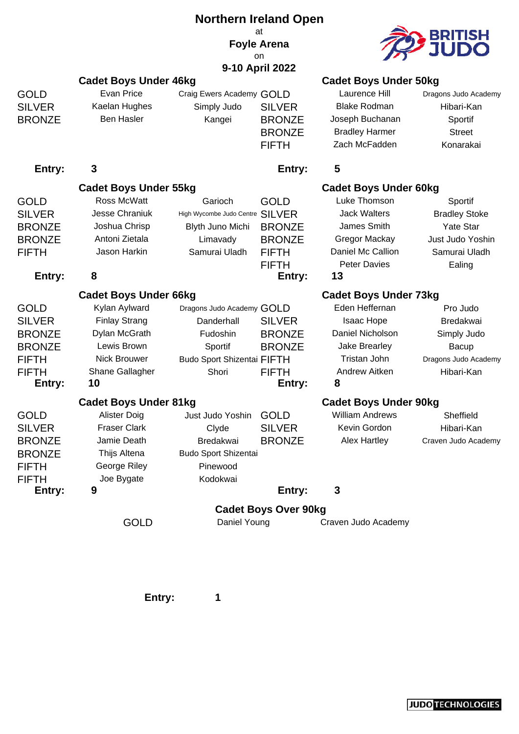|               |                              | <b>Northern Ireland Open</b>      |                             |                              |                         |  |
|---------------|------------------------------|-----------------------------------|-----------------------------|------------------------------|-------------------------|--|
|               |                              |                                   | at                          |                              |                         |  |
|               |                              |                                   | <b>Foyle Arena</b>          |                              | <b>BRITISH<br/>JUDO</b> |  |
|               |                              |                                   | on<br>9-10 April 2022       |                              |                         |  |
|               | <b>Cadet Boys Under 46kg</b> |                                   |                             | <b>Cadet Boys Under 50kg</b> |                         |  |
| <b>GOLD</b>   | <b>Evan Price</b>            | Craig Ewers Academy GOLD          |                             | Laurence Hill                | Dragons Judo Academy    |  |
| <b>SILVER</b> | Kaelan Hughes                | Simply Judo                       | <b>SILVER</b>               | <b>Blake Rodman</b>          | Hibari-Kan              |  |
| <b>BRONZE</b> | <b>Ben Hasler</b>            | Kangei                            | <b>BRONZE</b>               | Joseph Buchanan              | Sportif                 |  |
|               |                              |                                   | <b>BRONZE</b>               | <b>Bradley Harmer</b>        | <b>Street</b>           |  |
|               |                              |                                   | <b>FIFTH</b>                | Zach McFadden                | Konarakai               |  |
| Entry:        | 3                            |                                   | Entry:                      | 5                            |                         |  |
|               |                              |                                   |                             |                              |                         |  |
|               | <b>Cadet Boys Under 55kg</b> |                                   |                             | <b>Cadet Boys Under 60kg</b> |                         |  |
| <b>GOLD</b>   | Ross McWatt                  | Garioch                           | <b>GOLD</b>                 | Luke Thomson                 | Sportif                 |  |
| <b>SILVER</b> | <b>Jesse Chraniuk</b>        | High Wycombe Judo Centre          | <b>SILVER</b>               | <b>Jack Walters</b>          | <b>Bradley Stoke</b>    |  |
| <b>BRONZE</b> | Joshua Chrisp                | Blyth Juno Michi                  | <b>BRONZE</b>               | James Smith                  | <b>Yate Star</b>        |  |
| <b>BRONZE</b> | Antoni Zietala               | Limavady                          | <b>BRONZE</b>               | Gregor Mackay                | Just Judo Yoshin        |  |
| <b>FIFTH</b>  | Jason Harkin                 | Samurai Uladh                     | <b>FIFTH</b>                | Daniel Mc Callion            | Samurai Uladh           |  |
|               |                              |                                   | <b>FIFTH</b>                | <b>Peter Davies</b>          | Ealing                  |  |
| Entry:        | 8                            |                                   | Entry:                      | 13                           |                         |  |
|               | <b>Cadet Boys Under 66kg</b> |                                   |                             | <b>Cadet Boys Under 73kg</b> |                         |  |
| <b>GOLD</b>   | Kylan Aylward                | Dragons Judo Academy GOLD         |                             | Eden Heffernan               | Pro Judo                |  |
| <b>SILVER</b> | <b>Finlay Strang</b>         | Danderhall                        | <b>SILVER</b>               | Isaac Hope                   | Bredakwai               |  |
| <b>BRONZE</b> | Dylan McGrath                | Fudoshin                          | <b>BRONZE</b>               | Daniel Nicholson             | Simply Judo             |  |
| <b>BRONZE</b> | Lewis Brown                  | Sportif                           | <b>BRONZE</b>               | Jake Brearley                | <b>Bacup</b>            |  |
| <b>FIFTH</b>  | <b>Nick Brouwer</b>          | <b>Budo Sport Shizentai FIFTH</b> |                             | Tristan John                 | Dragons Judo Academy    |  |
| <b>FIFTH</b>  | Shane Gallagher              | Shori                             | <b>FIFTH</b>                | Andrew Aitken                | Hibari-Kan              |  |
| Entry:        | 10                           |                                   | Entry:                      | 8                            |                         |  |
|               | <b>Cadet Boys Under 81kg</b> |                                   |                             | <b>Cadet Boys Under 90kg</b> |                         |  |
| <b>GOLD</b>   | Alister Doig                 | Just Judo Yoshin                  | <b>GOLD</b>                 | <b>William Andrews</b>       | Sheffield               |  |
| <b>SILVER</b> | <b>Fraser Clark</b>          | Clyde                             | <b>SILVER</b>               | Kevin Gordon                 | Hibari-Kan              |  |
| <b>BRONZE</b> | Jamie Death                  | Bredakwai                         | <b>BRONZE</b>               | Alex Hartley                 | Craven Judo Academy     |  |
| <b>BRONZE</b> | Thijs Altena                 | <b>Budo Sport Shizentai</b>       |                             |                              |                         |  |
| <b>FIFTH</b>  | George Riley                 | Pinewood                          |                             |                              |                         |  |
| <b>FIFTH</b>  | Joe Bygate                   | Kodokwai                          |                             |                              |                         |  |
| Entry:        | 9                            |                                   | Entry:                      | 3                            |                         |  |
|               |                              |                                   | <b>Cadet Boys Over 90kg</b> |                              |                         |  |
|               | <b>GOLD</b>                  | Daniel Young                      |                             | Craven Judo Academy          |                         |  |
|               |                              |                                   |                             |                              |                         |  |

**Entry: 1**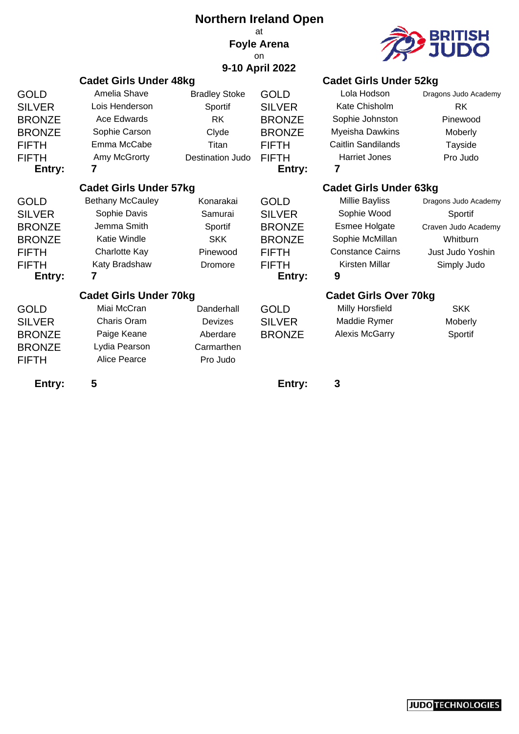|                               |                               | <b>Northern Ireland Open</b>  |                    |                               |                         |
|-------------------------------|-------------------------------|-------------------------------|--------------------|-------------------------------|-------------------------|
|                               |                               |                               | at                 |                               |                         |
|                               |                               |                               | <b>Foyle Arena</b> |                               | <b>BRITISH<br/>JUDO</b> |
|                               |                               |                               | on                 |                               |                         |
|                               |                               |                               | 9-10 April 2022    |                               |                         |
|                               | <b>Cadet Girls Under 48kg</b> |                               |                    | <b>Cadet Girls Under 52kg</b> |                         |
| GOLD                          | Amelia Shave                  | <b>Bradley Stoke</b>          | <b>GOLD</b>        | Lola Hodson                   | Dragons Judo Academy    |
| <b>SILVER</b>                 | Lois Henderson                | Sportif                       | <b>SILVER</b>      | Kate Chisholm                 | <b>RK</b>               |
| <b>BRONZE</b>                 | Ace Edwards                   | <b>RK</b>                     | <b>BRONZE</b>      | Sophie Johnston               | Pinewood                |
| <b>BRONZE</b>                 | Sophie Carson                 | Clyde                         | <b>BRONZE</b>      | Myeisha Dawkins               | Moberly                 |
| FIFTH                         | Emma McCabe                   | Titan                         | <b>FIFTH</b>       | <b>Caitlin Sandilands</b>     | Tayside                 |
| FIFTH                         | Amy McGrorty                  | <b>Destination Judo</b>       | <b>FIFTH</b>       | <b>Harriet Jones</b>          | Pro Judo                |
| Entry:                        | 7                             |                               | Entry:             | 7                             |                         |
| <b>Cadet Girls Under 57kg</b> |                               | <b>Cadet Girls Under 63kg</b> |                    |                               |                         |
| GOLD                          | <b>Bethany McCauley</b>       | Konarakai                     | <b>GOLD</b>        | <b>Millie Bayliss</b>         | Dragons Judo Academy    |
| <b>SILVER</b>                 | Sophie Davis                  | Samurai                       | <b>SILVER</b>      | Sophie Wood                   | Sportif                 |
| <b>BRONZE</b>                 | Jemma Smith                   | Sportif                       | <b>BRONZE</b>      | Esmee Holgate                 | Craven Judo Academy     |
| <b>BRONZE</b>                 | Katie Windle                  | <b>SKK</b>                    | <b>BRONZE</b>      | Sophie McMillan               | Whitburn                |
| FIFTH                         | Charlotte Kay                 | Pinewood                      | <b>FIFTH</b>       | <b>Constance Cairns</b>       | Just Judo Yoshin        |
| FIFTH                         | Katy Bradshaw                 | Dromore                       | <b>FIFTH</b>       | Kirsten Millar                | Simply Judo             |
| Entry:                        | 7                             |                               | Entry:             | 9                             |                         |
|                               | <b>Cadet Girls Under 70kg</b> |                               |                    | <b>Cadet Girls Over 70kg</b>  |                         |
| GOLD                          | Miai McCran                   | Danderhall                    | <b>GOLD</b>        | Milly Horsfield               | <b>SKK</b>              |
| <b>SILVER</b>                 | Charis Oram                   | <b>Devizes</b>                | <b>SILVER</b>      | Maddie Rymer                  | Moberly                 |
| <b>BRONZE</b>                 | Paige Keane                   | Aberdare                      | <b>BRONZE</b>      | <b>Alexis McGarry</b>         | Sportif                 |
| <b>BRONZE</b>                 | Lydia Pearson                 | Carmarthen                    |                    |                               |                         |
| FIFTH                         | Alice Pearce                  | Pro Judo                      |                    |                               |                         |
| Entry:                        | 5                             |                               | Entry:             | 3                             |                         |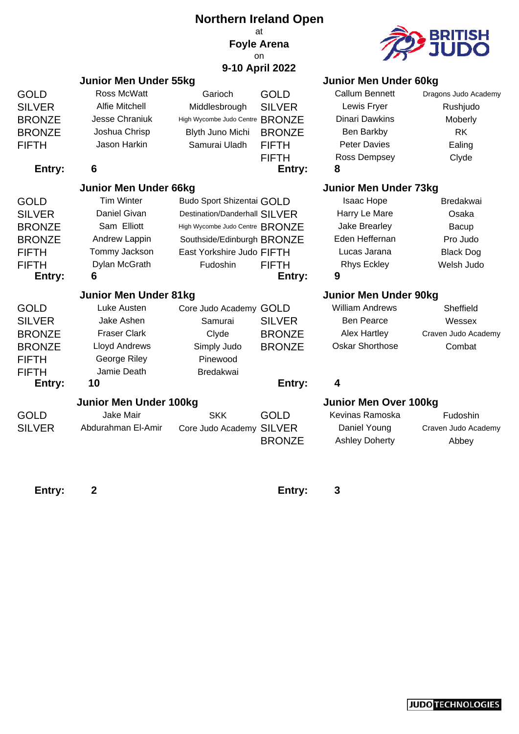|                              |                               | <b>Northern Ireland Open</b>     |                       |                                       |                              |
|------------------------------|-------------------------------|----------------------------------|-----------------------|---------------------------------------|------------------------------|
|                              |                               |                                  | at                    |                                       | BRITISH                      |
|                              |                               |                                  | <b>Foyle Arena</b>    |                                       |                              |
|                              |                               |                                  | on<br>9-10 April 2022 |                                       |                              |
|                              | Junior Men Under 55kg         |                                  |                       | <b>Junior Men Under 60kg</b>          |                              |
| <b>GOLD</b>                  | Ross McWatt                   | Garioch                          | <b>GOLD</b>           | <b>Callum Bennett</b>                 | Dragons Judo Academy         |
| <b>SILVER</b>                | Alfie Mitchell                | Middlesbrough                    | <b>SILVER</b>         | Lewis Fryer                           | Rushjudo                     |
| <b>BRONZE</b>                | Jesse Chraniuk                | High Wycombe Judo Centre BRONZE  |                       | Dinari Dawkins                        | Moberly                      |
| <b>BRONZE</b>                | Joshua Chrisp                 | Blyth Juno Michi                 | <b>BRONZE</b>         | Ben Barkby                            | <b>RK</b>                    |
| <b>FIFTH</b>                 | Jason Harkin                  | Samurai Uladh                    | <b>FIFTH</b>          | <b>Peter Davies</b>                   | Ealing                       |
|                              |                               |                                  | <b>FIFTH</b>          | Ross Dempsey                          | Clyde                        |
| Entry:                       | 6                             |                                  | Entry:                | 8                                     |                              |
| <b>Junior Men Under 66kg</b> |                               |                                  |                       | <b>Junior Men Under 73kg</b>          |                              |
| <b>GOLD</b>                  | <b>Tim Winter</b>             | <b>Budo Sport Shizentai GOLD</b> |                       | Isaac Hope                            | <b>Bredakwai</b>             |
| <b>SILVER</b>                | Daniel Givan                  | Destination/Danderhall SILVER    |                       | Harry Le Mare                         | Osaka                        |
| <b>BRONZE</b>                | Sam Elliott                   | High Wycombe Judo Centre BRONZE  |                       | Jake Brearley                         | Bacup                        |
| <b>BRONZE</b>                | Andrew Lappin                 | Southside/Edinburgh BRONZE       |                       | Eden Heffernan                        | Pro Judo                     |
| <b>FIFTH</b>                 | Tommy Jackson                 | East Yorkshire Judo FIFTH        |                       | Lucas Jarana                          | <b>Black Dog</b>             |
| <b>FIFTH</b>                 | Dylan McGrath                 | <b>Fudoshin</b>                  | <b>FIFTH</b>          | <b>Rhys Eckley</b>                    | Welsh Judo                   |
| Entry:                       | 6                             |                                  | Entry:                | 9                                     |                              |
|                              | <b>Junior Men Under 81kg</b>  |                                  |                       | <b>Junior Men Under 90kg</b>          |                              |
| <b>GOLD</b>                  | Luke Austen                   | Core Judo Academy GOLD           |                       | <b>William Andrews</b>                | Sheffield                    |
| <b>SILVER</b>                | Jake Ashen                    | Samurai                          | <b>SILVER</b>         | <b>Ben Pearce</b>                     | Wessex                       |
| <b>BRONZE</b>                | <b>Fraser Clark</b>           | Clyde                            | <b>BRONZE</b>         | <b>Alex Hartley</b>                   | Craven Judo Academy          |
| <b>BRONZE</b>                | <b>Lloyd Andrews</b>          | Simply Judo                      | <b>BRONZE</b>         | <b>Oskar Shorthose</b>                | Combat                       |
| <b>FIFTH</b>                 | George Riley                  | Pinewood                         |                       |                                       |                              |
| <b>FIFTH</b>                 | Jamie Death                   | <b>Bredakwai</b>                 |                       |                                       |                              |
| Entry:                       | 10                            |                                  | Entry:                | 4                                     |                              |
|                              | <b>Junior Men Under 100kg</b> |                                  |                       | <b>Junior Men Over 100kg</b>          |                              |
| <b>GOLD</b>                  | Jake Mair                     | <b>SKK</b>                       | <b>GOLD</b>           | Kevinas Ramoska                       | Fudoshin                     |
| <b>SILVER</b>                | Abdurahman El-Amir            | Core Judo Academy SILVER         | <b>BRONZE</b>         | Daniel Young<br><b>Ashley Doherty</b> | Craven Judo Academy<br>Abbey |
|                              |                               |                                  |                       |                                       |                              |

Entry: 2 **Entry: 3**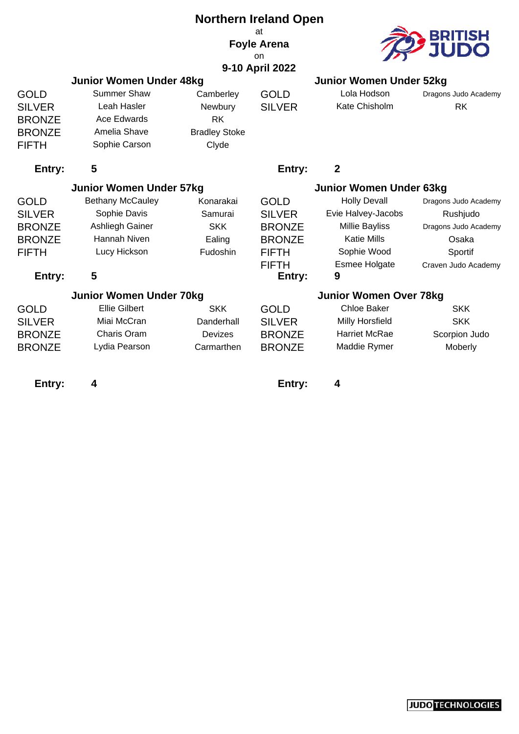| <b>Northern Ireland Open</b> |                                |                      |                          |                                |                      |  |
|------------------------------|--------------------------------|----------------------|--------------------------|--------------------------------|----------------------|--|
|                              |                                |                      | at<br><b>Foyle Arena</b> |                                | <u>BRITISH</u>       |  |
|                              |                                |                      | on.                      |                                |                      |  |
|                              |                                |                      | 9-10 April 2022          |                                |                      |  |
|                              | <b>Junior Women Under 48kg</b> |                      |                          | <b>Junior Women Under 52kg</b> |                      |  |
| <b>GOLD</b>                  | <b>Summer Shaw</b>             | Camberley            | <b>GOLD</b>              | Lola Hodson                    | Dragons Judo Academy |  |
| <b>SILVER</b>                | Leah Hasler                    | Newbury              | <b>SILVER</b>            | Kate Chisholm                  | <b>RK</b>            |  |
| <b>BRONZE</b>                | <b>Ace Edwards</b>             | <b>RK</b>            |                          |                                |                      |  |
| <b>BRONZE</b>                | Amelia Shave                   | <b>Bradley Stoke</b> |                          |                                |                      |  |
| <b>FIFTH</b>                 | Sophie Carson                  | Clyde                |                          |                                |                      |  |
| Entry:                       | 5                              |                      | Entry:                   | $\overline{2}$                 |                      |  |
|                              | <b>Junior Women Under 57kg</b> |                      |                          | Junior Women Under 63kg        |                      |  |
| <b>GOLD</b>                  | <b>Bethany McCauley</b>        | Konarakai            | <b>GOLD</b>              | <b>Holly Devall</b>            | Dragons Judo Academy |  |
| <b>SILVER</b>                | Sophie Davis                   | Samurai              | <b>SILVER</b>            | Evie Halvey-Jacobs             | Rushjudo             |  |
| <b>BRONZE</b>                | Ashliegh Gainer                | <b>SKK</b>           | <b>BRONZE</b>            | <b>Millie Bayliss</b>          | Dragons Judo Academy |  |
| <b>BRONZE</b>                | <b>Hannah Niven</b>            | Ealing               | <b>BRONZE</b>            | <b>Katie Mills</b>             | Osaka                |  |
| <b>FIFTH</b>                 | Lucy Hickson                   | Fudoshin             | <b>FIFTH</b>             | Sophie Wood                    | Sportif              |  |
|                              |                                |                      | <b>FIFTH</b>             | <b>Esmee Holgate</b>           | Craven Judo Academy  |  |
| Entry:                       | 5                              |                      | Entry:                   | 9                              |                      |  |
|                              | <b>Junior Women Under 70kg</b> |                      |                          | <b>Junior Women Over 78kg</b>  |                      |  |
| <b>GOLD</b>                  | <b>Ellie Gilbert</b>           | <b>SKK</b>           | <b>GOLD</b>              | <b>Chloe Baker</b>             | <b>SKK</b>           |  |
| <b>SILVER</b>                | Miai McCran                    | Danderhall           | <b>SILVER</b>            | Milly Horsfield                | <b>SKK</b>           |  |
| <b>BRONZE</b>                | Charis Oram                    | Devizes              | <b>BRONZE</b>            | Harriet McRae                  | Scorpion Judo        |  |
| <b>BRONZE</b>                | Lydia Pearson                  | Carmarthen           | <b>BRONZE</b>            | Maddie Rymer                   | Moberly              |  |

**Entry: 4 Entry: 4**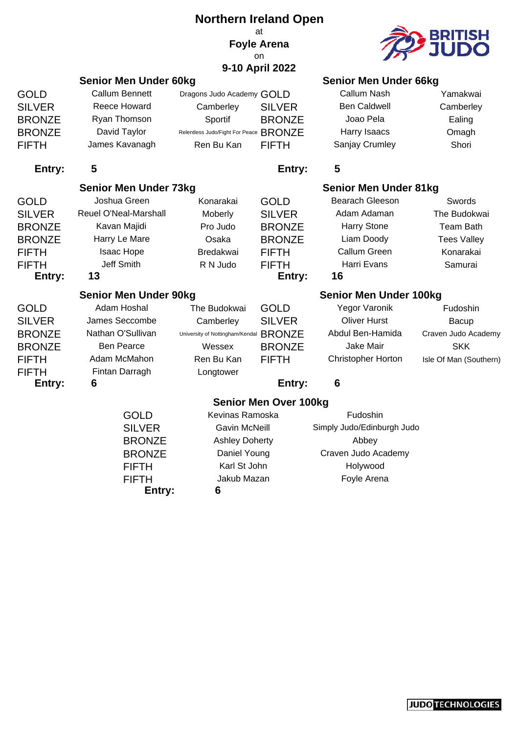|               |                              | <b>Northern Ireland Open</b>           |                                |                               |                        |  |
|---------------|------------------------------|----------------------------------------|--------------------------------|-------------------------------|------------------------|--|
|               |                              |                                        | at<br><b>Foyle Arena</b><br>on |                               | BRITISH<br>JUDO        |  |
|               |                              |                                        | 9-10 April 2022                |                               |                        |  |
|               | <b>Senior Men Under 60kg</b> |                                        |                                | <b>Senior Men Under 66kg</b>  |                        |  |
| <b>GOLD</b>   | <b>Callum Bennett</b>        | Dragons Judo Academy GOLD              |                                | Callum Nash                   | Yamakwai               |  |
| <b>SILVER</b> | <b>Reece Howard</b>          | Camberley                              | <b>SILVER</b>                  | <b>Ben Caldwell</b>           | Camberley              |  |
| <b>BRONZE</b> | Ryan Thomson                 | Sportif                                | <b>BRONZE</b>                  | Joao Pela                     | Ealing                 |  |
| <b>BRONZE</b> | David Taylor                 | Relentless Judo/Fight For Peace BRONZE |                                | Harry Isaacs                  | Omagh                  |  |
| <b>FIFTH</b>  | James Kavanagh               | Ren Bu Kan                             | <b>FIFTH</b>                   | Sanjay Crumley                | Shori                  |  |
| Entry:        | 5                            |                                        | Entry:                         | 5                             |                        |  |
|               | <b>Senior Men Under 73kg</b> |                                        |                                | <b>Senior Men Under 81kg</b>  |                        |  |
| <b>GOLD</b>   | Joshua Green                 | Konarakai                              | <b>GOLD</b>                    | <b>Bearach Gleeson</b>        | Swords                 |  |
| <b>SILVER</b> | Reuel O'Neal-Marshall        | Moberly                                | <b>SILVER</b>                  | Adam Adaman                   | The Budokwai           |  |
| <b>BRONZE</b> | Kavan Majidi                 | Pro Judo                               | <b>BRONZE</b>                  | <b>Harry Stone</b>            | <b>Team Bath</b>       |  |
| <b>BRONZE</b> | Harry Le Mare                | Osaka                                  | <b>BRONZE</b>                  | Liam Doody                    | <b>Tees Valley</b>     |  |
| <b>FIFTH</b>  | Isaac Hope                   | Bredakwai                              | <b>FIFTH</b>                   | <b>Callum Green</b>           | Konarakai              |  |
| <b>FIFTH</b>  | Jeff Smith                   | R N Judo                               | <b>FIFTH</b>                   | Harri Evans                   | Samurai                |  |
| Entry:        | 13                           |                                        | Entry:                         | 16                            |                        |  |
|               | <b>Senior Men Under 90kg</b> |                                        |                                | <b>Senior Men Under 100kg</b> |                        |  |
| <b>GOLD</b>   | Adam Hoshal                  | The Budokwai                           | <b>GOLD</b>                    | Yegor Varonik                 | Fudoshin               |  |
| <b>SILVER</b> | James Seccombe               | Camberley                              | <b>SILVER</b>                  | <b>Oliver Hurst</b>           | Bacup                  |  |
| <b>BRONZE</b> | Nathan O'Sullivan            | University of Nottingham/Kendal        | <b>BRONZE</b>                  | Abdul Ben-Hamida              | Craven Judo Academy    |  |
| <b>BRONZE</b> | <b>Ben Pearce</b>            | Wessex                                 | <b>BRONZE</b>                  | Jake Mair                     | <b>SKK</b>             |  |
| <b>FIFTH</b>  | Adam McMahon                 | Ren Bu Kan                             | <b>FIFTH</b>                   | <b>Christopher Horton</b>     | Isle Of Man (Southern) |  |
| <b>FIFTH</b>  | Fintan Darragh               | Longtower                              |                                |                               |                        |  |
| Entry:        | 6                            |                                        | Entry:                         | 6                             |                        |  |
|               |                              |                                        | <b>Senior Men Over 100kg</b>   |                               |                        |  |
|               | <b>GOLD</b>                  | Kevinas Ramoska                        |                                | Fudoshin                      |                        |  |
|               | <b>SILVER</b>                | <b>Gavin McNeill</b>                   |                                | Simply Judo/Edinburgh Judo    |                        |  |
|               | <b>BRONZE</b>                | <b>Ashley Doherty</b>                  |                                | Abbey                         |                        |  |
|               | <b>BRONZE</b>                | Daniel Young                           |                                | Craven Judo Academy           |                        |  |
|               | <b>FIFTH</b>                 | Karl St John                           |                                | Holywood                      |                        |  |
|               | <b>FIFTH</b>                 | Jakub Mazan                            |                                | Foyle Arena                   |                        |  |

**Entry: 6**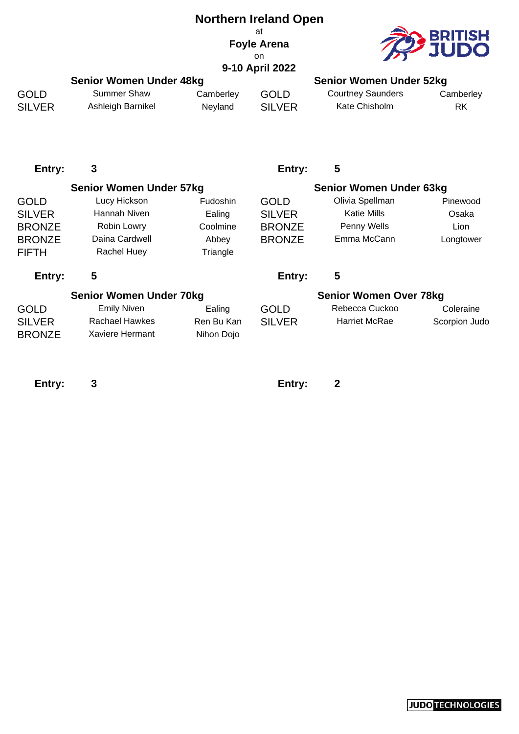| <b>Northern Ireland Open</b> |
|------------------------------|
| аt                           |
| <b>Foyle Arena</b>           |
| nn                           |
| 0.40. A.L.II. 0000           |



| 9-10 April 2022                |                   |                |               |                                |           |  |  |
|--------------------------------|-------------------|----------------|---------------|--------------------------------|-----------|--|--|
| <b>Senior Women Under 48kg</b> |                   |                |               | <b>Senior Women Under 52kg</b> |           |  |  |
| <b>GOLD</b>                    | Summer Shaw       | Camberley      | <b>GOLD</b>   | <b>Courtney Saunders</b>       | Camberley |  |  |
| <b>SILVER</b>                  | Ashleigh Barnikel | <b>Nevland</b> | <b>SILVER</b> | Kate Chisholm                  | RK        |  |  |

**Entry: 3 Entry: 5**

|               | <b>Senior Women Under 57kg</b> |                 |                               | <b>Senior Women Under 63kg</b> |               |
|---------------|--------------------------------|-----------------|-------------------------------|--------------------------------|---------------|
| <b>GOLD</b>   | Lucy Hickson                   | <b>Fudoshin</b> | <b>GOLD</b>                   | Olivia Spellman                | Pinewood      |
| <b>SILVER</b> | Hannah Niven                   | Ealing          | <b>SILVER</b>                 | <b>Katie Mills</b>             | Osaka         |
| <b>BRONZE</b> | Robin Lowry                    | Coolmine        | <b>BRONZE</b>                 | Penny Wells                    | Lion          |
| <b>BRONZE</b> | Daina Cardwell                 | Abbey           | <b>BRONZE</b>                 | Emma McCann                    | Longtower     |
| <b>FIFTH</b>  | <b>Rachel Huey</b>             | Triangle        |                               |                                |               |
| Entry:        | 5                              |                 | Entry:                        | 5                              |               |
|               | <b>Senior Women Under 70kg</b> |                 | <b>Senior Women Over 78kg</b> |                                |               |
| <b>GOLD</b>   | <b>Emily Niven</b>             | Ealing          | <b>GOLD</b>                   | Rebecca Cuckoo                 | Coleraine     |
| <b>SILVER</b> | <b>Rachael Hawkes</b>          | Ren Bu Kan      | <b>SILVER</b>                 | <b>Harriet McRae</b>           | Scorpion Judo |
| <b>BRONZE</b> | Xaviere Hermant                | Nihon Dojo      |                               |                                |               |
|               |                                |                 |                               |                                |               |
|               |                                |                 |                               |                                |               |

**Entry: 3 Entry: 2**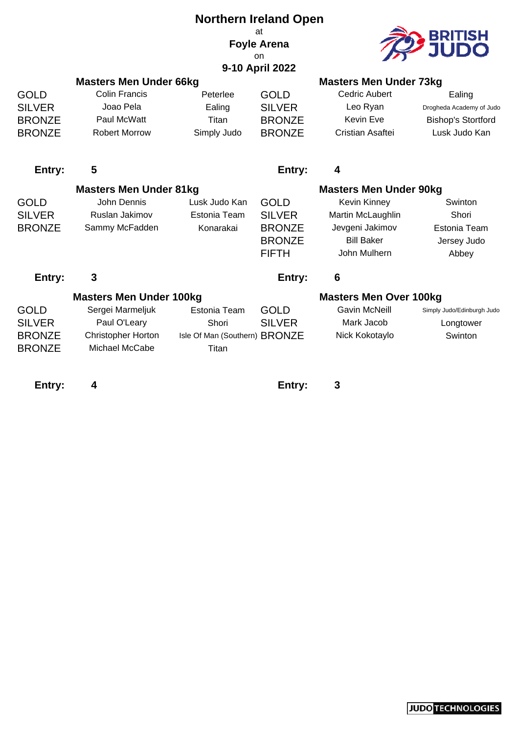#### **Northern Ireland Open** at **Foyle Arena** on **9-10 April 2022**



|                                                                | <b>Masters Men Under 66kg</b>                                                                                     |                                                                 |                                                                                | <b>Masters Men Under 73kg</b>                                                                                                     |                                                                                  |
|----------------------------------------------------------------|-------------------------------------------------------------------------------------------------------------------|-----------------------------------------------------------------|--------------------------------------------------------------------------------|-----------------------------------------------------------------------------------------------------------------------------------|----------------------------------------------------------------------------------|
| <b>GOLD</b><br><b>SILVER</b><br><b>BRONZE</b><br><b>BRONZE</b> | <b>Colin Francis</b><br>Joao Pela<br>Paul McWatt<br><b>Robert Morrow</b>                                          | Peterlee<br>Ealing<br>Titan<br>Simply Judo                      | <b>GOLD</b><br><b>SILVER</b><br><b>BRONZE</b><br><b>BRONZE</b>                 | <b>Cedric Aubert</b><br>Leo Ryan<br><b>Kevin Eve</b><br>Cristian Asaftei                                                          | Ealing<br>Drogheda Academy of Judo<br><b>Bishop's Stortford</b><br>Lusk Judo Kan |
| Entry:                                                         | 5                                                                                                                 |                                                                 | Entry:                                                                         | 4                                                                                                                                 |                                                                                  |
| <b>GOLD</b><br><b>SILVER</b><br><b>BRONZE</b>                  | <b>Masters Men Under 81kg</b><br>John Dennis<br>Ruslan Jakimov<br>Sammy McFadden                                  | Lusk Judo Kan<br>Estonia Team<br>Konarakai                      | <b>GOLD</b><br><b>SILVER</b><br><b>BRONZE</b><br><b>BRONZE</b><br><b>FIFTH</b> | <b>Masters Men Under 90kg</b><br><b>Kevin Kinney</b><br>Martin McLaughlin<br>Jevgeni Jakimov<br><b>Bill Baker</b><br>John Mulhern | Swinton<br>Shori<br>Estonia Team<br>Jersey Judo<br>Abbey                         |
| Entry:                                                         | $\mathbf{3}$                                                                                                      |                                                                 | Entry:                                                                         | 6                                                                                                                                 |                                                                                  |
| <b>GOLD</b><br><b>SILVER</b><br><b>BRONZE</b><br><b>BRONZE</b> | <b>Masters Men Under 100kg</b><br>Sergei Marmeljuk<br>Paul O'Leary<br><b>Christopher Horton</b><br>Michael McCabe | Estonia Team<br>Shori<br>Isle Of Man (Southern) BRONZE<br>Titan | <b>GOLD</b><br><b>SILVER</b>                                                   | <b>Masters Men Over 100kg</b><br><b>Gavin McNeill</b><br>Mark Jacob<br>Nick Kokotaylo                                             | Simply Judo/Edinburgh Judo<br>Longtower<br>Swinton                               |
| Entry:                                                         | 4                                                                                                                 |                                                                 | Entry:                                                                         | 3                                                                                                                                 |                                                                                  |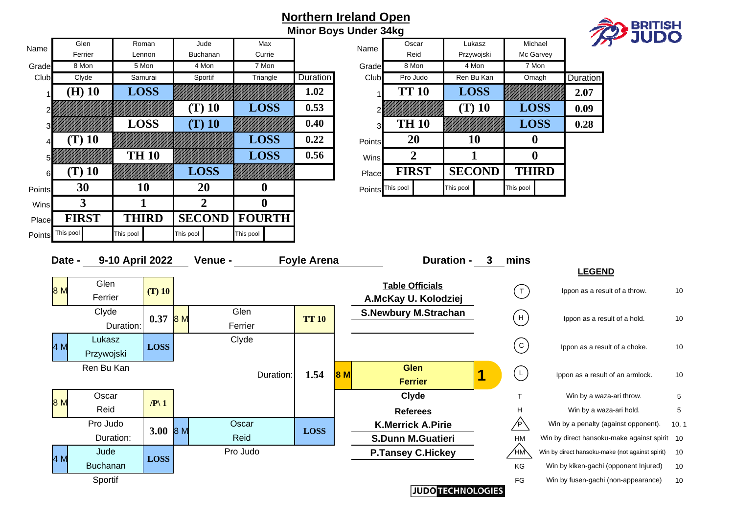#### **Northern Ireland Open Minor Boys Under 34kg**



| Max                                        |                 | Name          |                  | Oscar          |           | Lukasz        |           | Michael      | F.              |
|--------------------------------------------|-----------------|---------------|------------------|----------------|-----------|---------------|-----------|--------------|-----------------|
| Currie                                     |                 |               |                  | Reid           |           | Przywojski    |           | Mc Garvey    |                 |
| 7 Mon                                      |                 | Grade         |                  | 8 Mon          |           | 4 Mon         |           | 7 Mon        |                 |
| Triangle                                   | <b>Duration</b> | Club          |                  | Pro Judo       |           | Ren Bu Kan    |           | Omagh        | <b>Duration</b> |
|                                            | 1.02            |               |                  | <b>TT 10</b>   |           | <b>LOSS</b>   |           |              | 2.07            |
| $\mathbf{L}\mathbf{O}\mathbf{S}\mathbf{S}$ | 0.53            |               |                  |                |           | $(T)$ 10      |           | <b>LOSS</b>  | 0.09            |
|                                            | 0.40            | 3             |                  | <b>TH 10</b>   |           |               |           | <b>LOSS</b>  | 0.28            |
| $\mathbf{L}\mathbf{O}\mathbf{S}\mathbf{S}$ | 0.22            | <b>Points</b> |                  | 20             |           | 10            | U         |              |                 |
| <b>LOSS</b>                                | 0.56            | Wins          |                  | $\overline{2}$ |           |               | 0         |              |                 |
|                                            |                 | Place         |                  | <b>FIRST</b>   |           | <b>SECOND</b> |           | <b>THIRD</b> |                 |
|                                            |                 |               | Points This pool |                | This pool |               | This pool |              |                 |

| Date - | 9-10 April 2022 |              | Venue -   | <b>Foyle Arena</b> |    | <b>Duration -</b>           | mins                |                                                 |       |
|--------|-----------------|--------------|-----------|--------------------|----|-----------------------------|---------------------|-------------------------------------------------|-------|
|        |                 |              |           |                    |    |                             |                     | <b>LEGEND</b>                                   |       |
| 8 M    | Glen            | $(T)$ 10     |           |                    |    | <b>Table Officials</b>      | $($ T $)$           | Ippon as a result of a throw.                   | 10    |
|        | Ferrier         |              |           |                    |    | A.McKay U. Kolodziej        |                     |                                                 |       |
|        | Clyde           | $0.37$ 8 M   | Glen      | <b>TT 10</b>       |    | <b>S.Newbury M.Strachan</b> | (н)                 | Ippon as a result of a hold.                    | 10    |
|        | Duration:       |              | Ferrier   |                    |    |                             |                     |                                                 |       |
| 4 M    | Lukasz          |              | Clyde     |                    |    |                             | $\vert$ C $\rangle$ |                                                 | 10    |
|        | Przywojski      | <b>LOSS</b>  |           |                    |    |                             |                     | Ippon as a result of a choke.                   |       |
|        | Ren Bu Kan      |              |           |                    |    | <b>Glen</b>                 | L                   |                                                 |       |
|        |                 |              | Duration: | 1.54               | 8M | <b>Ferrier</b>              |                     | Ippon as a result of an armlock.                | 10    |
|        | Oscar           |              |           |                    |    | Clyde                       |                     | Win by a waza-ari throw.                        | 5     |
| 8 M    | Reid            | $\sqrt{P}$ 1 |           |                    |    | <b>Referees</b>             | H                   | Win by a waza-ari hold.                         | 5     |
|        | Pro Judo        |              | Oscar     |                    |    | <b>K.Merrick A.Pirie</b>    |                     | Win by a penalty (against opponent).            | 10, 1 |
|        | Duration:       | 3.00 $8 M$   | Reid      | <b>LOSS</b>        |    | <b>S.Dunn M.Guatieri</b>    | <b>HM</b>           | Win by direct hansoku-make against spirit 10    |       |
|        | Jude            |              | Pro Judo  |                    |    | <b>P.Tansey C.Hickey</b>    | ΉM\                 | Win by direct hansoku-make (not against spirit) | 10    |
| 4 M    | <b>Buchanan</b> | <b>LOSS</b>  |           |                    |    |                             | KG                  | Win by kiken-gachi (opponent Injured)           | 10    |
|        | Sportif         |              |           |                    |    |                             | FG                  | Win by fusen-gachi (non-appearance)             | 10    |
|        |                 |              |           |                    |    | <b>JUDO TECHNOLOGIES</b>    |                     |                                                 |       |

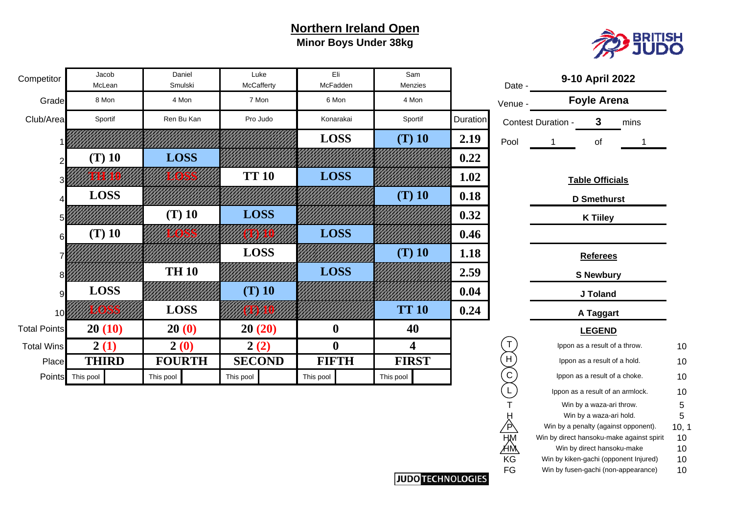### **Northern Ireland Open Minor Boys Under 38kg**



| Competitor          | Jacob<br>McLean | Daniel<br>Smulski | Luke<br>McCafferty | Eli<br>McFadden  | Sam<br>Menzies |          | Date -  |                    | 9-10 April 2022                 |      |    |
|---------------------|-----------------|-------------------|--------------------|------------------|----------------|----------|---------|--------------------|---------------------------------|------|----|
| Grade               | 8 Mon           | 4 Mon             | 7 Mon              | 6 Mon            | 4 Mon          |          | Venue - |                    | <b>Foyle Arena</b>              |      |    |
| Club/Area           | Sportif         | Ren Bu Kan        | Pro Judo           | Konarakai        | Sportif        | Duration |         | Contest Duration - | 3                               | mins |    |
|                     |                 |                   |                    | <b>LOSS</b>      | $(T)$ 10       | 2.19     | Pool    |                    | of                              |      |    |
|                     | $(T)$ 10        | <b>LOSS</b>       |                    |                  |                | 0.22     |         |                    |                                 |      |    |
|                     |                 |                   | <b>TT 10</b>       | <b>LOSS</b>      |                | 1.02     |         |                    | <b>Table Officials</b>          |      |    |
|                     | <b>LOSS</b>     |                   |                    |                  | $(T)$ 10       | 0.18     |         |                    | <b>D</b> Smethurst              |      |    |
|                     |                 | $(T)$ 10          | <b>LOSS</b>        |                  |                | 0.32     |         |                    | <b>K Tiiley</b>                 |      |    |
|                     | $(T)$ 10        |                   |                    | <b>LOSS</b>      |                | 0.46     |         |                    |                                 |      |    |
|                     |                 |                   | <b>LOSS</b>        |                  | $(T)$ 10       | 1.18     |         |                    | <b>Referees</b>                 |      |    |
|                     |                 | <b>TH 10</b>      |                    | <b>LOSS</b>      |                | 2.59     |         |                    | <b>S Newbury</b>                |      |    |
|                     | <b>LOSS</b>     |                   | $(T)$ 10           |                  |                | 0.04     |         |                    | J Toland                        |      |    |
| 10                  |                 | <b>LOSS</b>       |                    |                  | <b>TT 10</b>   | 0.24     |         |                    | A Taggart                       |      |    |
| <b>Total Points</b> | 20(10)          | 20(0)             | 20(20)             | $\boldsymbol{0}$ | 40             |          |         |                    | <b>LEGEND</b>                   |      |    |
| <b>Total Wins</b>   | 2(1)            | 2(0)              | 2(2)               | $\boldsymbol{0}$ | 4              |          |         |                    | Ippon as a result of a throw.   |      | 10 |
| Place               | <b>THIRD</b>    | <b>FOURTH</b>     | <b>SECOND</b>      | <b>FIFTH</b>     | <b>FIRST</b>   |          | H       |                    | Ippon as a result of a hold.    |      | 10 |
| <b>Points</b>       | This pool       | This pool         | This pool          | This pool        | This pool      |          | C       |                    | Ippon as a result of a choke.   |      | 10 |
|                     |                 |                   |                    |                  |                |          |         |                    | Innon as a result of an armlock |      | 10 |

|      | Contest Duration | 3                                                               | mins                                      |            |
|------|------------------|-----------------------------------------------------------------|-------------------------------------------|------------|
| Pool | 1                | οf                                                              | 1                                         |            |
|      |                  |                                                                 |                                           |            |
|      |                  | <b>Table Officials</b>                                          |                                           |            |
|      |                  | <b>D</b> Smethurst                                              |                                           |            |
|      |                  | <b>K Tiiley</b>                                                 |                                           |            |
|      |                  |                                                                 |                                           |            |
|      |                  | <b>Referees</b>                                                 |                                           |            |
|      |                  | <b>S Newbury</b>                                                |                                           |            |
|      |                  | <b>J Toland</b>                                                 |                                           |            |
|      |                  | A Taggart                                                       |                                           |            |
|      |                  | <b>LEGEND</b>                                                   |                                           |            |
| T    |                  | Ippon as a result of a throw.                                   |                                           | 10         |
| Η    |                  | Ippon as a result of a hold.                                    |                                           | 10         |
| C    |                  | Ippon as a result of a choke.                                   |                                           | 10         |
| L    |                  | Ippon as a result of an armlock.                                |                                           | 10         |
| Т    |                  | Win by a waza-ari throw.                                        |                                           | 5          |
|      |                  | Win by a waza-ari hold.<br>Win by a penalty (against opponent). |                                           | 5<br>10, 1 |
|      |                  |                                                                 | Win by direct hansoku-make against spirit | 10         |
|      |                  | Win by direct hansoku-make                                      |                                           | 10         |
| ΚG   |                  | Win by kiken-gachi (opponent Injured)                           |                                           | 10         |
| FG   |                  | Win by fusen-gachi (non-appearance)                             |                                           | 10         |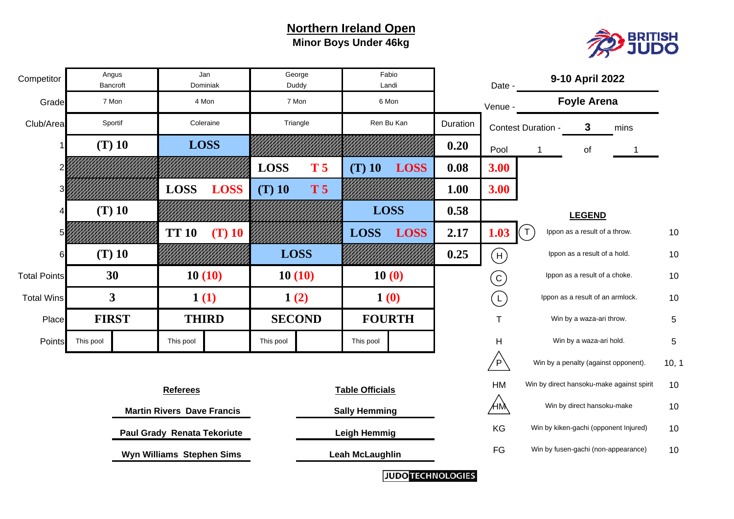### **Northern Ireland Open Minor Boys Under 46kg**



| Competitor          |              | Angus<br>Bancroft       |                 | Jan<br>Dominiak                   |               | George<br>Duddy |                        | Fabio<br>Landi       |          | Date -          |                    | 9-10 April 2022                       |                                           |                 |
|---------------------|--------------|-------------------------|-----------------|-----------------------------------|---------------|-----------------|------------------------|----------------------|----------|-----------------|--------------------|---------------------------------------|-------------------------------------------|-----------------|
| Grade               |              | 7 Mon                   |                 | 4 Mon                             | 7 Mon         |                 |                        | 6 Mon                |          | Venue -         |                    | <b>Foyle Arena</b>                    |                                           |                 |
| Club/Area           |              | Sportif                 |                 | Coleraine                         | Triangle      |                 |                        | Ren Bu Kan           | Duration |                 | Contest Duration - | 3                                     | mins                                      |                 |
|                     |              | $(T)$ 10                |                 | <b>LOSS</b>                       |               |                 |                        |                      | 0.20     | Pool            |                    | of                                    |                                           |                 |
|                     |              |                         |                 |                                   | <b>LOSS</b>   | T <sub>5</sub>  | $(T)$ 10               | <b>LOSS</b>          | 0.08     | 3.00            |                    |                                       |                                           |                 |
|                     |              |                         | <b>LOSS</b>     | <b>LOSS</b>                       | $(T)$ 10      | T <sub>5</sub>  |                        |                      | 1.00     | 3.00            |                    |                                       |                                           |                 |
|                     |              | $(T)$ 10                |                 |                                   |               |                 |                        | <b>LOSS</b>          | 0.58     |                 |                    | <b>LEGEND</b>                         |                                           |                 |
|                     |              |                         | <b>TT 10</b>    | $(T)$ 10                          |               |                 | <b>LOSS</b>            | <b>LOSS</b>          | 2.17     | 1.03            | $\tau$             | Ippon as a result of a throw.         |                                           | 10              |
|                     |              | $(T)$ 10                |                 |                                   | <b>LOSS</b>   |                 |                        |                      | 0.25     | (H)             |                    | Ippon as a result of a hold.          |                                           | 10              |
| <b>Total Points</b> |              | 30                      |                 | 10(10)                            | 10(10)        |                 |                        | 10(0)                |          | $\rm \acute{c}$ |                    | Ippon as a result of a choke.         |                                           | 10              |
| <b>Total Wins</b>   |              | $\overline{\mathbf{3}}$ |                 | 1(1)                              | 1(2)          |                 |                        | 1(0)                 |          | (L)             |                    | Ippon as a result of an armlock.      |                                           | 10              |
| Place               | <b>FIRST</b> |                         |                 | <b>THIRD</b>                      | <b>SECOND</b> |                 |                        | <b>FOURTH</b>        |          | $\mathsf T$     |                    | Win by a waza-ari throw.              |                                           | 5               |
| Points              | This pool    |                         | This pool       |                                   | This pool     |                 | This pool              |                      |          | Н               |                    | Win by a waza-ari hold.               |                                           | $5\phantom{.0}$ |
|                     |              |                         |                 |                                   |               |                 |                        |                      |          | $\sqrt{P}$      |                    | Win by a penalty (against opponent).  |                                           | 10, 1           |
|                     |              |                         | <b>Referees</b> |                                   |               |                 | <b>Table Officials</b> |                      |          | HM              |                    |                                       | Win by direct hansoku-make against spirit | 10              |
|                     |              |                         |                 | <b>Martin Rivers Dave Francis</b> |               |                 | <b>Sally Hemming</b>   |                      |          | ÆM              |                    | Win by direct hansoku-make            |                                           | 10              |
|                     |              |                         |                 | Paul Grady Renata Tekoriute       |               |                 | <b>Leigh Hemmig</b>    |                      |          | KG              |                    | Win by kiken-gachi (opponent Injured) |                                           | 10              |
|                     |              |                         |                 | Wyn Williams Stephen Sims         |               |                 | <b>Leah McLaughlin</b> |                      |          | FG              |                    | Win by fusen-gachi (non-appearance)   |                                           | 10              |
|                     |              |                         |                 |                                   |               |                 |                        | $\sim$ $\sim$ $\sim$ |          |                 |                    |                                       |                                           |                 |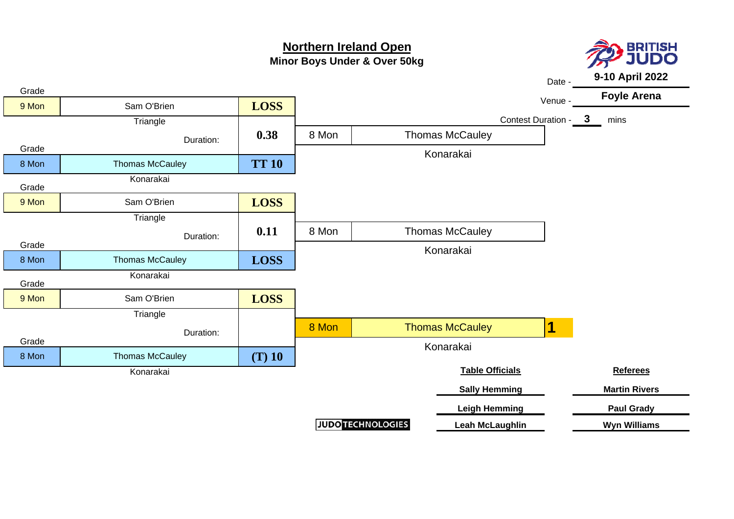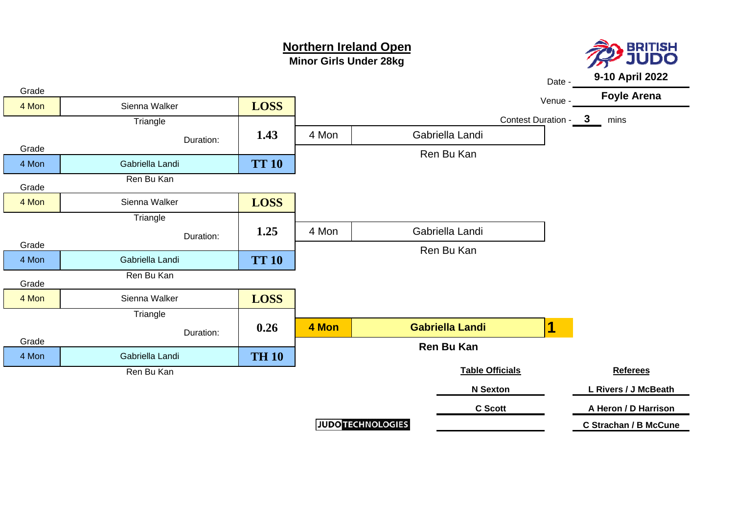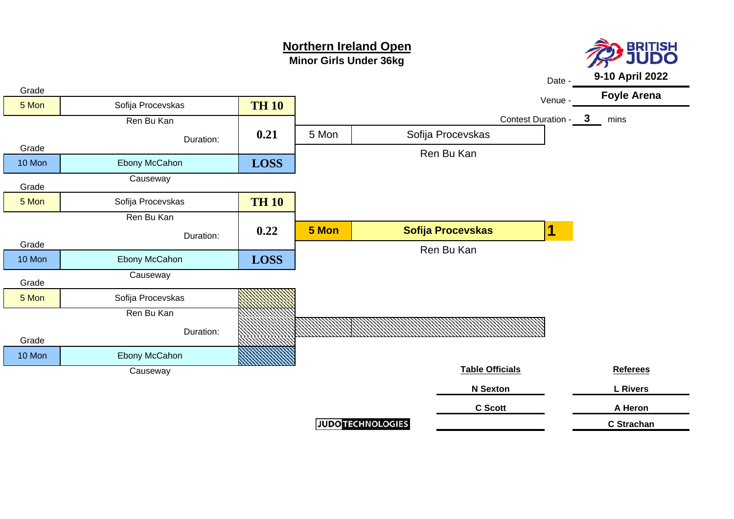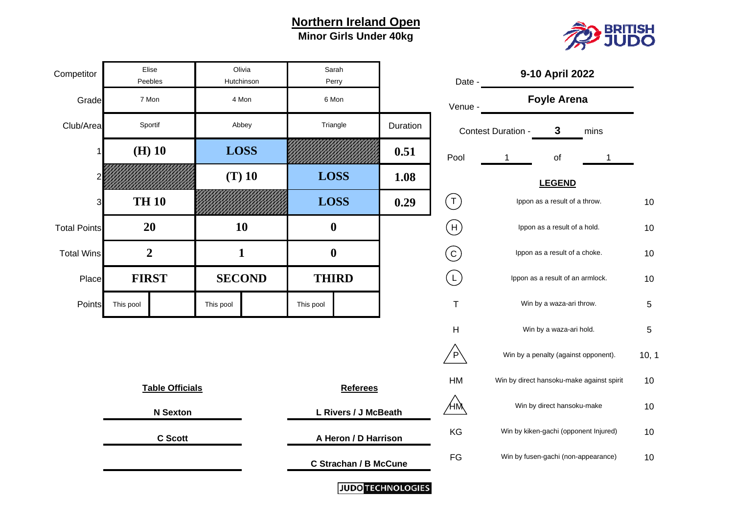## **Minor Girls Under 40kg Northern Ireland Open**



| Competitor              | Elise<br>Peebles |                        |             | Olivia<br>Hutchinson |                  | Sarah<br>Perry               |                          | Date -                                |                                  | 9-10 April 2022                           |     |
|-------------------------|------------------|------------------------|-------------|----------------------|------------------|------------------------------|--------------------------|---------------------------------------|----------------------------------|-------------------------------------------|-----|
| Grade                   | 7 Mon            |                        |             | 4 Mon                |                  | 6 Mon                        |                          | Venue -                               |                                  | <b>Foyle Arena</b>                        |     |
| Club/Area               | Sportif          |                        |             | Abbey                |                  | Triangle                     | Duration                 |                                       | Contest Duration -               | 3<br>mins                                 |     |
|                         | $(H)$ 10         |                        | <b>LOSS</b> |                      |                  |                              | 0.51                     | Pool                                  |                                  | of                                        |     |
|                         |                  |                        |             | $(T)$ 10             | <b>LOSS</b>      |                              | 1.08                     |                                       |                                  | <b>LEGEND</b>                             |     |
| $\overline{\mathbf{3}}$ | <b>TH 10</b>     |                        |             |                      | <b>LOSS</b>      |                              | 0.29                     | $(\tau)$                              |                                  | Ippon as a result of a throw.             | 10  |
| <b>Total Points</b>     | 20               |                        | 10          |                      |                  | $\boldsymbol{0}$             |                          | $(\mathsf{H})$                        |                                  | Ippon as a result of a hold.              | 10  |
| <b>Total Wins</b>       | $\boldsymbol{2}$ |                        |             | $\mathbf{1}$         | $\boldsymbol{0}$ |                              |                          | $\rm (c)$                             |                                  | Ippon as a result of a choke.             | 10  |
| Place                   | <b>FIRST</b>     |                        |             | <b>SECOND</b>        | <b>THIRD</b>     |                              |                          | $\begin{pmatrix} 1 \end{pmatrix}$     | Ippon as a result of an armlock. |                                           | 10  |
| Points                  | This pool        |                        | This pool   |                      | This pool        |                              |                          | $\mathsf T$                           |                                  | Win by a waza-ari throw.                  | 5   |
|                         |                  |                        |             |                      |                  |                              |                          | $\boldsymbol{\mathsf{H}}$             |                                  | Win by a waza-ari hold.                   | 5   |
|                         |                  |                        |             |                      |                  |                              |                          | $\overline{P}$                        |                                  | Win by a penalty (against opponent).      | 10, |
|                         |                  | <b>Table Officials</b> |             |                      |                  | <b>Referees</b>              |                          | HM                                    |                                  | Win by direct hansoku-make against spirit | 10  |
|                         |                  | <b>N</b> Sexton        |             |                      |                  | L Rivers / J McBeath         |                          | Æщ                                    |                                  | Win by direct hansoku-make                | 10  |
|                         | <b>C</b> Scott   |                        |             | A Heron / D Harrison |                  | KG                           |                          | Win by kiken-gachi (opponent Injured) | 10                               |                                           |     |
|                         |                  |                        |             |                      |                  | <b>C Strachan / B McCune</b> |                          | FG                                    |                                  | Win by fusen-gachi (non-appearance)       | 10  |
|                         |                  |                        |             |                      |                  |                              | <b>JUDO TECHNOLOGIES</b> |                                       |                                  |                                           |     |

| Date -    | 9-10 April 2022                           |                    |
|-----------|-------------------------------------------|--------------------|
| Venue -   | <b>Foyle Arena</b>                        |                    |
|           | 3<br>mins                                 |                    |
| Pool      | of<br>1<br>1                              |                    |
|           | <b>LEGEND</b>                             |                    |
| L         | Ippon as a result of a throw.             | 10                 |
| Н         | Ippon as a result of a hold.              | 10                 |
|           | Ippon as a result of a choke.             | 10                 |
|           | Ippon as a result of an armlock.          | 10                 |
| T         | Win by a waza-ari throw.                  | 5                  |
| н         | Win by a waza-ari hold.                   | 5                  |
| P         | Win by a penalty (against opponent).      | 10, 1              |
| <b>HM</b> | Win by direct hansoku-make against spirit | 10                 |
|           | Win by direct hansoku-make                | 10                 |
| KG        | Win by kiken-gachi (opponent Injured)     | 10                 |
| FG        | Win by fusen-gachi (non-appearance)       | 10                 |
|           |                                           | Contest Duration - |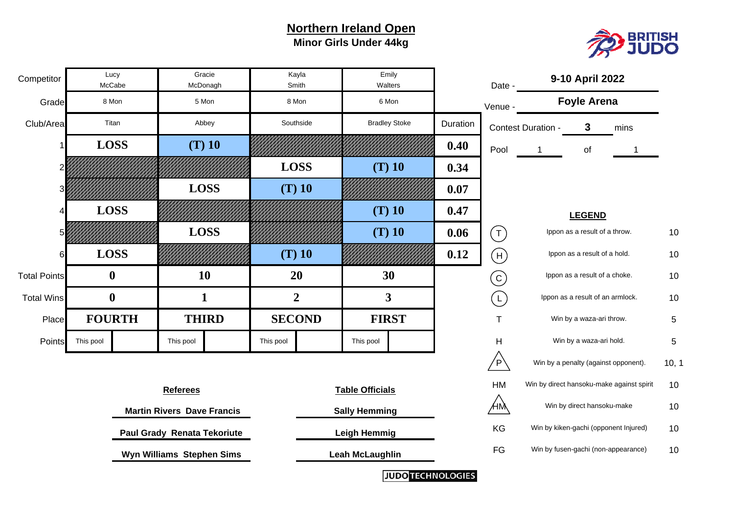#### **Northern Ireland Open Minor Girls Under 44kg**



| Competitor          |           | Lucy<br>McCabe   |                                    | Gracie<br>McDonagh | Smith          | Kayla    | Emily<br>Walters        |                         | Date -                     |                               | 9-10 April 2022                       |                                           |                 |
|---------------------|-----------|------------------|------------------------------------|--------------------|----------------|----------|-------------------------|-------------------------|----------------------------|-------------------------------|---------------------------------------|-------------------------------------------|-----------------|
| Grade               |           | 8 Mon            |                                    | 5 Mon              | 8 Mon          |          | 6 Mon                   |                         | Venue -                    |                               | <b>Foyle Arena</b>                    |                                           |                 |
| Club/Area           |           | Titan            |                                    | Abbey              | Southside      |          | <b>Bradley Stoke</b>    | Duration                |                            | Contest Duration -            | $\mathbf{3}$                          | mins                                      |                 |
|                     |           | <b>LOSS</b>      |                                    | $(T)$ 10           |                |          |                         | 0.40                    | Pool                       |                               | of                                    |                                           |                 |
|                     |           |                  |                                    |                    | <b>LOSS</b>    |          | $(T)$ 10                | 0.34                    |                            |                               |                                       |                                           |                 |
|                     |           |                  |                                    | <b>LOSS</b>        |                | $(T)$ 10 |                         | 0.07                    |                            |                               |                                       |                                           |                 |
|                     |           | <b>LOSS</b>      |                                    |                    |                |          | $(T)$ 10                | 0.47                    |                            |                               | <b>LEGEND</b>                         |                                           |                 |
|                     |           |                  |                                    | <b>LOSS</b>        |                |          | $(T)$ 10                | 0.06                    | $(\mathsf{T})$             |                               | Ippon as a result of a throw.         |                                           | 10              |
| ห                   |           | <b>LOSS</b>      |                                    |                    |                | $(T)$ 10 |                         | 0.12                    | (H)                        |                               | Ippon as a result of a hold.          |                                           | 10              |
| <b>Total Points</b> |           | $\boldsymbol{0}$ |                                    | 10                 | 20             |          | 30                      |                         | $\left( \mathsf{c}\right)$ | Ippon as a result of a choke. |                                       | 10                                        |                 |
| <b>Total Wins</b>   |           | $\boldsymbol{0}$ |                                    | $\mathbf{1}$       | $\overline{2}$ |          | $\overline{\mathbf{3}}$ |                         | (L)                        |                               | Ippon as a result of an armlock.      |                                           | 10              |
| Place               |           | <b>FOURTH</b>    |                                    | <b>THIRD</b>       | <b>SECOND</b>  |          | <b>FIRST</b>            |                         | $\mathsf T$                |                               | Win by a waza-ari throw.              |                                           | 5               |
| Points              | This pool |                  | This pool                          |                    | This pool      |          | This pool               |                         | H                          |                               | Win by a waza-ari hold.               |                                           | $5\phantom{.0}$ |
|                     |           |                  |                                    |                    |                |          |                         |                         | $\sqrt{P}$                 |                               | Win by a penalty (against opponent).  |                                           | 10, 1           |
|                     |           |                  | <b>Referees</b>                    |                    |                |          | <b>Table Officials</b>  |                         | ${\sf HM}$                 |                               |                                       | Win by direct hansoku-make against spirit | 10              |
|                     |           |                  | <b>Martin Rivers Dave Francis</b>  |                    |                |          | <b>Sally Hemming</b>    |                         | ҉НӍ҅                       |                               | Win by direct hansoku-make            |                                           | 10              |
|                     |           |                  | <b>Paul Grady Renata Tekoriute</b> |                    |                |          | <b>Leigh Hemmig</b>     |                         | KG                         |                               | Win by kiken-gachi (opponent Injured) |                                           | 10              |
|                     |           |                  | Wyn Williams Stephen Sims          |                    |                |          | <b>Leah McLaughlin</b>  |                         | FG                         |                               | Win by fusen-gachi (non-appearance)   |                                           | 10              |
|                     |           |                  |                                    |                    |                |          |                         | <b>UIDOTECUNOLOGIES</b> |                            |                               |                                       |                                           |                 |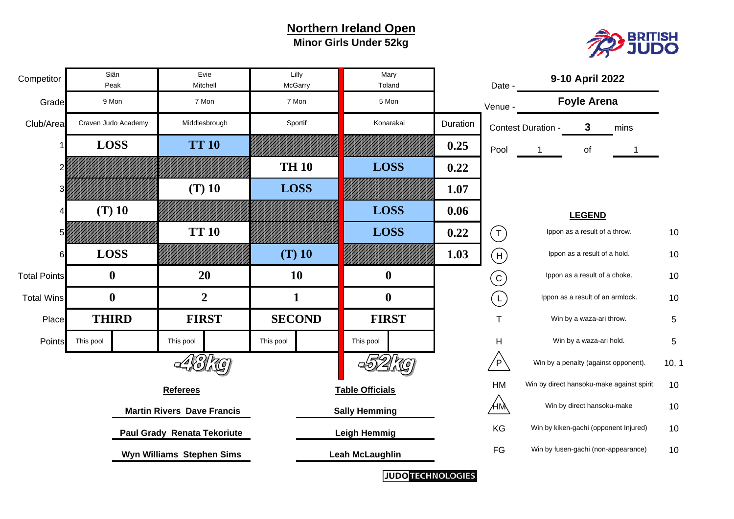#### **Northern Ireland Open Minor Girls Under 52kg**



| Competitor          |           | Siân<br>Peak        |                                   | Evie<br>Mitchell | Lilly<br>McGarry | Mary<br>Toland         |          | Date                       |                               | 9-10 April 2022                       |                                           |       |
|---------------------|-----------|---------------------|-----------------------------------|------------------|------------------|------------------------|----------|----------------------------|-------------------------------|---------------------------------------|-------------------------------------------|-------|
| Grade               |           | 9 Mon               |                                   | 7 Mon            | 7 Mon            | 5 Mon                  |          | Venue -                    |                               | <b>Foyle Arena</b>                    |                                           |       |
| Club/Area           |           | Craven Judo Academy |                                   | Middlesbrough    | Sportif          | Konarakai              | Duration |                            | Contest Duration -            | 3                                     | mins                                      |       |
|                     |           | <b>LOSS</b>         |                                   | <b>TT 10</b>     |                  |                        | 0.25     | Pool                       | 1                             | of                                    |                                           |       |
|                     |           |                     |                                   |                  | <b>TH 10</b>     | <b>LOSS</b>            | 0.22     |                            |                               |                                       |                                           |       |
|                     |           |                     |                                   | $(T)$ 10         | <b>LOSS</b>      |                        | 1.07     |                            |                               |                                       |                                           |       |
|                     |           | $(T)$ 10            |                                   |                  |                  | <b>LOSS</b>            | 0.06     |                            |                               | <b>LEGEND</b>                         |                                           |       |
|                     |           |                     |                                   | <b>TT 10</b>     |                  | <b>LOSS</b>            | 0.22     | $\left(\mathsf{T}\right)$  |                               | Ippon as a result of a throw.         |                                           | 10    |
| 6                   |           | <b>LOSS</b>         |                                   |                  | $(T)$ 10         |                        | 1.03     | (H)                        |                               | Ippon as a result of a hold.          |                                           | 10    |
| <b>Total Points</b> |           | $\bf{0}$            |                                   | 20               | <b>10</b>        | $\boldsymbol{0}$       |          | $\left( \mathsf{C}\right)$ | Ippon as a result of a choke. |                                       |                                           | 10    |
| <b>Total Wins</b>   |           | $\mathbf 0$         |                                   | $\overline{2}$   | 1                | $\boldsymbol{0}$       |          | $\overline{\mathsf{L}}$    |                               | Ippon as a result of an armlock.      |                                           | 10    |
| Place               |           | <b>THIRD</b>        |                                   | <b>FIRST</b>     | <b>SECOND</b>    | <b>FIRST</b>           |          | $\mathsf T$                |                               | Win by a waza-ari throw.              |                                           | 5     |
| Points              | This pool |                     | This pool                         |                  | This pool        | This pool              |          | H                          |                               | Win by a waza-ari hold.               |                                           | 5     |
|                     |           |                     |                                   |                  |                  |                        |          | 'P`                        |                               | Win by a penalty (against opponent).  |                                           | 10, 1 |
|                     |           |                     | <b>Referees</b>                   |                  |                  | <b>Table Officials</b> |          | HM                         |                               |                                       | Win by direct hansoku-make against spirit | 10    |
|                     |           |                     | <b>Martin Rivers Dave Francis</b> |                  |                  | <b>Sally Hemming</b>   |          | ҉НӍ҅                       |                               | Win by direct hansoku-make            |                                           | 10    |
|                     |           |                     | Paul Grady Renata Tekoriute       |                  |                  | <b>Leigh Hemmig</b>    |          | KG                         |                               | Win by kiken-gachi (opponent Injured) |                                           | 10    |
|                     |           |                     | Wyn Williams Stephen Sims         |                  |                  | <b>Leah McLaughlin</b> |          | $\mathsf{FG}$              |                               | Win by fusen-gachi (non-appearance)   |                                           | 10    |
|                     |           |                     |                                   |                  |                  |                        |          |                            |                               |                                       |                                           |       |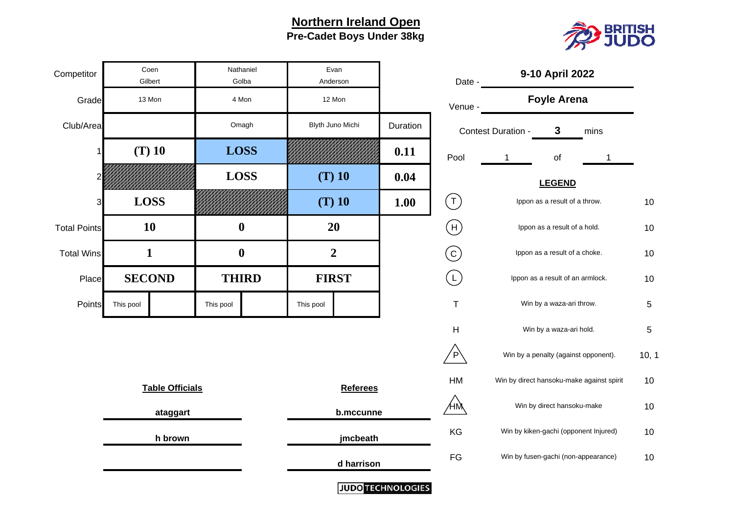**Pre-Cadet Boys Under 38kg Northern Ireland Open**



| Competitor          | Coen<br>Gilbert        | Nathaniel<br>Golba |  |              | Evan<br>Anderson |                          | Date -         |                                       | 9-10 April 2022                           |     |
|---------------------|------------------------|--------------------|--|--------------|------------------|--------------------------|----------------|---------------------------------------|-------------------------------------------|-----|
| Grade               | 13 Mon                 | 4 Mon              |  |              | 12 Mon           |                          | Venue -        |                                       | <b>Foyle Arena</b>                        |     |
| Club/Area           |                        | Omagh              |  |              | Blyth Juno Michi | Duration                 |                | Contest Duration -                    | 3<br>mins                                 |     |
|                     | $(T)$ 10               | <b>LOSS</b>        |  |              |                  | 0.11                     | Pool           |                                       | of<br>1                                   |     |
| 2                   |                        | <b>LOSS</b>        |  |              | $(T)$ 10         | 0.04                     |                |                                       | <b>LEGEND</b>                             |     |
| 3                   | <b>LOSS</b>            |                    |  |              | $(T)$ 10         | 1.00                     | $(\tau)$       |                                       | Ippon as a result of a throw.             | 10  |
| <b>Total Points</b> | 10                     | $\boldsymbol{0}$   |  | 20           |                  |                          | $(\sf H)$      |                                       | Ippon as a result of a hold.              | 10  |
| <b>Total Wins</b>   | $\mathbf{1}$           | $\boldsymbol{0}$   |  |              | $\overline{2}$   |                          | $\binom{c}{c}$ |                                       | Ippon as a result of a choke.             | 10  |
| Place               | <b>SECOND</b>          | <b>THIRD</b>       |  | <b>FIRST</b> |                  |                          | $(\Gamma)$     | Ippon as a result of an armlock.      |                                           | 10  |
| Points              | This pool              | This pool          |  | This pool    |                  |                          | $\top$         |                                       | Win by a waza-ari throw.                  | 5   |
|                     |                        |                    |  |              |                  |                          | H              |                                       | Win by a waza-ari hold.                   | 5   |
|                     |                        |                    |  |              |                  |                          | $\overline{P}$ |                                       | Win by a penalty (against opponent).      | 10, |
|                     | <b>Table Officials</b> |                    |  |              | <b>Referees</b>  |                          | HM             |                                       | Win by direct hansoku-make against spirit | 10  |
|                     |                        |                    |  |              | b.mccunne        |                          | ÆЙ             |                                       | Win by direct hansoku-make                | 10  |
|                     | ataggart<br>h brown    |                    |  | jmcbeath     |                  | KG                       |                | Win by kiken-gachi (opponent Injured) | 10                                        |     |
|                     |                        |                    |  |              | d harrison       |                          | $\mathsf{FG}$  |                                       | Win by fusen-gachi (non-appearance)       | 10  |
|                     |                        |                    |  |              |                  | <b>JUDO TECHNOLOGIES</b> |                |                                       |                                           |     |

| Date -                    |   |                    |      |                                                                                                                                                                                                                                                                                                                                                                                                                                       |
|---------------------------|---|--------------------|------|---------------------------------------------------------------------------------------------------------------------------------------------------------------------------------------------------------------------------------------------------------------------------------------------------------------------------------------------------------------------------------------------------------------------------------------|
| Venue -                   |   |                    |      |                                                                                                                                                                                                                                                                                                                                                                                                                                       |
|                           |   | 3                  | mins |                                                                                                                                                                                                                                                                                                                                                                                                                                       |
| Pool                      | 1 | of                 | 1    |                                                                                                                                                                                                                                                                                                                                                                                                                                       |
|                           |   | <b>LEGEND</b>      |      |                                                                                                                                                                                                                                                                                                                                                                                                                                       |
|                           |   |                    |      | 10                                                                                                                                                                                                                                                                                                                                                                                                                                    |
| $\boldsymbol{\mathsf{H}}$ |   |                    |      | 10                                                                                                                                                                                                                                                                                                                                                                                                                                    |
|                           |   |                    |      | 10                                                                                                                                                                                                                                                                                                                                                                                                                                    |
|                           |   |                    |      | 10                                                                                                                                                                                                                                                                                                                                                                                                                                    |
| Τ                         |   |                    |      | 5                                                                                                                                                                                                                                                                                                                                                                                                                                     |
| н                         |   |                    |      | 5                                                                                                                                                                                                                                                                                                                                                                                                                                     |
|                           |   |                    |      | 10, 1                                                                                                                                                                                                                                                                                                                                                                                                                                 |
| <b>HM</b>                 |   |                    |      | 10                                                                                                                                                                                                                                                                                                                                                                                                                                    |
|                           |   |                    |      | 10                                                                                                                                                                                                                                                                                                                                                                                                                                    |
| KG                        |   |                    |      | 10                                                                                                                                                                                                                                                                                                                                                                                                                                    |
| FG                        |   |                    |      | 10                                                                                                                                                                                                                                                                                                                                                                                                                                    |
|                           |   | Contest Duration - |      | 9-10 April 2022<br><b>Foyle Arena</b><br>Ippon as a result of a throw.<br>Ippon as a result of a hold.<br>Ippon as a result of a choke.<br>Ippon as a result of an armlock.<br>Win by a waza-ari throw.<br>Win by a waza-ari hold.<br>Win by a penalty (against opponent).<br>Win by direct hansoku-make against spirit<br>Win by direct hansoku-make<br>Win by kiken-gachi (opponent Injured)<br>Win by fusen-gachi (non-appearance) |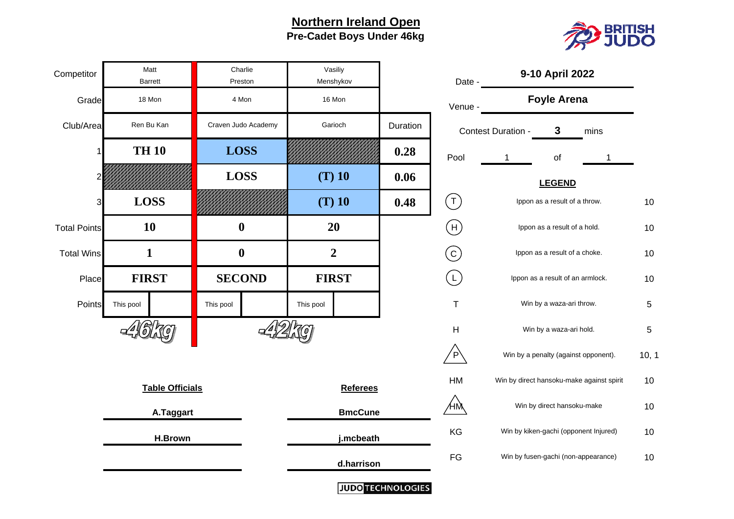#### **Northern Ireland Open Pre-Cadet Boys Under 46kg**





| Date -    | 9-10 April 2022                           |                    |
|-----------|-------------------------------------------|--------------------|
| Venue -   | <b>Foyle Arena</b>                        |                    |
|           | 3<br>mins                                 |                    |
| Pool      | of<br>1<br>1                              |                    |
|           | <b>LEGEND</b>                             |                    |
| T         | Ippon as a result of a throw.             | 10                 |
| Н         | Ippon as a result of a hold.              | 10                 |
|           | Ippon as a result of a choke.             | 10                 |
|           | Ippon as a result of an armlock.          | 10                 |
| T         | Win by a waza-ari throw.                  | 5                  |
| н         | Win by a waza-ari hold.                   | 5                  |
|           | Win by a penalty (against opponent).      | 10, 1              |
| <b>HM</b> | Win by direct hansoku-make against spirit | 10                 |
|           | Win by direct hansoku-make                | 10                 |
| KG        | Win by kiken-gachi (opponent Injured)     | 10                 |
| FG        | Win by fusen-gachi (non-appearance)       | 10                 |
|           |                                           | Contest Duration - |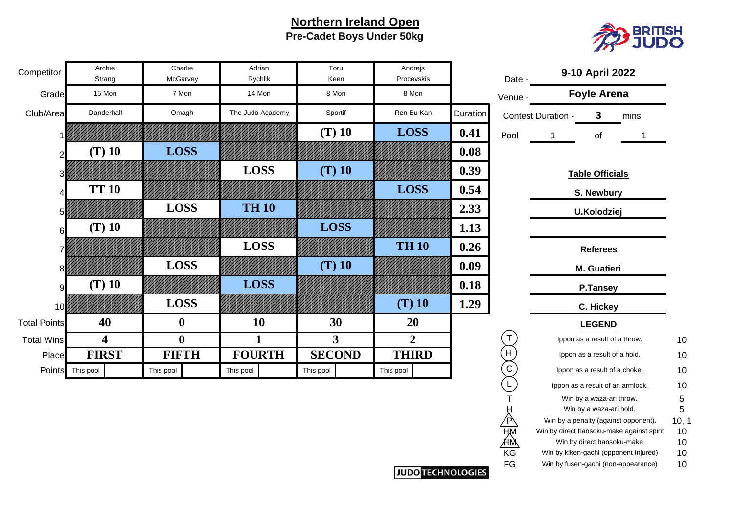#### **Northern Ireland Open Pre-Cadet Boys Under 50kg**



| Competitor          | Archie<br>Strang | Charlie<br>McGarvey | Adrian<br>Rychlik | Toru<br>Keen   | Andrejs<br>Procevskis |          | Date -      | 9-10 April 2022                 |    |
|---------------------|------------------|---------------------|-------------------|----------------|-----------------------|----------|-------------|---------------------------------|----|
| Grade               | 15 Mon           | 7 Mon               | 14 Mon            | 8 Mon          | 8 Mon                 |          | Venue -     | <b>Foyle Arena</b>              |    |
| Club/Area           | Danderhall       | Omagh               | The Judo Academy  | Sportif        | Ren Bu Kan            | Duration |             | 3<br>Contest Duration -<br>mins |    |
|                     |                  |                     |                   | $(T)$ 10       | <b>LOSS</b>           | 0.41     | Pool        | of                              |    |
|                     | $(T)$ 10         | <b>LOSS</b>         |                   |                |                       | 0.08     |             |                                 |    |
|                     |                  |                     | <b>LOSS</b>       | $(T)$ 10       |                       | 0.39     |             | <b>Table Officials</b>          |    |
|                     | <b>TT 10</b>     |                     |                   |                | <b>LOSS</b>           | 0.54     |             | S. Newbury                      |    |
|                     |                  | <b>LOSS</b>         | <b>TH 10</b>      |                |                       | 2.33     |             | U.Kolodziej                     |    |
| 6                   | $(T)$ 10         |                     |                   | <b>LOSS</b>    |                       | 1.13     |             |                                 |    |
|                     |                  |                     | <b>LOSS</b>       |                | <b>TH 10</b>          | 0.26     |             | <b>Referees</b>                 |    |
|                     |                  | <b>LOSS</b>         |                   | $(T)$ 10       |                       | 0.09     |             | M. Guatieri                     |    |
|                     | $(T)$ 10         |                     | <b>LOSS</b>       |                |                       | 0.18     |             | <b>P.Tansey</b>                 |    |
| 10                  |                  | <b>LOSS</b>         |                   |                | $(T)$ 10              | 1.29     |             | C. Hickey                       |    |
| <b>Total Points</b> | 40               | $\boldsymbol{0}$    | 10                | 30             | 20                    |          |             | <b>LEGEND</b>                   |    |
| <b>Total Wins</b>   | 4                | $\boldsymbol{0}$    |                   | 3 <sup>1</sup> | $\overline{2}$        |          | T           | Ippon as a result of a throw.   | 10 |
| Place               | <b>FIRST</b>     | <b>FIFTH</b>        | <b>FOURTH</b>     | <b>SECOND</b>  | <b>THIRD</b>          |          | H           | Ippon as a result of a hold.    | 10 |
| <b>Points</b>       | This pool        | This pool           | This pool         | This pool      | This pool             |          | $\mathsf C$ | Ippon as a result of a choke.   | 10 |
|                     |                  |                     |                   |                |                       |          |             | Innon as a result of an armlock | 10 |

| Date -   | $\sim$ 19 April 202                                                          |          |
|----------|------------------------------------------------------------------------------|----------|
| Venue -  | <b>Foyle Arena</b>                                                           |          |
|          | 3<br>Contest Duration -<br>mins                                              |          |
| Pool     | 1<br>οf<br>1                                                                 |          |
|          |                                                                              |          |
|          | <b>Table Officials</b>                                                       |          |
|          | <b>S. Newbury</b>                                                            |          |
|          | <b>U.Kolodziej</b>                                                           |          |
|          |                                                                              |          |
|          | <b>Referees</b>                                                              |          |
|          | M. Guatieri                                                                  |          |
|          | <b>P.Tansey</b>                                                              |          |
|          | C. Hickey                                                                    |          |
|          | <b>LEGEND</b>                                                                |          |
| Т        | Ippon as a result of a throw.                                                | 10       |
| H        | Ippon as a result of a hold.                                                 | 10       |
| C        | Ippon as a result of a choke.                                                | 10       |
| L        | Ippon as a result of an armlock.                                             | 10       |
|          | Win by a waza-ari throw.                                                     | 5        |
|          | Win by a waza-ari hold.                                                      | 5        |
|          | Win by a penalty (against opponent).                                         | 10, 1    |
|          | Win by direct hansoku-make against spirit                                    | 10       |
|          | Win by direct hansoku-make                                                   | 10       |
| KG<br>FG | Win by kiken-gachi (opponent Injured)<br>Win by fusen-gachi (non-appearance) | 10<br>10 |
|          |                                                                              |          |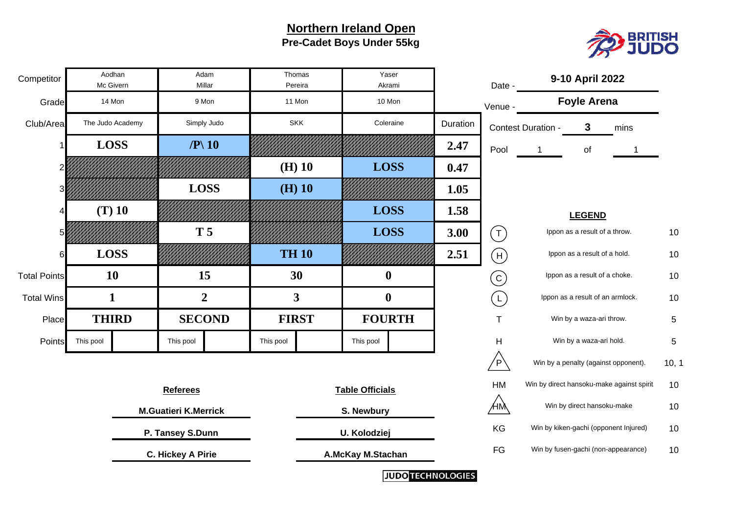### **Northern Ireland Open Pre-Cadet Boys Under 55kg**



| Competitor          | Aodhan<br>Mc Givern | Adam<br>Millar                     | Thomas<br>Yaser<br>Pereira<br>Akrami |              |                        | Date -                   |          | 9-10 April 2022           |                    |                                  |                                           |            |
|---------------------|---------------------|------------------------------------|--------------------------------------|--------------|------------------------|--------------------------|----------|---------------------------|--------------------|----------------------------------|-------------------------------------------|------------|
| Grade               | 14 Mon              | 9 Mon                              |                                      | 11 Mon       | 10 Mon                 |                          |          | Venue -                   |                    | <b>Foyle Arena</b>               |                                           |            |
| Club/Area           | The Judo Academy    | Simply Judo                        |                                      | <b>SKK</b>   | Coleraine              |                          | Duration |                           | Contest Duration - | $\mathbf{3}$                     | mins                                      |            |
|                     | <b>LOSS</b>         | $\mathbf{P} \setminus \mathbf{10}$ |                                      |              |                        |                          | 2.47     | Pool                      | -1                 | of                               |                                           |            |
|                     |                     |                                    |                                      | $(H)$ 10     | <b>LOSS</b>            |                          | 0.47     |                           |                    |                                  |                                           |            |
|                     |                     | <b>LOSS</b>                        |                                      | $(H)$ 10     |                        |                          | 1.05     |                           |                    |                                  |                                           |            |
|                     | $(T)$ 10            |                                    |                                      |              | <b>LOSS</b>            |                          | 1.58     |                           |                    | <b>LEGEND</b>                    |                                           |            |
|                     |                     | <b>T5</b>                          |                                      |              | <b>LOSS</b>            |                          | 3.00     | $\left(\mathsf{T}\right)$ |                    | Ippon as a result of a throw.    |                                           | 10         |
|                     | <b>LOSS</b>         |                                    |                                      | <b>TH 10</b> |                        |                          | 2.51     | $(\mathsf{H})$            |                    | Ippon as a result of a hold.     |                                           | 10         |
| <b>Total Points</b> | <b>10</b>           | 15                                 |                                      | 30           |                        | $\boldsymbol{0}$         |          | $\left(  \right)$         |                    | Ippon as a result of a choke.    |                                           | 10         |
| <b>Total Wins</b>   | 1                   | $\overline{2}$                     |                                      | 3            | $\boldsymbol{0}$       |                          |          | $\overline{L}$            |                    | Ippon as a result of an armlock. |                                           | 10         |
| Place               | <b>THIRD</b>        | <b>SECOND</b>                      |                                      | <b>FIRST</b> | <b>FOURTH</b>          |                          |          | $\mathsf{T}$              |                    | Win by a waza-ari throw.         |                                           | 5          |
| <b>Points</b>       | This pool           | This pool                          | This pool                            |              | This pool              |                          |          | H                         |                    | Win by a waza-ari hold.          |                                           | $\sqrt{5}$ |
|                     |                     |                                    |                                      |              |                        |                          |          | $\overline{P}$            |                    |                                  | Win by a penalty (against opponent).      | 10, 1      |
|                     |                     | <b>Referees</b>                    |                                      |              | <b>Table Officials</b> |                          |          | HM                        |                    |                                  | Win by direct hansoku-make against spirit | 10         |
|                     |                     | <b>M.Guatieri K.Merrick</b>        |                                      |              | S. Newbury             |                          |          | ÆM                        |                    | Win by direct hansoku-make       |                                           | 10         |
|                     |                     | P. Tansey S.Dunn                   |                                      |              | U. Kolodziej           |                          |          | KG                        |                    |                                  | Win by kiken-gachi (opponent Injured)     | 10         |
|                     |                     | <b>C. Hickey A Pirie</b>           |                                      |              | A.McKay M.Stachan      |                          |          | FG                        |                    |                                  | Win by fusen-gachi (non-appearance)       | 10         |
|                     |                     |                                    |                                      |              |                        | <b>JUDO TECHNOLOGIES</b> |          |                           |                    |                                  |                                           |            |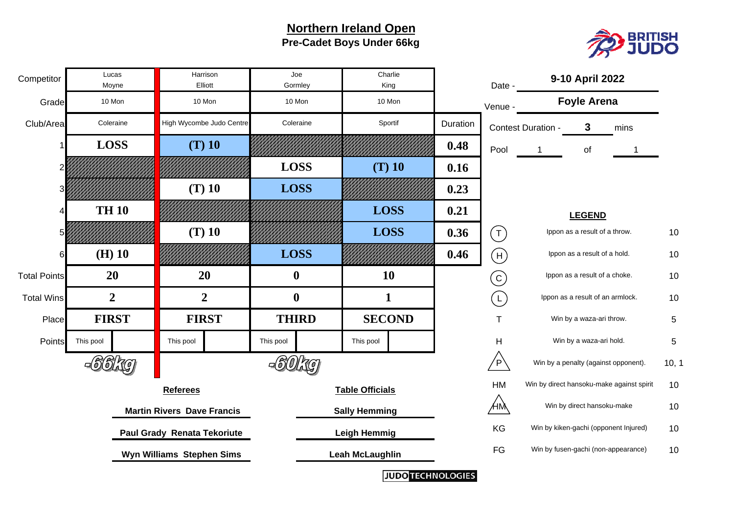#### **Northern Ireland Open Pre-Cadet Boys Under 66kg**



| Competitor          |             | Lucas<br>Moyne |                                   | Harrison<br>Elliott         | Charlie<br>Joe<br>Gormley<br>King |                        |                        | Date - |          | 9-10 April 2022   |                    |                                       |                                           |            |
|---------------------|-------------|----------------|-----------------------------------|-----------------------------|-----------------------------------|------------------------|------------------------|--------|----------|-------------------|--------------------|---------------------------------------|-------------------------------------------|------------|
| Grade               |             | 10 Mon         |                                   | 10 Mon                      | 10 Mon                            |                        | 10 Mon                 |        |          | Venue -           |                    | <b>Foyle Arena</b>                    |                                           |            |
| Club/Area           |             | Coleraine      |                                   | High Wycombe Judo Centre    | Coleraine                         |                        | Sportif                |        | Duration |                   | Contest Duration - | 3                                     | mins                                      |            |
|                     |             | <b>LOSS</b>    |                                   | $(T)$ 10                    |                                   |                        |                        |        | 0.48     | Pool              | 1                  | of                                    |                                           |            |
|                     |             |                |                                   |                             | <b>LOSS</b>                       |                        | $(T)$ 10               |        | 0.16     |                   |                    |                                       |                                           |            |
|                     |             |                |                                   | $(T)$ 10                    | <b>LOSS</b>                       |                        |                        |        | 0.23     |                   |                    |                                       |                                           |            |
|                     |             | <b>TH 10</b>   |                                   |                             |                                   |                        | <b>LOSS</b>            |        | 0.21     |                   |                    | <b>LEGEND</b>                         |                                           |            |
|                     |             |                |                                   | $(T)$ 10                    |                                   |                        | <b>LOSS</b>            |        | 0.36     | (T)               |                    | Ippon as a result of a throw.         |                                           | 10         |
|                     |             | $(H)$ 10       |                                   |                             | <b>LOSS</b>                       |                        |                        |        | 0.46     | $(\mathsf{H})$    |                    | Ippon as a result of a hold.          |                                           | 10         |
| <b>Total Points</b> |             | 20             |                                   | 20                          | $\bf{0}$                          |                        | 10                     |        |          | $\left( 6\right)$ |                    | Ippon as a result of a choke.         |                                           | 10         |
| <b>Total Wins</b>   |             | $\overline{2}$ |                                   | $\boldsymbol{2}$            | $\boldsymbol{0}$                  |                        | 1                      |        |          | $(\mathsf{L})$    |                    | Ippon as a result of an armlock.      |                                           | 10         |
| Place               |             | <b>FIRST</b>   |                                   | <b>FIRST</b>                | <b>THIRD</b>                      |                        | <b>SECOND</b>          |        |          | T                 |                    | Win by a waza-ari throw.              |                                           | 5          |
| Points              | This pool   |                | This pool                         |                             | This pool                         |                        | This pool              |        |          | Н                 |                    | Win by a waza-ari hold.               |                                           | $\sqrt{5}$ |
|                     | =(5)(5)  70 |                |                                   |                             | -6101.76                          |                        |                        |        |          | 'P`               |                    | Win by a penalty (against opponent).  |                                           | 10, 1      |
|                     |             |                | <b>Referees</b>                   |                             |                                   |                        | <b>Table Officials</b> |        |          | HM                |                    |                                       | Win by direct hansoku-make against spirit | 10         |
|                     |             |                | <b>Martin Rivers Dave Francis</b> |                             |                                   |                        | <b>Sally Hemming</b>   |        |          | ҉НӍ҅              |                    | Win by direct hansoku-make            |                                           | 10         |
|                     |             |                |                                   | Paul Grady Renata Tekoriute |                                   |                        | <b>Leigh Hemmig</b>    |        |          | KG                |                    | Win by kiken-gachi (opponent Injured) |                                           | 10         |
|                     |             |                | Wyn Williams Stephen Sims         |                             |                                   | <b>Leah McLaughlin</b> |                        |        |          | FG                |                    | Win by fusen-gachi (non-appearance)   |                                           | 10         |
|                     |             |                |                                   |                             |                                   |                        |                        |        |          |                   |                    |                                       |                                           |            |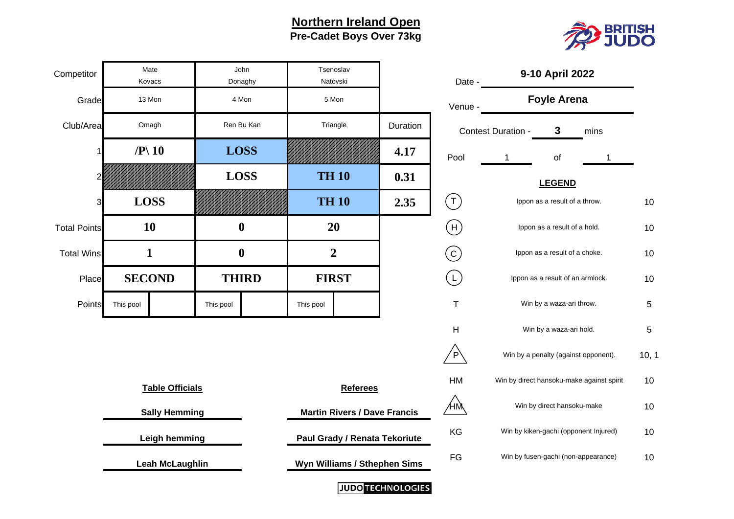#### **Northern Ireland Open Pre-Cadet Boys Over 73kg**



| Competitor          | Mate<br>Kovacs                     | John<br>Donaghy  |  | Tsenoslav<br>Natovski        |                                     | Date -   | 9-10 April 2022                             |                                           |     |  |
|---------------------|------------------------------------|------------------|--|------------------------------|-------------------------------------|----------|---------------------------------------------|-------------------------------------------|-----|--|
| Grade               | 13 Mon                             | 4 Mon            |  | 5 Mon                        |                                     |          | Venue -                                     | <b>Foyle Arena</b>                        |     |  |
| Club/Area           | Omagh                              | Ren Bu Kan       |  |                              | Triangle                            | Duration |                                             | 3<br>Contest Duration -<br>mins           |     |  |
|                     | $\mathbf{P} \setminus \mathbf{10}$ | <b>LOSS</b>      |  |                              |                                     | 4.17     | Pool                                        | of<br>1                                   |     |  |
| $\overline{c}$      |                                    | <b>LOSS</b>      |  | <b>TH 10</b>                 |                                     | 0.31     |                                             | <b>LEGEND</b>                             |     |  |
| 3                   | <b>LOSS</b>                        |                  |  | <b>TH 10</b>                 |                                     | 2.35     | $(\mathsf{T})$                              | Ippon as a result of a throw.             | 10  |  |
| <b>Total Points</b> | <b>10</b>                          | $\boldsymbol{0}$ |  | 20                           |                                     |          | $(\mathsf{H})$                              | Ippon as a result of a hold.              | 10  |  |
| <b>Total Wins</b>   | $\mathbf{1}$                       | $\boldsymbol{0}$ |  | $\overline{2}$               |                                     |          | $\rm (c)$                                   | Ippon as a result of a choke.             | 10  |  |
| Place               | <b>SECOND</b>                      | <b>THIRD</b>     |  | <b>FIRST</b>                 |                                     |          | $(\mathsf{L})$                              | Ippon as a result of an armlock.          | 10  |  |
| Points              | This pool                          | This pool        |  | This pool                    |                                     |          | $\mathsf T$                                 | Win by a waza-ari throw.                  | 5   |  |
|                     |                                    |                  |  |                              |                                     |          | H                                           | Win by a waza-ari hold.                   | 5   |  |
|                     |                                    |                  |  |                              |                                     |          | $\overline{P}$                              | Win by a penalty (against opponent).      | 10, |  |
|                     | <b>Table Officials</b>             |                  |  |                              | <b>Referees</b>                     |          | HM                                          | Win by direct hansoku-make against spirit | 10  |  |
|                     | <b>Sally Hemming</b>               |                  |  |                              | <b>Martin Rivers / Dave Francis</b> |          | ӔŅ                                          | Win by direct hansoku-make                | 10  |  |
|                     | <b>Leigh hemming</b>               |                  |  |                              | Paul Grady / Renata Tekoriute       |          | Win by kiken-gachi (opponent Injured)<br>KG |                                           | 10  |  |
|                     | <b>Leah McLaughlin</b>             |                  |  | Wyn Williams / Sthephen Sims |                                     |          | FG                                          | Win by fusen-gachi (non-appearance)<br>10 |     |  |
|                     |                                    |                  |  |                              |                                     |          |                                             |                                           |     |  |

|     | Date -    | 9-10 April 2022                  |                                       |                                           |       |  |  |  |  |  |
|-----|-----------|----------------------------------|---------------------------------------|-------------------------------------------|-------|--|--|--|--|--|
|     | Venue -   |                                  | <b>Foyle Arena</b>                    |                                           |       |  |  |  |  |  |
| ion |           | Contest Duration -               | 3                                     | mins                                      |       |  |  |  |  |  |
| 7   | Pool      | 1                                | οf                                    | 1                                         |       |  |  |  |  |  |
| 1   |           |                                  | <b>LEGEND</b>                         |                                           |       |  |  |  |  |  |
| 5   |           | Ippon as a result of a throw.    |                                       |                                           |       |  |  |  |  |  |
|     | H         | Ippon as a result of a hold.     |                                       |                                           |       |  |  |  |  |  |
|     |           | Ippon as a result of a choke.    |                                       |                                           |       |  |  |  |  |  |
|     |           | Ippon as a result of an armlock. |                                       |                                           |       |  |  |  |  |  |
|     | Τ         |                                  | Win by a waza-ari throw.              |                                           | 5     |  |  |  |  |  |
|     | н         |                                  | Win by a waza-ari hold.               |                                           | 5     |  |  |  |  |  |
|     | P         |                                  | Win by a penalty (against opponent).  |                                           | 10, 1 |  |  |  |  |  |
|     | <b>HM</b> |                                  |                                       | Win by direct hansoku-make against spirit | 10    |  |  |  |  |  |
| ۱s  | ١N        |                                  | Win by direct hansoku-make            |                                           | 10    |  |  |  |  |  |
| ute | KG        |                                  | Win by kiken-gachi (opponent Injured) |                                           | 10    |  |  |  |  |  |
| ms  | FG        |                                  | Win by fusen-gachi (non-appearance)   |                                           | 10    |  |  |  |  |  |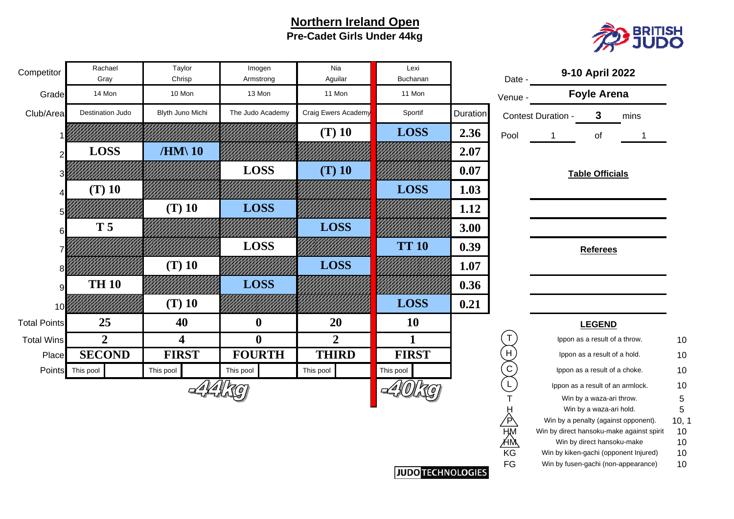#### **Northern Ireland Open Pre-Cadet Girls Under 44kg**



 $10$ 

 $10$ 

 $10$ 

 $10$ 

10

FG Win by fusen-gachi (non-appearance) 10

| Competitor          | Rachael<br>Gray  | Taylor<br>Chrisp        | Imogen<br>Armstrong | Nia<br>Aguilar      | Lexi<br>Buchanan |          | Date -      |                                           | 9-10 April 2022                  |      |           |
|---------------------|------------------|-------------------------|---------------------|---------------------|------------------|----------|-------------|-------------------------------------------|----------------------------------|------|-----------|
| Grade               | 14 Mon           | 10 Mon                  | 13 Mon              | 11 Mon              | 11 Mon           |          | Venue -     |                                           | <b>Foyle Arena</b>               |      |           |
| Club/Area           | Destination Judo | Blyth Juno Michi        | The Judo Academy    | Craig Ewers Academy | Sportif          | Duration |             | Contest Duration -                        | 3                                | mins |           |
|                     |                  |                         |                     | $(T)$ 10            | <b>LOSS</b>      | 2.36     | Pool        |                                           | of                               |      |           |
|                     | <b>LOSS</b>      | $/HM\$ 10               |                     |                     |                  | 2.07     |             |                                           |                                  |      |           |
|                     |                  |                         | <b>LOSS</b>         | $(T)$ 10            |                  | 0.07     |             |                                           | <b>Table Officials</b>           |      |           |
|                     | $(T)$ 10         |                         |                     |                     | <b>LOSS</b>      | 1.03     |             |                                           |                                  |      |           |
|                     |                  | $(T)$ 10                | <b>LOSS</b>         |                     |                  | 1.12     |             |                                           |                                  |      |           |
| 6                   | <b>T5</b>        |                         |                     | <b>LOSS</b>         |                  | 3.00     |             |                                           |                                  |      |           |
|                     |                  |                         | <b>LOSS</b>         |                     | <b>TT 10</b>     | 0.39     |             |                                           | <b>Referees</b>                  |      |           |
|                     |                  | $(T)$ 10                |                     | <b>LOSS</b>         |                  | 1.07     |             |                                           |                                  |      |           |
| 9                   | <b>TH 10</b>     |                         | <b>LOSS</b>         |                     |                  | 0.36     |             |                                           |                                  |      |           |
| 10                  |                  | $(T)$ 10                |                     |                     | <b>LOSS</b>      | 0.21     |             |                                           |                                  |      |           |
| <b>Total Points</b> | 25               | 40                      | $\boldsymbol{0}$    | 20                  | <b>10</b>        |          |             |                                           | <b>LEGEND</b>                    |      |           |
| <b>Total Wins</b>   | $\overline{2}$   | $\overline{\mathbf{4}}$ | $\boldsymbol{0}$    | $\overline{2}$      | $\mathbf{1}$     |          |             |                                           | Ippon as a result of a throw.    |      | 10        |
| Place               | <b>SECOND</b>    | <b>FIRST</b>            | <b>FOURTH</b>       | <b>THIRD</b>        | <b>FIRST</b>     |          | H           |                                           | Ippon as a result of a hold.     |      | 10        |
|                     | Points This pool | This pool               | This pool           | This pool           | This pool        |          | $\mathsf C$ |                                           | Ippon as a result of a choke.    |      | 10        |
|                     |                  |                         |                     |                     |                  |          |             |                                           | Ippon as a result of an armlock. |      | 10        |
|                     |                  |                         |                     |                     |                  |          |             |                                           | Win by a waza-ari throw.         |      | 5         |
|                     |                  |                         |                     |                     |                  |          |             | Win by a penalty (against opponent).      | Win by a waza-ari hold.          |      | 5         |
|                     |                  |                         |                     |                     |                  |          | Έ<br>HM     | Win by direct hansoku-make against spirit |                                  |      | 10,<br>10 |
|                     |                  |                         |                     |                     |                  |          | <u>Ам</u>   |                                           | Win by direct hansoku-make       |      | 10        |
|                     |                  |                         |                     |                     |                  |          | KG          | Win by kiken-gachi (opponent Injured)     |                                  |      | 10        |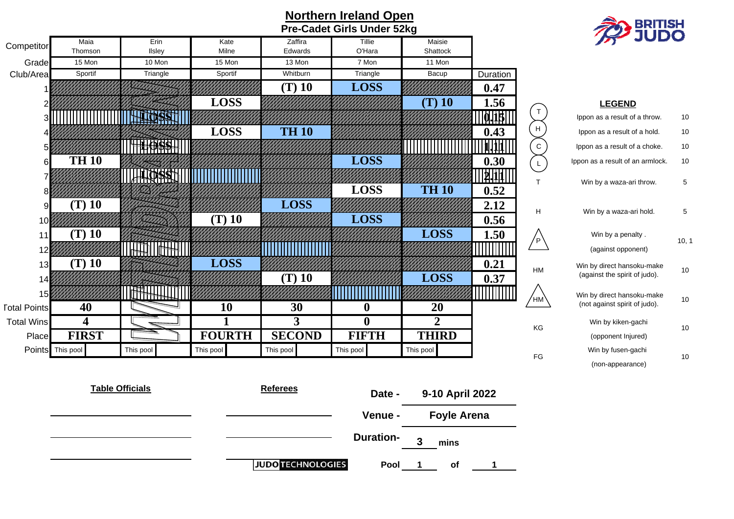



(non-appearance)

10

5

10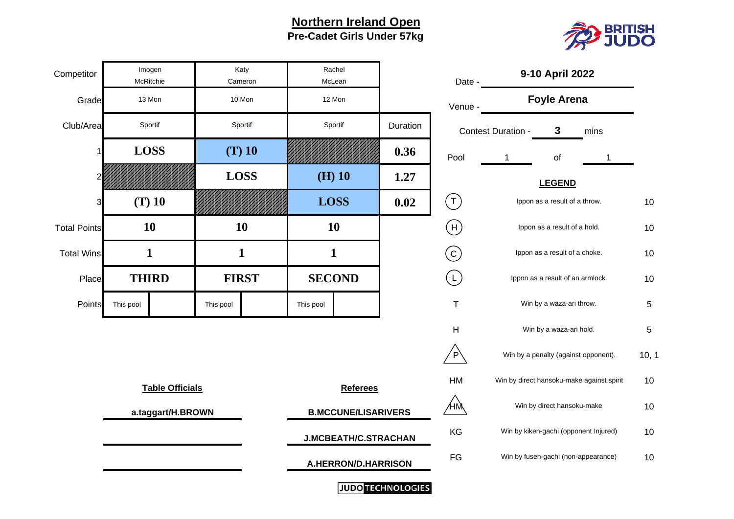**Northern Ireland Open Pre-Cadet Girls Under 57kg**



| Competitor          |              | Imogen<br>McRitchie    |              | Katy<br>Cameron             | Rachel<br>McLean    |                            |                                             | 9-10 April 2022<br>Date - |                            |                                           |     |
|---------------------|--------------|------------------------|--------------|-----------------------------|---------------------|----------------------------|---------------------------------------------|---------------------------|----------------------------|-------------------------------------------|-----|
| Grade               |              | 13 Mon                 |              | 10 Mon                      |                     | 12 Mon                     |                                             | Venue -                   |                            | <b>Foyle Arena</b>                        |     |
| Club/Area           |              | Sportif                |              | Sportif                     |                     | Sportif                    | Duration                                    |                           | <b>Contest Duration -</b>  | 3<br>mins                                 |     |
|                     |              | <b>LOSS</b>            |              | $(T)$ 10                    |                     |                            | 0.36                                        | Pool                      | 1                          | of                                        |     |
|                     |              |                        |              | <b>LOSS</b>                 | $(H)$ 10            |                            | 1.27                                        |                           |                            | <b>LEGEND</b>                             |     |
| 3                   |              | $(T)$ 10               |              |                             | <b>LOSS</b>         |                            | 0.02                                        | $(\tau)$                  |                            | Ippon as a result of a throw.             | 10  |
| <b>Total Points</b> |              | <b>10</b>              |              | 10                          | <b>10</b>           |                            |                                             | $(\mathsf{H})$            |                            | Ippon as a result of a hold.              | 10  |
| <b>Total Wins</b>   | $\mathbf{1}$ |                        | $\mathbf{1}$ |                             | $\mathbf{1}$        |                            |                                             | $\odot$                   |                            | Ippon as a result of a choke.             | 10  |
| Place               |              | <b>THIRD</b>           |              | <b>FIRST</b>                |                     | <b>SECOND</b>              |                                             | $(\mathsf{L})$            |                            | Ippon as a result of an armlock.          | 10  |
| Points              | This pool    |                        | This pool    |                             | This pool           |                            |                                             | $\mathsf T$               |                            | Win by a waza-ari throw.                  | 5   |
|                     |              |                        |              |                             |                     |                            |                                             | Н                         |                            | Win by a waza-ari hold.                   | 5   |
|                     |              |                        |              |                             |                     |                            |                                             | $\overline{P}$            |                            | Win by a penalty (against opponent).      | 10, |
|                     |              | <b>Table Officials</b> |              |                             |                     | <b>Referees</b>            |                                             | HM                        |                            | Win by direct hansoku-make against spirit | 10  |
|                     |              | a.taggart/H.BROWN      |              |                             |                     | <b>B.MCCUNE/LISARIVERS</b> |                                             | ӔŅ                        | Win by direct hansoku-make |                                           |     |
|                     |              |                        |              | <b>J.MCBEATH/C.STRACHAN</b> |                     |                            | Win by kiken-gachi (opponent Injured)<br>KG |                           |                            | 10                                        |     |
|                     |              |                        |              |                             | A.HERRON/D.HARRISON |                            |                                             | FG                        |                            | Win by fusen-gachi (non-appearance)       | 10  |
|                     |              |                        |              |                             |                     | $\sim$ $\sim$ $\sim$       |                                             |                           |                            |                                           |     |

|                         | Date -    | 9-10 April 2022                                               |                                       |                                           |       |  |  |  |  |  |
|-------------------------|-----------|---------------------------------------------------------------|---------------------------------------|-------------------------------------------|-------|--|--|--|--|--|
|                         | Venue ·   |                                                               | <b>Foyle Arena</b>                    |                                           |       |  |  |  |  |  |
| ion                     |           | Contest Duration -                                            | 3                                     | mins                                      |       |  |  |  |  |  |
| 6                       | Pool      | 1                                                             | of                                    | 1                                         |       |  |  |  |  |  |
| 7                       |           |                                                               | <b>LEGEND</b>                         |                                           |       |  |  |  |  |  |
| $\overline{\mathbf{c}}$ | Τ         | Ippon as a result of a throw.<br>Ippon as a result of a hold. |                                       |                                           |       |  |  |  |  |  |
|                         | Н         |                                                               |                                       |                                           |       |  |  |  |  |  |
|                         |           | Ippon as a result of a choke.                                 |                                       |                                           |       |  |  |  |  |  |
|                         |           | Ippon as a result of an armlock.                              |                                       |                                           |       |  |  |  |  |  |
|                         | T         | Win by a waza-ari throw.                                      |                                       |                                           |       |  |  |  |  |  |
|                         | н         |                                                               | Win by a waza-ari hold.               |                                           | 5     |  |  |  |  |  |
|                         | P         |                                                               | Win by a penalty (against opponent).  |                                           | 10, 1 |  |  |  |  |  |
|                         | <b>HM</b> |                                                               |                                       | Win by direct hansoku-make against spirit | 10    |  |  |  |  |  |
|                         |           |                                                               | Win by direct hansoku-make            |                                           | 10    |  |  |  |  |  |
| N                       | KG        |                                                               | Win by kiken-gachi (opponent Injured) |                                           | 10    |  |  |  |  |  |
| J                       | FG        |                                                               | Win by fusen-gachi (non-appearance)   |                                           | 10    |  |  |  |  |  |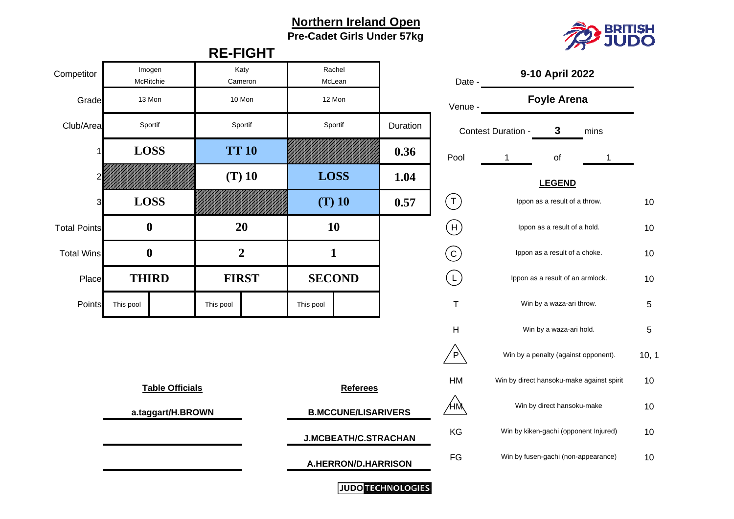# **Northern Ireland Open**



**Pre-Cadet Girls Under 57kg**

|                     |                     |                        |                             | <b>RE-FIGHT</b> |              |                            |                                       |                           | ---                              |                                           |     |  |
|---------------------|---------------------|------------------------|-----------------------------|-----------------|--------------|----------------------------|---------------------------------------|---------------------------|----------------------------------|-------------------------------------------|-----|--|
| Competitor          | Imogen<br>McRitchie |                        |                             | Katy<br>Cameron |              | Rachel<br>McLean           |                                       | Date -                    |                                  | 9-10 April 2022                           |     |  |
| Grade               | 13 Mon              |                        |                             | 10 Mon          |              | 12 Mon                     |                                       | Venue -                   |                                  | <b>Foyle Arena</b>                        |     |  |
| Club/Area           | Sportif             |                        |                             | Sportif         |              | Sportif                    | Duration                              |                           | Contest Duration -               | $\mathbf{3}$<br>mins                      |     |  |
|                     | <b>LOSS</b>         |                        |                             | <b>TT 10</b>    |              |                            | 0.36                                  | Pool                      | 1                                | of                                        |     |  |
|                     |                     |                        |                             | $(T)$ 10        | <b>LOSS</b>  |                            | 1.04                                  |                           | <b>LEGEND</b>                    |                                           |     |  |
| 3                   | <b>LOSS</b>         |                        |                             |                 |              | $(T)$ 10                   | 0.57                                  | $(\mathsf{T})$            |                                  | Ippon as a result of a throw.             | 10  |  |
| <b>Total Points</b> | $\boldsymbol{0}$    |                        |                             | 20              |              | 10                         |                                       | $(\mathsf{H})$            |                                  | Ippon as a result of a hold.              | 10  |  |
| <b>Total Wins</b>   | $\boldsymbol{0}$    |                        |                             | $\overline{2}$  | $\mathbf{1}$ |                            |                                       | $\rm (c)$                 |                                  | Ippon as a result of a choke.             | 10  |  |
| Place               | <b>THIRD</b>        |                        |                             | <b>FIRST</b>    |              | <b>SECOND</b>              |                                       | $\left(\mathsf{L}\right)$ | Ippon as a result of an armlock. |                                           | 10  |  |
| Points              | This pool           |                        | This pool                   |                 | This pool    |                            |                                       | T                         |                                  | Win by a waza-ari throw.                  | 5   |  |
|                     |                     |                        |                             |                 |              |                            |                                       | Н                         |                                  | Win by a waza-ari hold.                   | 5   |  |
|                     |                     |                        |                             |                 |              |                            |                                       | $\overline{P}$            |                                  | Win by a penalty (against opponent).      | 10, |  |
|                     |                     | <b>Table Officials</b> |                             |                 |              | <b>Referees</b>            |                                       | HM                        |                                  | Win by direct hansoku-make against spirit | 10  |  |
|                     |                     | a.taggart/H.BROWN      |                             |                 |              | <b>B.MCCUNE/LISARIVERS</b> | ÆМ                                    |                           |                                  | Win by direct hansoku-make                | 10  |  |
|                     |                     |                        | <b>J.MCBEATH/C.STRACHAN</b> |                 |              | KG                         | Win by kiken-gachi (opponent Injured) |                           | 10                               |                                           |     |  |
|                     |                     |                        |                             |                 |              | A.HERRON/D.HARRISON        |                                       | FG                        |                                  | Win by fusen-gachi (non-appearance)       | 10  |  |
|                     |                     |                        |                             |                 |              |                            | <b>JUDO TECHNOLOGIES</b>              |                           |                                  |                                           |     |  |

|     | Date -  | 9-10 April 2022               |                                     |                                           |       |  |  |  |  |  |  |
|-----|---------|-------------------------------|-------------------------------------|-------------------------------------------|-------|--|--|--|--|--|--|
|     | Venue - |                               | <b>Foyle Arena</b>                  |                                           |       |  |  |  |  |  |  |
| ion |         | Contest Duration -            | 3                                   | mins                                      |       |  |  |  |  |  |  |
| 6   | Pool    | 1                             | of                                  | 1                                         |       |  |  |  |  |  |  |
| 4   |         |                               | <b>LEGEND</b>                       |                                           |       |  |  |  |  |  |  |
| 7   |         | Ippon as a result of a throw. |                                     |                                           |       |  |  |  |  |  |  |
|     | Н       |                               | Ippon as a result of a hold.        |                                           |       |  |  |  |  |  |  |
|     |         |                               | Ippon as a result of a choke.       |                                           |       |  |  |  |  |  |  |
|     |         |                               | Ippon as a result of an armlock.    |                                           |       |  |  |  |  |  |  |
|     | Τ       |                               | Win by a waza-ari throw.            |                                           | 5     |  |  |  |  |  |  |
|     | н       |                               | Win by a waza-ari hold.             |                                           | 5     |  |  |  |  |  |  |
|     | P       |                               |                                     | Win by a penalty (against opponent).      | 10, 1 |  |  |  |  |  |  |
|     | нм      |                               |                                     | Win by direct hansoku-make against spirit | 10    |  |  |  |  |  |  |
|     |         |                               | Win by direct hansoku-make          |                                           | 10    |  |  |  |  |  |  |
| N   | KG      |                               |                                     | Win by kiken-gachi (opponent Injured)     | 10    |  |  |  |  |  |  |
|     | FG      |                               | Win by fusen-gachi (non-appearance) |                                           |       |  |  |  |  |  |  |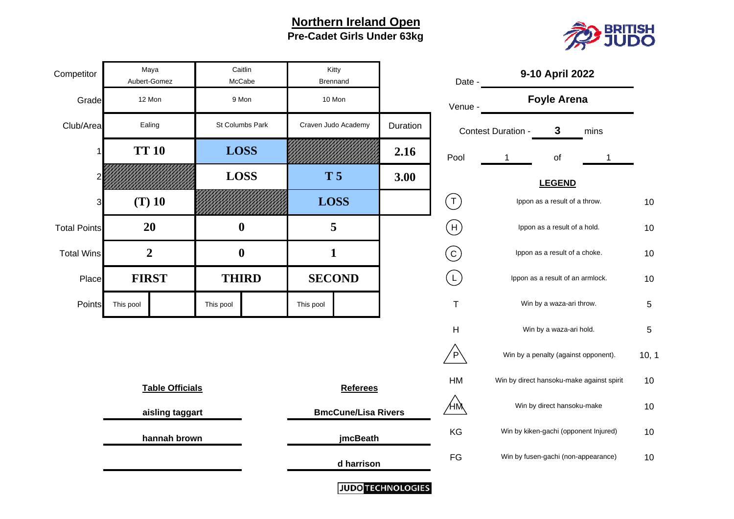#### **Northern Ireland Open Pre-Cadet Girls Under 63kg**



| Competitor          | Maya<br>Aubert-Gomez         | Caitlin<br>McCabe | Kitty<br><b>Brennand</b> |                            |                          | Date -         | 9-10 April 2022                           |     |
|---------------------|------------------------------|-------------------|--------------------------|----------------------------|--------------------------|----------------|-------------------------------------------|-----|
| Grade               | 12 Mon                       | 9 Mon             | 10 Mon                   |                            |                          | Venue -        | <b>Foyle Arena</b>                        |     |
| Club/Area           | Ealing                       | St Columbs Park   | Craven Judo Academy      |                            | Duration                 |                | 3<br>Contest Duration -<br>mins           |     |
|                     | <b>TT 10</b>                 | <b>LOSS</b>       |                          |                            | 2.16                     | Pool           | $\mathbf{1}$<br>of<br>1                   |     |
|                     |                              | <b>LOSS</b>       | <b>T5</b>                |                            | 3.00                     |                | <b>LEGEND</b>                             |     |
| 3                   | $(T)$ 10                     |                   | <b>LOSS</b>              |                            |                          | $(\mathsf{T})$ | Ippon as a result of a throw.             | 10  |
| <b>Total Points</b> | 20                           | $\boldsymbol{0}$  | 5                        |                            |                          | $(\mathsf{H})$ | Ippon as a result of a hold.              | 10  |
| <b>Total Wins</b>   | $\overline{2}$               | $\boldsymbol{0}$  | $\mathbf{1}$             |                            |                          | $\odot$        | Ippon as a result of a choke.             | 10  |
| Place               | <b>FIRST</b><br><b>THIRD</b> |                   | <b>SECOND</b>            |                            |                          | $(\mathsf{L})$ | Ippon as a result of an armlock.          | 10  |
| Points              | This pool                    | This pool         | This pool                |                            |                          | $\mathsf T$    | Win by a waza-ari throw.                  | 5   |
|                     |                              |                   |                          |                            |                          | H              | Win by a waza-ari hold.                   | 5   |
|                     |                              |                   |                          |                            |                          | $\overline{P}$ | Win by a penalty (against opponent).      | 10, |
|                     | <b>Table Officials</b>       |                   |                          | <b>Referees</b>            |                          | HM             | Win by direct hansoku-make against spirit | 10  |
|                     | aisling taggart              |                   |                          | <b>BmcCune/Lisa Rivers</b> |                          | ⁄нӎ            | Win by direct hansoku-make                | 10  |
|                     | hannah brown                 |                   |                          | jmcBeath                   |                          | KG             | Win by kiken-gachi (opponent Injured)     | 10  |
|                     |                              |                   | d harrison               |                            |                          | FG             | Win by fusen-gachi (non-appearance)       | 10  |
|                     |                              |                   |                          |                            | <b>IUDO TECHNOLOGIES</b> |                |                                           |     |

| 10    |
|-------|
| 10    |
| 10    |
| 10    |
| 5     |
| 5     |
| 10, 1 |
| 10    |
| 10    |
| 10    |
| 10    |
|       |

וטטען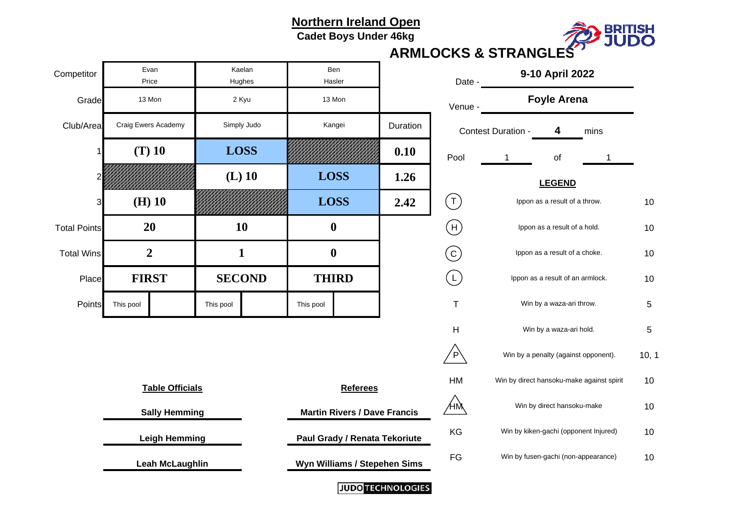#### **Northern Ireland Open**

**Cadet Boys Under 46kg**



# **ARMLOCKS & STRANGLES**

| Competitor          | Evan<br>Price                                | Kaelan<br>Hughes |               |                              | Ben<br>Hasler                 |                           | Date -                              | 9-10 April 2022                                                                                |                                      |                                           |     |  |  |  |
|---------------------|----------------------------------------------|------------------|---------------|------------------------------|-------------------------------|---------------------------|-------------------------------------|------------------------------------------------------------------------------------------------|--------------------------------------|-------------------------------------------|-----|--|--|--|
| Grade               | 13 Mon<br>2 Kyu                              |                  |               |                              | 13 Mon                        |                           | Venue -                             | <b>Foyle Arena</b>                                                                             |                                      |                                           |     |  |  |  |
| Club/Area           | Craig Ewers Academy                          |                  | Simply Judo   |                              | Kangei                        | Duration                  |                                     | Contest Duration -                                                                             | mins                                 |                                           |     |  |  |  |
|                     | $(T)$ 10                                     | <b>LOSS</b>      |               |                              |                               | 0.10                      | Pool                                | 1                                                                                              | of                                   |                                           |     |  |  |  |
|                     | $(L)$ 10<br>$(H)$ 10<br>3                    |                  |               | <b>LOSS</b>                  |                               | 1.26                      |                                     | <b>LEGEND</b>                                                                                  |                                      |                                           |     |  |  |  |
|                     |                                              |                  |               | <b>LOSS</b>                  |                               | 2.42                      | $(\tau)$                            | Ippon as a result of a throw.<br>Ippon as a result of a hold.<br>Ippon as a result of a choke. |                                      |                                           |     |  |  |  |
| <b>Total Points</b> | <b>20</b>                                    | 10               | $\bf{0}$      |                              |                               | $(\mathsf{H})$            |                                     |                                                                                                |                                      |                                           |     |  |  |  |
| <b>Total Wins</b>   | $\overline{2}$                               | $\mathbf{1}$     |               | $\boldsymbol{0}$             |                               |                           | $\rm (c)$                           |                                                                                                |                                      |                                           |     |  |  |  |
| Place               | <b>FIRST</b>                                 |                  | <b>SECOND</b> |                              | <b>THIRD</b>                  |                           | $\left(\mathsf{L}\right)$           | Ippon as a result of an armlock.                                                               |                                      |                                           |     |  |  |  |
| Points              | This pool                                    | This pool        |               | This pool                    |                               |                           | $\mathsf T$                         |                                                                                                | Win by a waza-ari throw.             |                                           | 5   |  |  |  |
|                     |                                              |                  |               |                              |                               | $\boldsymbol{\mathsf{H}}$ | Win by a waza-ari hold.             |                                                                                                |                                      |                                           |     |  |  |  |
|                     |                                              |                  |               |                              |                               |                           | $\overline{P}$                      |                                                                                                | Win by a penalty (against opponent). |                                           | 10, |  |  |  |
|                     | <b>Table Officials</b>                       |                  |               |                              | <b>Referees</b>               |                           | HM                                  |                                                                                                |                                      | Win by direct hansoku-make against spirit | 10  |  |  |  |
|                     | <b>Martin Rivers / Dave Francis</b>          |                  |               | ⁄нм                          | Win by direct hansoku-make    |                           |                                     |                                                                                                |                                      |                                           |     |  |  |  |
|                     | <b>Sally Hemming</b><br><b>Leigh Hemming</b> |                  |               |                              | Paul Grady / Renata Tekoriute |                           |                                     | Win by kiken-gachi (opponent Injured)                                                          |                                      | 10                                        |     |  |  |  |
|                     | <b>Leah McLaughlin</b>                       |                  |               | Wyn Williams / Stepehen Sims |                               |                           | Win by fusen-gachi (non-appearance) |                                                                                                |                                      | 10                                        |     |  |  |  |
|                     |                                              |                  |               |                              |                               | <b>ILIDO TECHNOLOGIES</b> |                                     |                                                                                                |                                      |                                           |     |  |  |  |

|                         | Date -    | 9-10 April 2022                           |       |
|-------------------------|-----------|-------------------------------------------|-------|
|                         | Venue -   | <b>Foyle Arena</b>                        |       |
| ion                     |           | Contest Duration -<br>4<br>mins           |       |
| 0                       | Pool      | of<br>1<br>1                              |       |
| 6                       |           | <b>LEGEND</b>                             |       |
| $\overline{\mathbf{2}}$ |           | Ippon as a result of a throw.             | 10    |
|                         | Н         | Ippon as a result of a hold.              | 10    |
|                         |           | Ippon as a result of a choke.             | 10    |
|                         |           | Ippon as a result of an armlock.          | 10    |
|                         | T         | Win by a waza-ari throw.                  | 5     |
|                         | н         | Win by a waza-ari hold.                   | 5     |
|                         | P         | Win by a penalty (against opponent).      | 10, 1 |
|                         | <b>HM</b> | Win by direct hansoku-make against spirit | 10    |
| ∶is                     | t٨        | Win by direct hansoku-make                | 10    |
| ute                     | KG        | Win by kiken-gachi (opponent Injured)     | 10    |
| ms                      | FG        | Win by fusen-gachi (non-appearance)       | 10    |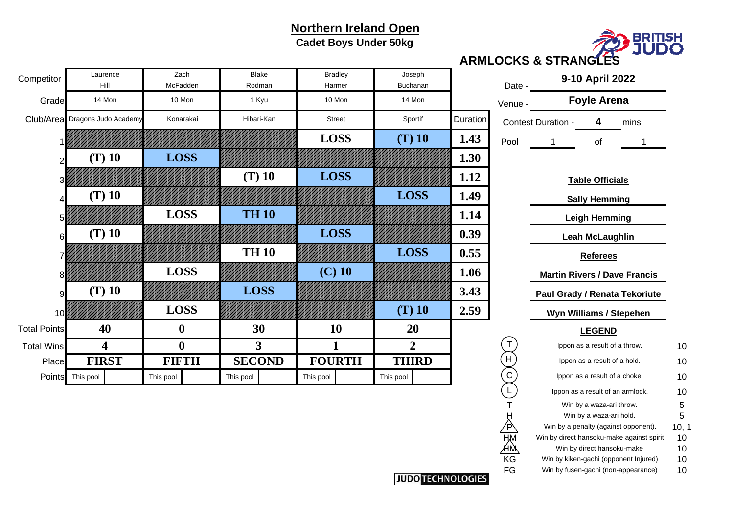# **Northern Ireland Open**

**Cadet Boys Under 50kg**



**ARMLOCKS & STRANGLES**

| Competitor          | Laurence<br>Hill     | Zach<br>McFadden | <b>Blake</b><br>Rodman | <b>Bradley</b><br>Harmer | Joseph<br>Buchanan |          | Date -  | 9-10 April 2022                        |    |  |
|---------------------|----------------------|------------------|------------------------|--------------------------|--------------------|----------|---------|----------------------------------------|----|--|
| Grade               | 14 Mon               | 10 Mon           | 1 Kyu                  | 10 Mon                   | 14 Mon             |          | Venue - | <b>Foyle Arena</b>                     |    |  |
| Club/Area           | Dragons Judo Academy | Konarakai        | Hibari-Kan             | <b>Street</b>            | Sportif            | Duration |         | <b>Contest Duration -</b><br>4<br>mins |    |  |
|                     |                      |                  |                        | <b>LOSS</b>              | $(T)$ 10           | 1.43     | Pool    | оf                                     |    |  |
|                     | $(T)$ 10             | <b>LOSS</b>      |                        |                          |                    | 1.30     |         |                                        |    |  |
|                     |                      |                  | $(T)$ 10               | <b>LOSS</b>              |                    | 1.12     |         | <b>Table Officials</b>                 |    |  |
|                     | $(T)$ 10             |                  |                        |                          | <b>LOSS</b>        | 1.49     |         | <b>Sally Hemming</b>                   |    |  |
|                     |                      | <b>LOSS</b>      | <b>TH 10</b>           |                          |                    | 1.14     |         | <b>Leigh Hemming</b>                   |    |  |
| 6                   | $(T)$ 10             |                  |                        | <b>LOSS</b>              |                    | 0.39     |         | Leah McLaughlin                        |    |  |
|                     |                      |                  | <b>TH 10</b>           |                          | <b>LOSS</b>        | 0.55     |         | <b>Referees</b>                        |    |  |
|                     |                      | <b>LOSS</b>      |                        | $(C)$ 10                 |                    | 1.06     |         | <b>Martin Rivers / Dave Francis</b>    |    |  |
|                     | $(T)$ 10             |                  | <b>LOSS</b>            |                          |                    | 3.43     |         | Paul Grady / Renata Tekoriute          |    |  |
| 10                  |                      | <b>LOSS</b>      |                        |                          | $(T)$ 10           | 2.59     |         | Wyn Williams / Stepehen                |    |  |
| <b>Total Points</b> | 40                   | $\boldsymbol{0}$ | 30                     | 10                       | 20                 |          |         | <b>LEGEND</b>                          |    |  |
| <b>Total Wins</b>   | 4                    | $\boldsymbol{0}$ | $\mathbf{3}$           |                          | $\overline{2}$     |          |         | Ippon as a result of a throw.          | 10 |  |
| Place               | <b>FIRST</b>         | <b>FIFTH</b>     | <b>SECOND</b>          | <b>FOURTH</b>            | <b>THIRD</b>       |          | H       | Ippon as a result of a hold.           | 10 |  |
|                     | Points This pool     | This pool        | This pool              | This pool                | This pool          |          | C       | Ippon as a result of a choke.          | 10 |  |
|                     |                      |                  |                        |                          |                    |          |         | Innon as a result of an armlock        | 10 |  |

| Sportif     | Duration |          | <b>Contest Duration -</b> | 4<br>mins                                                                    |          |  |  |  |  |  |  |  |
|-------------|----------|----------|---------------------------|------------------------------------------------------------------------------|----------|--|--|--|--|--|--|--|
| (T) 10      | 1.43     | Pool     | 1                         | οf                                                                           | 1        |  |  |  |  |  |  |  |
|             | 1.30     |          |                           |                                                                              |          |  |  |  |  |  |  |  |
|             | 1.12     |          |                           | <b>Table Officials</b>                                                       |          |  |  |  |  |  |  |  |
| <b>LOSS</b> | 1.49     |          |                           | <b>Sally Hemming</b>                                                         |          |  |  |  |  |  |  |  |
|             | 1.14     |          |                           | <b>Leigh Hemming</b>                                                         |          |  |  |  |  |  |  |  |
|             | 0.39     |          |                           | <b>Leah McLaughlin</b>                                                       |          |  |  |  |  |  |  |  |
| <b>LOSS</b> | 0.55     |          |                           | <b>Referees</b>                                                              |          |  |  |  |  |  |  |  |
|             | 1.06     |          |                           | <b>Martin Rivers / Dave Francis</b>                                          |          |  |  |  |  |  |  |  |
|             | 3.43     |          |                           | <b>Paul Grady / Renata Tekoriute</b>                                         |          |  |  |  |  |  |  |  |
| $(T)$ 10    | 2.59     |          |                           |                                                                              |          |  |  |  |  |  |  |  |
|             |          |          |                           | Wyn Williams / Stepehen                                                      |          |  |  |  |  |  |  |  |
| 20          |          |          |                           | <b>LEGEND</b>                                                                |          |  |  |  |  |  |  |  |
|             |          | Т        |                           | Ippon as a result of a throw.                                                | 10       |  |  |  |  |  |  |  |
| <b>HIRD</b> |          | H        |                           | Ippon as a result of a hold.                                                 | 10       |  |  |  |  |  |  |  |
| loo         |          | C        |                           | Ippon as a result of a choke.                                                | 10       |  |  |  |  |  |  |  |
|             |          | L        |                           | Ippon as a result of an armlock.                                             | 10       |  |  |  |  |  |  |  |
|             |          |          |                           | Win by a waza-ari throw.                                                     | 5        |  |  |  |  |  |  |  |
|             |          | H        |                           | Win by a waza-ari hold.                                                      | 5        |  |  |  |  |  |  |  |
|             |          | P        |                           | Win by a penalty (against opponent).                                         | 10, 1    |  |  |  |  |  |  |  |
|             |          | HМ       |                           | Win by direct hansoku-make against spirit                                    | 10       |  |  |  |  |  |  |  |
|             |          | ΉŃ       |                           | Win by direct hansoku-make                                                   | 10       |  |  |  |  |  |  |  |
|             |          | ΚG<br>FG |                           | Win by kiken-gachi (opponent Injured)<br>Win by fusen-gachi (non-appearance) | 10<br>10 |  |  |  |  |  |  |  |

**JUDO TECHNOLOGIES**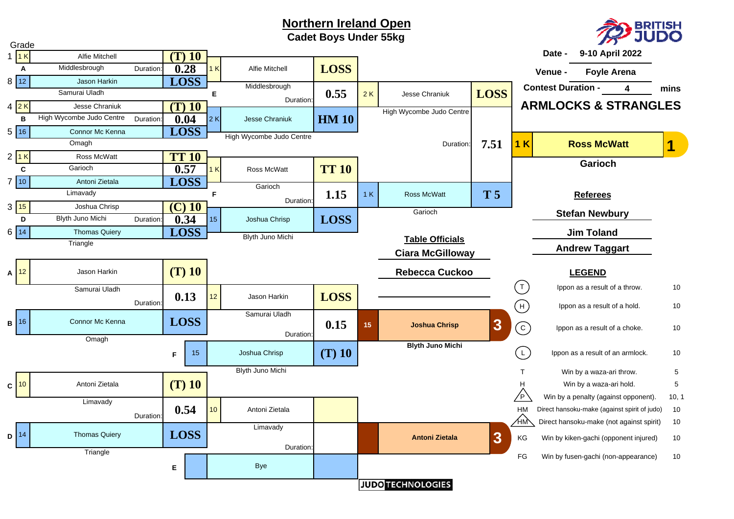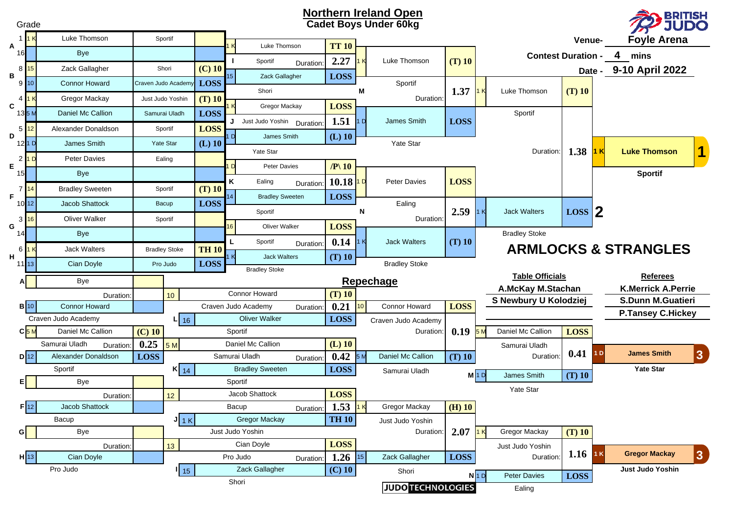|                      | <b>Northern Ireland Open</b><br><b>BRITISH<br/>JUDO</b><br><b>Cadet Boys Under 60kg</b><br>Grade |                                                                      |                      |                    |                                               |    |                                                            |               |                       |                 |                          |                                 |                    |                           |                  |                    |                            |
|----------------------|--------------------------------------------------------------------------------------------------|----------------------------------------------------------------------|----------------------|--------------------|-----------------------------------------------|----|------------------------------------------------------------|---------------|-----------------------|-----------------|--------------------------|---------------------------------|--------------------|---------------------------|------------------|--------------------|----------------------------|
|                      |                                                                                                  | Luke Thomson                                                         | Sportif              |                    |                                               |    |                                                            |               |                       |                 |                          |                                 |                    | Venue-                    |                  | <b>Foyle Arena</b> |                            |
| Α<br>161             |                                                                                                  | <b>Bye</b>                                                           |                      |                    |                                               |    | Luke Thomson                                               |               | <b>TT 10</b>          |                 |                          |                                 |                    | <b>Contest Duration -</b> |                  | 4<br>mins          |                            |
|                      | 8 15                                                                                             | Zack Gallagher                                                       |                      | Shori              | $(C)$ 10                                      |    | Sportif                                                    | Duration:     | 2.27                  |                 | Luke Thomson             | $(T)$ 10                        |                    |                           |                  |                    | Date - 9-10 April 2022     |
| в                    | 910                                                                                              | <b>Connor Howard</b>                                                 |                      | Craven Judo Academ | <b>LOSS</b>                                   |    | Zack Gallagher                                             |               | <b>LOSS</b>           |                 | Sportif                  |                                 |                    |                           |                  |                    |                            |
| 4                    |                                                                                                  | Gregor Mackay                                                        |                      | Just Judo Yoshin   | $(T)$ 10                                      |    | Shori                                                      |               |                       | М               | Duration:                | 1.37                            |                    | Luke Thomson              | $(T)$ 10         |                    |                            |
| C<br>135N            |                                                                                                  | Daniel Mc Callion                                                    |                      | Samurai Uladh      | <b>LOSS</b>                                   |    | Gregor Mackay                                              |               | <b>LOSS</b>           |                 |                          |                                 |                    | Sportif                   |                  |                    |                            |
|                      |                                                                                                  |                                                                      |                      |                    |                                               |    | J Just Judo Yoshin Duration:                               |               | 1.51                  | D               | James Smith              | <b>LOSS</b>                     |                    |                           |                  |                    |                            |
| $5\phantom{.0}$<br>D | 12                                                                                               | Alexander Donaldson                                                  |                      | Sportif            | <b>LOSS</b>                                   |    | James Smith                                                |               | $(L)$ 10              |                 |                          |                                 |                    |                           |                  |                    |                            |
|                      | 121D                                                                                             | James Smith                                                          |                      | Yate Star          | $(L)$ 10                                      |    | Yate Star                                                  |               |                       |                 | Yate Star                |                                 |                    | Duration:                 | 1.38             | l Kl               | 1<br><b>Luke Thomson</b>   |
| E                    | 21D                                                                                              | <b>Peter Davies</b>                                                  |                      | Ealing             |                                               |    | Peter Davies                                               |               | $/ P \backslash 10$   |                 |                          |                                 |                    |                           |                  |                    |                            |
| 15                   |                                                                                                  | <b>Bye</b>                                                           |                      |                    |                                               | K  | Ealing                                                     |               | 10.18                 | D               | Peter Davies             | <b>LOSS</b>                     |                    |                           |                  |                    | <b>Sportif</b>             |
| 7 <sub>1</sub><br>F. | 14                                                                                               | <b>Bradley Sweeten</b>                                               |                      | Sportif            | $(T)$ 10                                      |    | <b>Bradley Sweeten</b>                                     | Duration:     | <b>LOSS</b>           |                 |                          |                                 |                    |                           |                  |                    |                            |
| $10$ $12$            |                                                                                                  | Jacob Shattock                                                       |                      | Bacup              | <b>LOSS</b>                                   |    |                                                            |               |                       |                 | Ealing                   |                                 | 1K                 | <b>Jack Walters</b>       |                  |                    |                            |
|                      | $3\overline{16}$                                                                                 | <b>Oliver Walker</b>                                                 |                      | Sportif            |                                               |    | Sportif                                                    |               |                       | N               | Duration:                | 2.59                            |                    |                           | $\text{Loss}$  2 |                    |                            |
| G<br>14              |                                                                                                  | Bye                                                                  |                      |                    |                                               | 16 | Oliver Walker                                              |               | <b>LOSS</b>           |                 |                          |                                 |                    | <b>Bradley Stoke</b>      |                  |                    |                            |
| 6                    |                                                                                                  | <b>Jack Walters</b>                                                  | <b>Bradley Stoke</b> |                    | <b>TH 10</b>                                  |    | 0.14<br>Sportif<br><b>Jack Walters</b><br>1 K<br>Duration: |               | $(T)$ 10              |                 |                          | <b>ARMLOCKS &amp; STRANGLES</b> |                    |                           |                  |                    |                            |
| н<br>11113           |                                                                                                  | Cian Doyle                                                           |                      | Pro Judo           | <b>LOSS</b>                                   | K  | <b>Jack Walters</b>                                        |               | $(T)$ 10              |                 | <b>Bradley Stoke</b>     |                                 |                    |                           |                  |                    |                            |
|                      |                                                                                                  | Bye                                                                  |                      |                    |                                               |    | <b>Bradley Stoke</b>                                       |               |                       |                 |                          |                                 |                    | <b>Table Officials</b>    |                  |                    | <b>Referees</b>            |
|                      |                                                                                                  | Duration:                                                            |                      | 10 <sup>°</sup>    |                                               |    | <b>Connor Howard</b>                                       |               | Repechage<br>$(T)$ 10 |                 |                          |                                 |                    | A.McKay M.Stachan         |                  |                    | <b>K.Merrick A.Perrie</b>  |
|                      | $B$ 10                                                                                           | <b>Connor Howard</b>                                                 |                      |                    |                                               |    | Craven Judo Academy                                        | Duration:     | 0.21                  | 10 <sup>°</sup> | Connor Howard            | <b>LOSS</b>                     |                    | S Newbury U Kolodziej     |                  |                    | <b>S.Dunn M.Guatieri</b>   |
|                      |                                                                                                  | Craven Judo Academy                                                  |                      | $L$ 16             |                                               |    | <b>Oliver Walker</b>                                       |               | <b>LOSS</b>           |                 | Craven Judo Academy      |                                 |                    |                           |                  |                    | <b>P.Tansey C.Hickey</b>   |
|                      | $C$ <sub>5M</sub>                                                                                | Daniel Mc Callion                                                    | $(C)$ 10             |                    |                                               |    | Sportif                                                    |               |                       |                 | <b>Duration</b>          | 0.19                            |                    | Daniel Mc Callion         | <b>LOSS</b>      |                    |                            |
|                      |                                                                                                  | Samurai Uladh<br>Duration:                                           | 0.25                 | 5M                 |                                               |    | Daniel Mc Callion                                          |               | $(L)$ 10              |                 |                          |                                 |                    | Samurai Uladh             |                  |                    |                            |
|                      | $D$ 12                                                                                           | Alexander Donaldson                                                  | <b>LOSS</b>          |                    |                                               |    | Samurai Uladh                                              | Duration:     | 0.42                  | 5 N             | Daniel Mc Callion        | $(T)$ 10                        |                    | Duration:                 | 0.41             | 1 <sub>D</sub>     | <b>James Smith</b><br> 3   |
|                      |                                                                                                  | Sportif                                                              |                      | $K_{14}$           |                                               |    | <b>Bradley Sweeten</b>                                     |               | <b>LOSS</b>           |                 | Samurai Uladh            |                                 | $M$ <sub>1</sub> D | James Smith               | $(T)$ 10         |                    | <b>Yate Star</b>           |
|                      |                                                                                                  | Bye                                                                  |                      |                    |                                               |    | Sportif                                                    |               |                       |                 |                          |                                 |                    | <b>Yate Star</b>          |                  |                    |                            |
|                      |                                                                                                  | Duration:                                                            |                      | 12 <sup>°</sup>    |                                               |    | Jacob Shattock                                             |               | <b>LOSS</b>           |                 |                          |                                 |                    |                           |                  |                    |                            |
|                      | $F$ 12                                                                                           | Jacob Shattock                                                       |                      |                    |                                               |    | Bacup                                                      | Duration:     | 1.53                  | 1K              | Gregor Mackay            | $(H)$ 10                        |                    |                           |                  |                    |                            |
| GI                   |                                                                                                  | <b>Gregor Mackay</b><br>Bacup<br>$J_{1K}$<br>Bye<br>Just Judo Yoshin |                      |                    | <b>TH 10</b><br>Just Judo Yoshin<br>Duration: |    | $2.07$ 1 K                                                 | Gregor Mackay |                       | $(T)$ 10        |                          |                                 |                    |                           |                  |                    |                            |
|                      |                                                                                                  | Duration:                                                            |                      | 13 <sup>°</sup>    |                                               |    | Cian Doyle                                                 |               | <b>LOSS</b>           |                 |                          |                                 |                    | Just Judo Yoshin          |                  |                    |                            |
|                      | $H$ 13                                                                                           | Cian Doyle                                                           |                      |                    |                                               |    | Pro Judo                                                   | Duration:     | 1.26                  | 15              | Zack Gallagher           | <b>LOSS</b>                     |                    | Duration                  | $1.16$ 1 K       |                    | <b>Gregor Mackay</b><br> 3 |
|                      |                                                                                                  | Pro Judo                                                             |                      | 15                 |                                               |    | Zack Gallagher                                             |               | $(C)$ 10              |                 | Shori                    |                                 |                    |                           |                  |                    | Just Judo Yoshin           |
|                      |                                                                                                  |                                                                      |                      |                    |                                               |    | Shori                                                      |               |                       |                 | <b>JUDO TECHNOLOGIES</b> |                                 | $N$ <sub>1</sub> D | Peter Davies<br>Ealing    | <b>LOSS</b>      |                    |                            |
|                      |                                                                                                  |                                                                      |                      |                    |                                               |    |                                                            |               |                       |                 |                          |                                 |                    |                           |                  |                    |                            |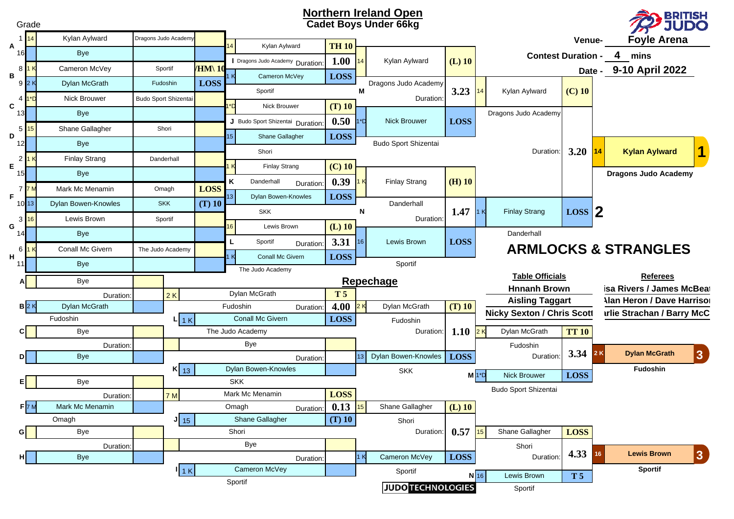#### **Northern Ireland Open Cadet Boys Under 66kg**

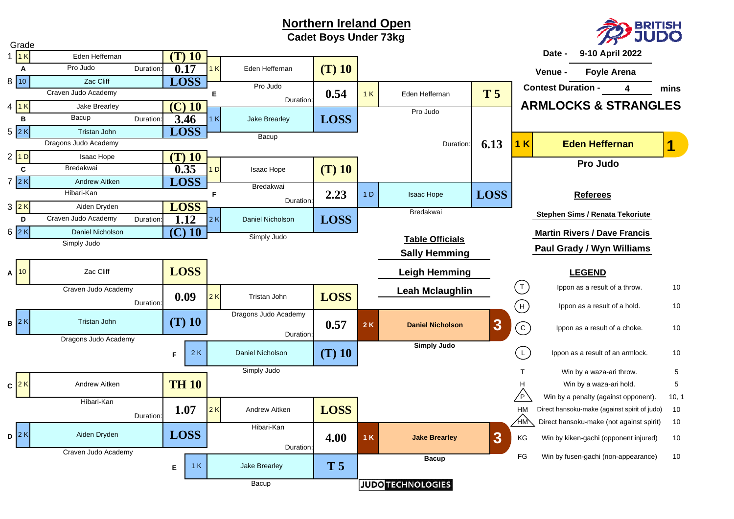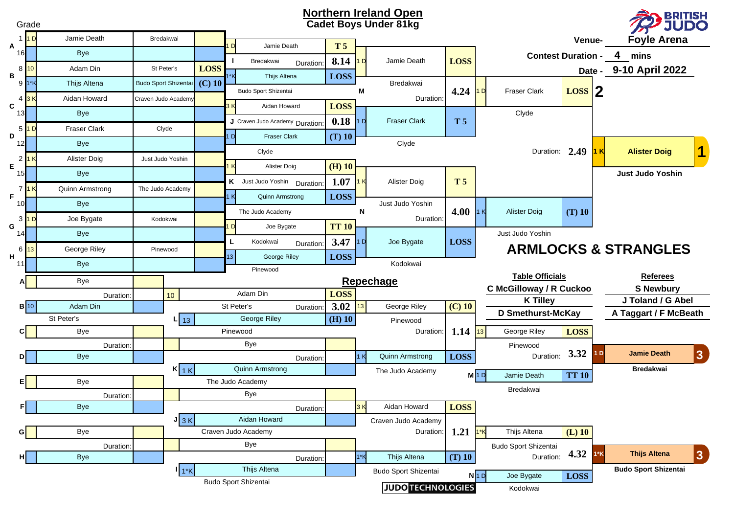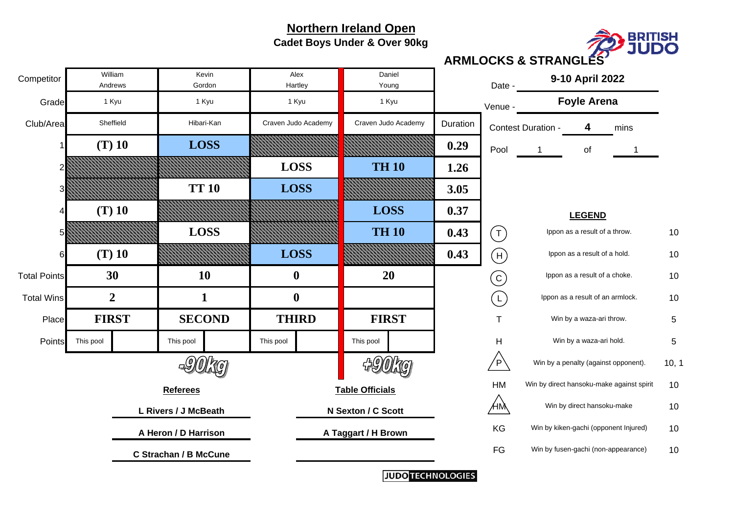**Cadet Boys Under & Over 90kg**



Grade<u>d</u> and the contract of the contract of the contract of the contract of the contract of the contract of the contract of the contract of the contract of the contract of the contract of the contract of the contract of the co Club/Areaa Sheffield **Hibari-Kan** Craven Judo Academy Craven Judo Academy Duration Contest Duration - 4 4 mins 11 (T) 10 | LOSS NAMARIAN ANAHIMANA 0.29 Pool 1 of 12 **1.26**1.26 3 **3.05**3.05 4 **0.37** $0.37$ 5 **0.43** $3$   $($   $\top$   $)$  lppon as a result of a throw.  $10$ 66 (T) 10 *MMMMMMMMM EOSS EMMMMMMMM 0.*43  $3$   $\pm$  (H) Ippon as a result of a hold.  $10$ Total Pointss and the control of  $10$  and  $10$  and  $10$  and  $10$  and  $10$  and  $10$  and  $10$  and  $10$  and  $10$  and  $10$  and  $10$ Total Wins 10Ippon as a result of an armlock.  $10$ Place T 5 Win by a waza-ari throw. PointsS This pool This pool This pool This pool This pool This pool This pool This pool This Pool This Pool This Pool This Pool This Pool This Pool This Pool This Pool This Pool This Pool This Pool This Pool This Pool This Pool  $\mathsf{P}\setminus\mathsf{I}$  Win by a penalty (against opponent).  $\blacksquare\mathsf{10},\mathsf{10}$ HM Win by direct hansoku-make against spirit 10  $10$  $\mathsf{HM} \hspace{1.5cm} 10$ **n** the setterm of **A Taggart / H Brown** the setterm of KG the Win by kiken-gachi (opponent Injured) of the set FG Win by fusen-gachi (non-appearance) 10  $10$ **(T) 10 LOSS LOSS TH 10(T) 10 LOSS TT 10 LOSS LOSS TH 10 (T) 10 LOSS A Taggart / H Brown 9-10 April 2022 30**SheffieldAndrewsWilliamHibari-Kan Craven Judo Academy **10**Craven Judo Academy **C Strachan / B McCune Referees Table Officials A Heron / D Harrison**Date -DanielHartley **N** Young Alex**0 20** Competitor William Kevin<br>Andrews Gordon **Foyle Arena L Rivers / J McBeath N Sexton / C Scott LEGEND 1 0FIRST**1 Kyu 1 Kyu 1 Kyu 1 Kyu **2SECOND THIRD FIRST**Win by a waza-ari hold. T H C  $(L)$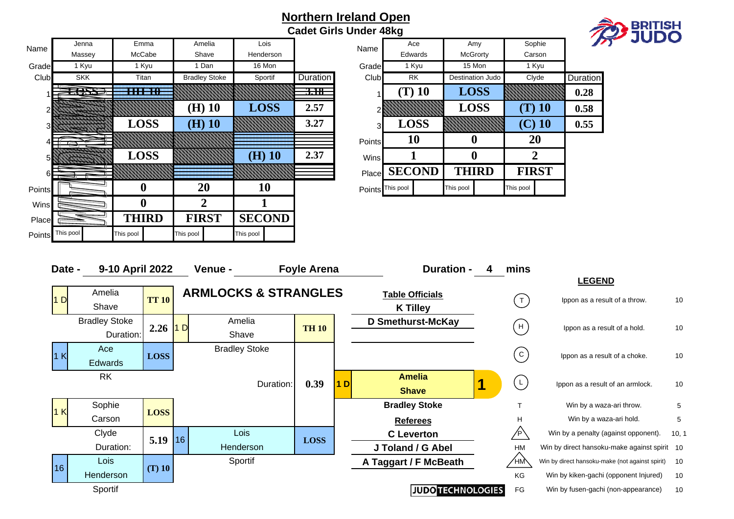**Cadet Girls Under 48kg**



|        | Jenna      | Emma             | Amelia               | Lois          |                 |                  | Ace           | Amy              | Sophie         |                 |
|--------|------------|------------------|----------------------|---------------|-----------------|------------------|---------------|------------------|----------------|-----------------|
| Name   | Massey     | McCabe           | Shave                | Henderson     |                 | Name             | Edwards       | McGrorty         | Carson         |                 |
| Grade  | 1 Kyu      | 1 Kyu            | 1 Dan                | 16 Mon        |                 | Grade            | 1 Kyu         | 15 Mon           | 1 Kyu          |                 |
| Club   | <b>SKK</b> | Titan            | <b>Bradley Stoke</b> | Sportif       | Duration        | Club             | <b>RK</b>     | Destination Judo | Clyde          | <b>Duration</b> |
|        | ERRE       | <b>HH 10</b>     |                      |               | <del>3.18</del> |                  | $(T)$ 10      | <b>LOSS</b>      |                | 0.28            |
|        |            |                  | $(H)$ 10             | <b>LOSS</b>   | 2.57            |                  |               | <b>LOSS</b>      | $(T)$ 10       | 0.58            |
|        | 77777      | <b>LOSS</b>      | $(H)$ 10             |               | 3.27            | 3 <sub>l</sub>   | <b>LOSS</b>   |                  | $(C)$ 10       | 0.55            |
|        |            |                  |                      |               |                 | Points           | <b>10</b>     | $\bf{0}$         | 20             |                 |
|        |            | <b>LOSS</b>      |                      | $(H)$ 10      | 2.37            | Wins             |               | $\boldsymbol{0}$ | $\overline{2}$ |                 |
|        |            |                  |                      |               |                 | Place            | <b>SECOND</b> | <b>THIRD</b>     | <b>FIRST</b>   |                 |
| Points |            | $\boldsymbol{0}$ | 20                   | 10            |                 | Points This pool |               | This pool        | This pool      |                 |
| Wins   |            | $\boldsymbol{0}$ | $\overline{2}$       |               |                 |                  |               |                  |                |                 |
| Place  |            | <b>THIRD</b>     | <b>FIRST</b>         | <b>SECOND</b> |                 |                  |               |                  |                |                 |
| Points | This pool  | This pool        | This pool            | This pool     |                 |                  |               |                  |                |                 |

| Lois       |                 |                |                  | Ace         |             | Amy                     |              | Sophie       |                 | ,, |
|------------|-----------------|----------------|------------------|-------------|-------------|-------------------------|--------------|--------------|-----------------|----|
| enderson   |                 | Name           |                  | Edwards     |             | McGrorty                |              | Carson       |                 |    |
| 16 Mon     |                 | Grade          |                  | 1 Kyu       |             | 15 Mon                  |              | 1 Kyu        |                 |    |
| Sportif    | <b>Duration</b> | Club           |                  | <b>RK</b>   |             | <b>Destination Judo</b> |              | Clyde        | <b>Duration</b> |    |
|            | <del>3.18</del> |                | $(T)$ 10         |             | <b>LOSS</b> |                         |              |              | 0.28            |    |
| <b>OSS</b> | 2.57            | 2              |                  |             |             | <b>LOSS</b>             |              | $\bf (T)$ 10 | 0.58            |    |
|            | 3.27            | $\overline{3}$ |                  | <b>LOSS</b> |             |                         |              | $(C)$ 10     | 0.55            |    |
|            |                 | <b>Points</b>  | 10               |             | U           |                         | 20           |              |                 |    |
| $H)$ 10    | 2.37            | <b>Wins</b>    |                  |             |             | U                       |              | 2            |                 |    |
|            |                 | Place          | <b>SECOND</b>    |             |             | <b>THIRD</b>            | <b>FIRST</b> |              |                 |    |
| 10         |                 |                | Points This pool |             | This pool   |                         | This pool    |              |                 |    |

| Date -         | 9-10 April 2022      |              | Venue -                         |           | <b>Foyle Arena</b> |                | <b>Duration -</b>        | 4 | mins         |                                                 |       |
|----------------|----------------------|--------------|---------------------------------|-----------|--------------------|----------------|--------------------------|---|--------------|-------------------------------------------------|-------|
|                |                      |              |                                 |           |                    |                |                          |   |              | <b>LEGEND</b>                                   |       |
| 1 <sub>D</sub> | Amelia               | <b>TT 10</b> | <b>ARMLOCKS &amp; STRANGLES</b> |           |                    |                | <b>Table Officials</b>   |   | T            | Ippon as a result of a throw.                   | 10    |
|                | Shave                |              |                                 |           |                    |                | <b>K Tilley</b>          |   |              |                                                 |       |
|                | <b>Bradley Stoke</b> |              | Amelia                          |           |                    |                | <b>D Smethurst-McKay</b> |   | H            |                                                 | 10    |
|                | Duration:            | 2.26         | D<br>Shave                      |           | <b>TH 10</b>       |                |                          |   |              | Ippon as a result of a hold.                    |       |
| 1K             | Ace                  |              | <b>Bradley Stoke</b>            |           |                    |                |                          |   | $\mathbf{C}$ |                                                 | 10    |
|                | Edwards              | <b>LOSS</b>  |                                 |           |                    |                |                          |   |              | Ippon as a result of a choke.                   |       |
|                | <b>RK</b>            |              |                                 |           |                    |                | <b>Amelia</b>            |   | $\mathsf{L}$ |                                                 |       |
|                |                      |              |                                 | Duration: | 0.39               | 1 <sub>D</sub> | <b>Shave</b>             |   |              | Ippon as a result of an armlock.                | 10    |
| 1K             | Sophie               | <b>LOSS</b>  |                                 |           |                    |                | <b>Bradley Stoke</b>     |   |              | Win by a waza-ari throw.                        | 5     |
|                | Carson               |              |                                 |           |                    |                | <b>Referees</b>          |   | H            | Win by a waza-ari hold.                         | 5     |
|                | Clyde                | 5.19         | Lois<br>16                      |           | <b>LOSS</b>        |                | <b>C</b> Leverton        |   | ⁄P`          | Win by a penalty (against opponent).            | 10, 1 |
|                | Duration:            |              | Henderson                       |           |                    |                | J Toland / G Abel        |   | <b>HM</b>    | Win by direct hansoku-make against spirit 10    |       |
| 16             | Lois                 | $(T)$ 10     | Sportif                         |           |                    |                | A Taggart / F McBeath    |   | ∕нӎ∖         | Win by direct hansoku-make (not against spirit) | 10    |
|                | Henderson            |              |                                 |           |                    |                |                          |   | <b>KG</b>    | Win by kiken-gachi (opponent Injured)           | 10    |
|                | Sportif              |              |                                 |           |                    |                | <b>JUDO TECHNOLOGIES</b> |   | FG           | Win by fusen-gachi (non-appearance)             | 10    |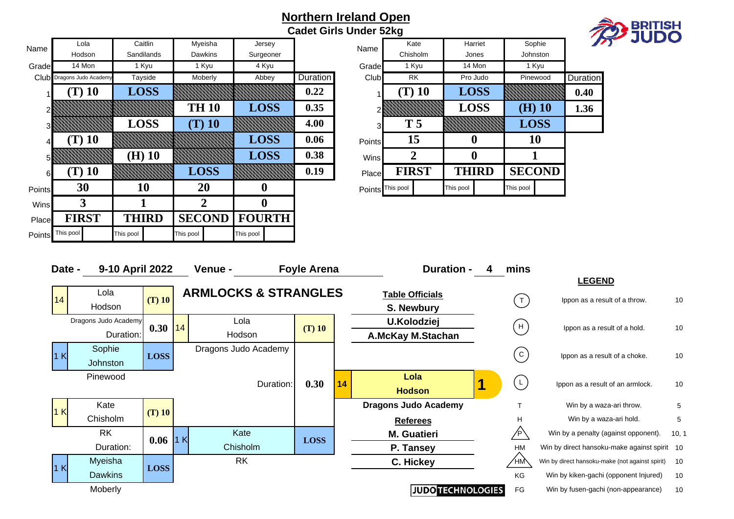**Cadet Girls Under 52kg**



|        | Lola                      | Caitlin      | Myeisha       | Jersey        |          |                  | Kate           | Harriet          | Sophie          |          |
|--------|---------------------------|--------------|---------------|---------------|----------|------------------|----------------|------------------|-----------------|----------|
| Name   | Hodson                    | Sandilands   | Dawkins       | Surgeoner     |          | Name             | Chisholm       | Jones            | <b>Johnston</b> |          |
| Grade  | 14 Mon                    | 1 Kyu        | 1 Kyu         | 4 Kyu         |          | Grade            | 1 Kyu          | 14 Mon           | 1 Kyu           |          |
|        | Club Dragons Judo Academy | Tayside      | Moberly       | Abbey         | Duration | Club             | RK             | Pro Judo         | Pinewood        | Duration |
|        | T) 10                     | <b>LOSS</b>  |               |               | 0.22     |                  | $(T)$ 10       | <b>LOSS</b>      |                 | 0.40     |
|        |                           |              | <b>TH 10</b>  | <b>LOSS</b>   | 0.35     |                  |                | <b>LOSS</b>      | $(H)$ 10        | 1.36     |
| 31     |                           | <b>LOSS</b>  | $(T)$ 10      |               | 4.00     | 31               | T <sub>5</sub> |                  | <b>LOSS</b>     |          |
|        | $(T)$ 10                  |              |               | <b>LOSS</b>   | 0.06     | Points           | 15             | $\boldsymbol{0}$ | 10              |          |
| 51     |                           | $(H)$ 10     |               | <b>LOSS</b>   | 0.38     | Wins             | 2              | $\bf{0}$         |                 |          |
| 61     | $(T)$ 10                  |              | <b>LOSS</b>   |               | 0.19     | Place            | <b>FIRST</b>   | <b>THIRD</b>     | <b>SECOND</b>   |          |
| Points | 30                        | 10           | 20            | 0             |          | Points This pool |                | This pool        | This pool       |          |
| Wins   | 3                         |              | $\mathbf{2}$  | 0             |          |                  |                |                  |                 |          |
| Place  | <b>FIRST</b>              | <b>THIRD</b> | <b>SECOND</b> | <b>FOURTH</b> |          |                  |                |                  |                 |          |
| Points | This pool                 | This pool    | This pool     | This pool     |          |                  |                |                  |                 |          |

| Jersev     |                 |                |                  | Kate           |           | Harriet      |           | Sophie        |                 |  |
|------------|-----------------|----------------|------------------|----------------|-----------|--------------|-----------|---------------|-----------------|--|
| urgeoner   |                 | Name           |                  | Chisholm       |           | Jones        |           | Johnston      |                 |  |
| 4 Kyu      |                 | Grade          |                  | 1 Kyu          |           | 14 Mon       |           | 1 Kyu         |                 |  |
| Abbey      | <b>Duration</b> | Club           |                  | <b>RK</b>      |           | Pro Judo     |           | Pinewood      | <b>Duration</b> |  |
|            | 0.22            |                |                  | (T) 10         |           | <b>LOSS</b>  |           |               | 0.40            |  |
| <b>OSS</b> | 0.35            | $\overline{2}$ |                  |                |           | <b>LOSS</b>  |           | $\bf(H)$ 10   | 1.36            |  |
|            | 4.00            | 3              |                  | T <sub>5</sub> |           |              |           | <b>LOSS</b>   |                 |  |
| <b>OSS</b> | 0.06            | <b>Points</b>  |                  | 15             |           | 0            |           | 10            |                 |  |
| <b>OSS</b> | 0.38            | <b>Wins</b>    |                  | 2              |           | 0            |           |               |                 |  |
|            | 0.19            | Place          |                  | <b>FIRST</b>   |           | <b>THIRD</b> |           | <b>SECOND</b> |                 |  |
| 0          |                 |                | Points This pool |                | This pool |              | This pool |               |                 |  |

| Date -       | 9-10 April 2022      |             | Venue -                         | <b>Foyle Arena</b> |    | <b>Duration -</b>           | 4 | mins                                                     |                                                 |       |
|--------------|----------------------|-------------|---------------------------------|--------------------|----|-----------------------------|---|----------------------------------------------------------|-------------------------------------------------|-------|
|              |                      |             |                                 |                    |    |                             |   |                                                          | <b>LEGEND</b>                                   |       |
| 14           | Lola                 | $(T)$ 10    | <b>ARMLOCKS &amp; STRANGLES</b> |                    |    | <b>Table Officials</b>      |   | $(\top)$                                                 | Ippon as a result of a throw.                   | 10    |
|              | Hodson               |             |                                 |                    |    | S. Newbury                  |   |                                                          |                                                 |       |
|              | Dragons Judo Academy | $0.30$  14  | Lola                            | $(T)$ 10           |    | <b>U.Kolodziej</b>          |   | H                                                        | Ippon as a result of a hold.                    | 10    |
|              | Duration:            |             | Hodson                          |                    |    | <b>A.McKay M.Stachan</b>    |   |                                                          |                                                 |       |
| $\mathsf{K}$ | Sophie               | <b>LOSS</b> | Dragons Judo Academy            |                    |    |                             |   | $\left[ \begin{array}{c} c \end{array} \right]$          | Ippon as a result of a choke.                   | 10    |
|              | Johnston             |             |                                 |                    |    |                             |   |                                                          |                                                 |       |
|              | Pinewood             |             | Duration:                       | 0.30               | 14 | Lola                        |   | $\left( \begin{array}{c} \mathsf{L} \end{array} \right)$ | Ippon as a result of an armlock.                | 10    |
|              |                      |             |                                 |                    |    | <b>Hodson</b>               |   |                                                          |                                                 |       |
| 1 K          | Kate                 |             |                                 |                    |    | <b>Dragons Judo Academy</b> |   |                                                          | Win by a waza-ari throw.                        | 5     |
|              | Chisholm             | $(T)$ 10    |                                 |                    |    | <b>Referees</b>             |   | H                                                        | Win by a waza-ari hold.                         | 5     |
|              | <b>RK</b>            | $0.06$ 1 K  | Kate                            | <b>LOSS</b>        |    | <b>M. Guatieri</b>          |   |                                                          | Win by a penalty (against opponent).            | 10, 1 |
|              | Duration:            |             | Chisholm                        |                    |    | P. Tansey                   |   | <b>HM</b>                                                | Win by direct hansoku-make against spirit 10    |       |
| 1 K          | Myeisha              | <b>LOSS</b> | <b>RK</b>                       |                    |    | C. Hickey                   |   | ∕нм∕∖                                                    | Win by direct hansoku-make (not against spirit) | 10    |
|              | <b>Dawkins</b>       |             |                                 |                    |    |                             |   | KG                                                       | Win by kiken-gachi (opponent Injured)           | 10    |
|              | Moberly              |             |                                 |                    |    | <b>JUDO TECHNOLOGIES</b>    |   | FG                                                       | Win by fusen-gachi (non-appearance)             | 10    |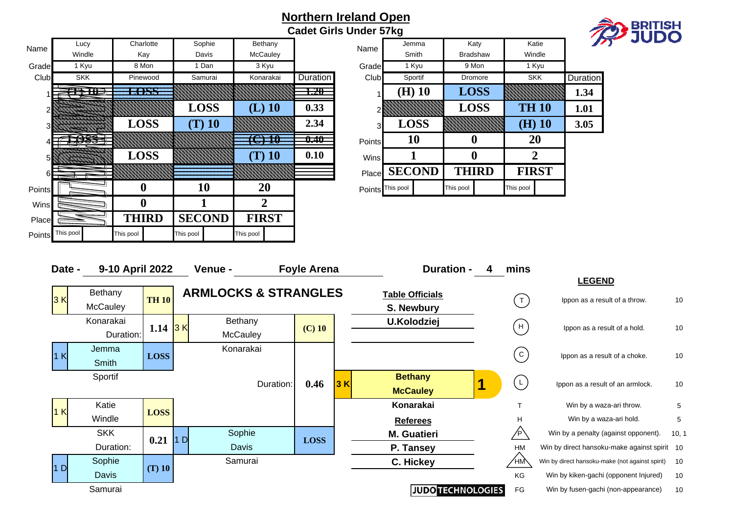| Name   | Lucy       | Charlotte    | Sophie        | Bethany        |                 | Name             | Jemma         | Katy             | Katie            |          |
|--------|------------|--------------|---------------|----------------|-----------------|------------------|---------------|------------------|------------------|----------|
|        | Windle     | Kay          | Davis         | McCauley       |                 |                  | Smith         | <b>Bradshaw</b>  | Windle           |          |
| Grade  | 1 Kyu      | 8 Mon        | 1 Dan         | 3 Kyu          |                 | Grade            | 1 Kyu         | 9 Mon            | 1 Kyu            |          |
| Club   | <b>SKK</b> | Pinewood     | Samurai       | Konarakai      | <b>Duration</b> | Club             | Sportif       | Dromore          | <b>SKK</b>       | Duration |
|        | THE        | <b>LOSS</b>  |               |                | 1.20            |                  | $(H)$ 10      | <b>LOSS</b>      |                  | 1.34     |
|        |            |              | <b>LOSS</b>   | $(L)$ 10       | 0.33            |                  |               | <b>LOSS</b>      | <b>TH 10</b>     | 1.01     |
| 3      |            | <b>LOSS</b>  | $(T)$ 10      |                | 2.34            | 3                | <b>LOSS</b>   |                  | $(H)$ 10         | 3.05     |
|        | EARS-      |              |               | 70 H           | $0.40\,$        | Points           | 10            | $\bf{0}$         | <b>20</b>        |          |
| 5      |            | <b>LOSS</b>  |               | $(T)$ 10       | 0.10            | Wins             |               | $\boldsymbol{0}$ | $\boldsymbol{2}$ |          |
| 6      |            |              |               |                |                 | Place            | <b>SECOND</b> | <b>THIRD</b>     | <b>FIRST</b>     |          |
| Points |            | U            | 10            | 20             |                 | Points This pool |               | This pool        | This pool        |          |
| Wins   |            | $\mathbf{0}$ |               | $\overline{2}$ |                 |                  |               |                  |                  |          |
| Place  |            | <b>THIRD</b> | <b>SECOND</b> | <b>FIRST</b>   |                 |                  |               |                  |                  |          |
| Points | This pool  | This pool    | This pool     | This pool      |                 |                  |               |                  |                  |          |

|                   |          | Northern Ireland Open<br><b>Cadet Girls Under 57kg</b> |                             |                |           |                         |                |                 |                 | <b>BRITISH<br/>JUDO</b> |
|-------------------|----------|--------------------------------------------------------|-----------------------------|----------------|-----------|-------------------------|----------------|-----------------|-----------------|-------------------------|
| ethany<br>cCauley |          | Name                                                   |                             | Jemma<br>Smith |           | Katy<br><b>Bradshaw</b> |                | Katie<br>Windle |                 |                         |
| 3 Kyu             |          | Grade                                                  |                             | 1 Kyu          |           | 9 Mon                   |                | 1 Kyu           |                 |                         |
| onarakai          | Duration | Club                                                   |                             | Sportif        |           | Dromore                 |                | <b>SKK</b>      | <b>Duration</b> |                         |
|                   | 1.20     |                                                        |                             | $(H)$ 10       |           | <b>LOSS</b>             |                |                 | 1.34            |                         |
| $L)$ 10           | 0.33     |                                                        |                             |                |           | <b>LOSS</b>             |                | <b>TH 10</b>    | 1.01            |                         |
|                   | 2.34     | 3                                                      |                             | <b>LOSS</b>    |           |                         |                | $(H)$ 10        | 3.05            |                         |
| 10                | 0.40     | Points                                                 |                             | 10             |           | $\boldsymbol{0}$        |                | 20              |                 |                         |
| $\Gamma$ ) 10     | 0.10     | <b>Wins</b>                                            |                             |                |           | $\bf{0}$                | $\overline{2}$ |                 |                 |                         |
|                   |          | Place                                                  |                             | <b>SECOND</b>  |           | <b>THIRD</b>            |                | <b>FIRST</b>    |                 |                         |
| <b>20</b>         |          |                                                        | Points <sup>This pool</sup> |                | This pool |                         | This pool      |                 |                 |                         |

| Date - | 9-10 April 2022 |              |    | Venue -                         | <b>Foyle Arena</b> |     | <b>Duration -</b><br>4   | mins                 |                                                 |       |
|--------|-----------------|--------------|----|---------------------------------|--------------------|-----|--------------------------|----------------------|-------------------------------------------------|-------|
|        |                 |              |    |                                 |                    |     |                          |                      | <b>LEGEND</b>                                   |       |
| 3K     | Bethany         | <b>TH 10</b> |    | <b>ARMLOCKS &amp; STRANGLES</b> |                    |     | <b>Table Officials</b>   |                      | Ippon as a result of a throw.                   | 10    |
|        | McCauley        |              |    |                                 |                    |     | S. Newbury               | $\left($ T $\right)$ |                                                 |       |
|        | Konarakai       |              |    | Bethany                         |                    |     | <b>U.Kolodziej</b>       | H                    |                                                 |       |
|        | Duration:       | 1.14         | 3K | <b>McCauley</b>                 | $(C)$ 10           |     |                          |                      | Ippon as a result of a hold.                    | 10    |
| 1K     | Jemma           |              |    | Konarakai                       |                    |     |                          | ${\bf C}$            | Ippon as a result of a choke.                   | 10    |
|        | Smith           | <b>LOSS</b>  |    |                                 |                    |     |                          |                      |                                                 |       |
|        | Sportif         |              |    |                                 |                    |     | <b>Bethany</b>           | $\mathsf{L}$         |                                                 |       |
|        |                 |              |    | Duration:                       | 0.46               | 3 K | <b>McCauley</b>          |                      | Ippon as a result of an armlock.                | 10    |
|        | Katie           |              |    |                                 |                    |     | Konarakai                |                      | Win by a waza-ari throw.                        | 5     |
| 1K     | Windle          | <b>LOSS</b>  |    |                                 |                    |     | <b>Referees</b>          | H                    | Win by a waza-ari hold.                         | 5     |
|        | <b>SKK</b>      |              |    | Sophie                          |                    |     | <b>M.</b> Guatieri       | /P                   | Win by a penalty (against opponent).            | 10, 1 |
|        | Duration:       | 0.21         | 1D | Davis                           | <b>LOSS</b>        |     | P. Tansey                | <b>HM</b>            | Win by direct hansoku-make against spirit 10    |       |
|        | Sophie          |              |    | Samurai                         |                    |     | C. Hickey                | ∕нӎ                  | Win by direct hansoku-make (not against spirit) | 10    |
| D      | Davis           | $(T)$ 10     |    |                                 |                    |     |                          | KG                   | Win by kiken-gachi (opponent Injured)           | 10    |
|        | Samurai         |              |    |                                 |                    |     | <b>JUDO TECHNOLOGIES</b> | FG                   | Win by fusen-gachi (non-appearance)             | 10    |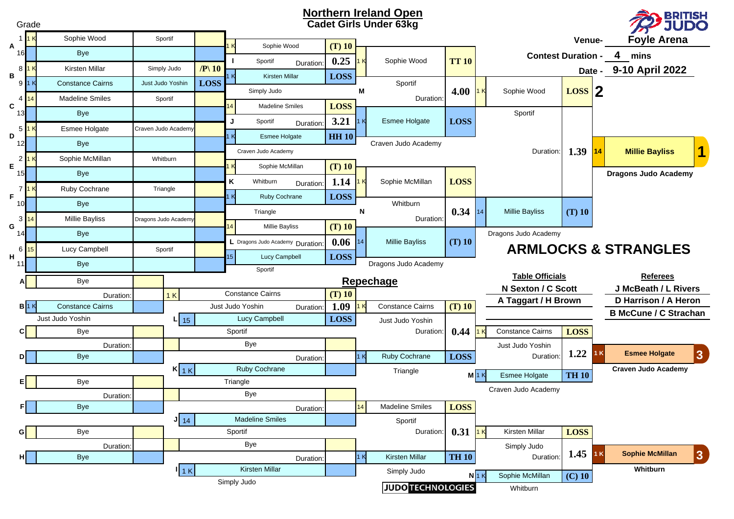|         | Grade        | <b>Northern Ireland Open</b><br><u>, BRITISH</u><br><b>Cadet Girls Under 63kg</b><br><b>JUDO</b> |  |                      |                     |     |                                  |           |                      |     |                              |              |                                              |                           |                 |                                         |                                        |
|---------|--------------|--------------------------------------------------------------------------------------------------|--|----------------------|---------------------|-----|----------------------------------|-----------|----------------------|-----|------------------------------|--------------|----------------------------------------------|---------------------------|-----------------|-----------------------------------------|----------------------------------------|
|         |              | Sophie Wood                                                                                      |  | Sportif              |                     |     |                                  |           |                      |     |                              |              |                                              |                           | Venue-          |                                         | <b>Foyle Arena</b>                     |
| Α<br>16 |              | <b>Bye</b>                                                                                       |  |                      |                     |     | Sophie Wood                      |           | $(T)$ 10             |     |                              |              |                                              | <b>Contest Duration -</b> |                 |                                         | 4<br>mins                              |
|         | 8 1 K        | Kirsten Millar                                                                                   |  | Simply Judo          | $/ P \backslash 10$ |     | Sportif                          | Duration: | 0.25                 |     | Sophie Wood                  | <b>TT 10</b> |                                              |                           |                 |                                         | Date - 9-10 April 2022                 |
| в       | 91K          | <b>Constance Cairns</b>                                                                          |  | Just Judo Yoshin     | <b>LOSS</b>         |     | <b>Kirsten Millar</b>            |           | <b>LOSS</b>          |     | Sportif                      |              |                                              |                           |                 |                                         |                                        |
| 4       |              | <b>Madeline Smiles</b>                                                                           |  | Sportif              |                     |     | Simply Judo                      |           |                      | М   | Duration:                    | 4.00         |                                              | Sophie Wood               | $\text{Loss}$ 2 |                                         |                                        |
| C<br>13 |              | <b>Bye</b>                                                                                       |  |                      |                     |     | <b>Madeline Smiles</b>           |           | <b>LOSS</b>          |     |                              |              |                                              | Sportif                   |                 |                                         |                                        |
| 5       |              | Esmee Holgate                                                                                    |  | Craven Judo Academy  |                     | J   | Sportif                          | Duration: | 3.21                 |     | <b>Esmee Holgate</b>         | <b>LOSS</b>  |                                              |                           |                 |                                         |                                        |
| D<br>12 |              | <b>Bye</b>                                                                                       |  |                      |                     | l K | <b>Esmee Holgate</b>             |           | <b>HH 10</b>         |     | Craven Judo Academy          |              |                                              |                           |                 |                                         |                                        |
|         |              | Sophie McMillan                                                                                  |  | Whitburn             |                     |     | Craven Judo Academy              |           |                      |     |                              |              |                                              | Duration:                 | 1.39            | 14                                      | <b>Millie Bayliss</b>                  |
| E<br>15 |              | <b>Bye</b>                                                                                       |  |                      |                     | -k  | Sophie McMillan                  |           | $(T)$ 10             |     |                              |              |                                              |                           |                 |                                         | <b>Dragons Judo Academy</b>            |
|         |              | Ruby Cochrane                                                                                    |  |                      |                     | Κ   | Whitburn                         | Duration: | 1.14                 |     | Sophie McMillan              | <b>LOSS</b>  |                                              |                           |                 |                                         |                                        |
| F.      |              |                                                                                                  |  | Triangle             |                     | ΙK  | Ruby Cochrane                    |           | <b>LOSS</b>          |     | Whitburn                     |              |                                              |                           |                 |                                         |                                        |
| 10      |              | <b>Bye</b>                                                                                       |  |                      |                     |     | Triangle                         |           | N                    |     |                              | 0.34         | 14                                           | <b>Millie Bayliss</b>     | $(T)$ 10        |                                         |                                        |
| G       | $3 \vert 14$ | <b>Millie Bayliss</b>                                                                            |  | Dragons Judo Academy |                     | 4   | <b>Millie Bayliss</b>            |           | $(T)$ 10             |     | Duration                     |              |                                              |                           |                 |                                         |                                        |
| 14      |              | <b>Bye</b>                                                                                       |  |                      |                     |     | L Dragons Judo Academy Duration: |           | 0.06                 | 114 | <b>Millie Bayliss</b>        | $(T)$ 10     |                                              | Dragons Judo Academy      |                 |                                         |                                        |
| 6<br>н. | 15           | Lucy Campbell                                                                                    |  | Sportif              |                     | 15  | Lucy Campbell                    |           | <b>LOSS</b>          |     |                              |              |                                              |                           |                 |                                         | <b>ARMLOCKS &amp; STRANGLES</b>        |
| 11      |              | <b>Bye</b>                                                                                       |  |                      |                     |     | Sportif                          |           | Dragons Judo Academy |     |                              |              |                                              |                           |                 |                                         |                                        |
|         |              | Bye                                                                                              |  |                      |                     |     |                                  |           | Repechage            |     |                              |              | <b>Table Officials</b><br>N Sexton / C Scott |                           |                 | <b>Referees</b><br>J McBeath / L Rivers |                                        |
|         |              | Duration:                                                                                        |  | 1K                   |                     |     | <b>Constance Cairns</b>          |           | $(T)$ 10             |     |                              |              |                                              | A Taggart / H Brown       |                 |                                         | D Harrison / A Heron                   |
|         | B1K          | <b>Constance Cairns</b>                                                                          |  |                      |                     |     | Just Judo Yoshin                 | Duration: | 1.09                 |     | <b>Constance Cairns</b>      | $(T)$ 10     |                                              |                           |                 |                                         | <b>B McCune / C Strachan</b>           |
| C.      |              | Just Judo Yoshin<br>Bye                                                                          |  | $L$ 15               |                     |     | <b>Lucy Campbell</b><br>Sportif  |           | <b>LOSS</b>          |     | Just Judo Yoshin<br>Duration | 0.44         |                                              | <b>Constance Cairns</b>   | <b>LOSS</b>     |                                         |                                        |
|         |              |                                                                                                  |  |                      |                     |     | <b>Bye</b>                       |           |                      |     |                              |              |                                              | Just Judo Yoshin          |                 |                                         |                                        |
|         |              | Duration:<br><b>Bye</b>                                                                          |  |                      |                     |     |                                  | Duration: |                      | 1K  | Ruby Cochrane                | <b>LOSS</b>  |                                              | Duration:                 | 1.22            | 1 K                                     | <b>Esmee Holgate</b><br>$\overline{3}$ |
|         |              |                                                                                                  |  | $K_{1K}$             |                     |     | Ruby Cochrane                    |           |                      |     | Triangle                     |              |                                              |                           |                 |                                         | <b>Craven Judo Academy</b>             |
|         |              | Bye                                                                                              |  |                      |                     |     | Triangle                         |           |                      |     |                              |              | M1K                                          | <b>Esmee Holgate</b>      | <b>TH 10</b>    |                                         |                                        |
|         |              | Duration:                                                                                        |  |                      |                     |     | Bye                              |           |                      |     |                              |              |                                              | Craven Judo Academy       |                 |                                         |                                        |
| FI      |              | <b>Bye</b>                                                                                       |  |                      |                     |     |                                  | Duration: |                      | 14  | <b>Madeline Smiles</b>       | <b>LOSS</b>  |                                              |                           |                 |                                         |                                        |
|         |              |                                                                                                  |  | $J_{14}$             |                     |     | <b>Madeline Smiles</b>           |           |                      |     | Sportif                      |              |                                              |                           |                 |                                         |                                        |
| GI      |              | Bye                                                                                              |  |                      |                     |     | Sportif                          |           |                      |     | Duration:                    | $0.31$ 1K    |                                              | Kirsten Millar            | <b>LOSS</b>     |                                         |                                        |
| нι      |              | Duration:<br><b>Bye</b>                                                                          |  |                      |                     |     | Bye                              | Duration: |                      | 1K  | Kirsten Millar               | <b>TH 10</b> |                                              | Simply Judo<br>Duration:  | $1.45$ 1 K      |                                         | <b>Sophie McMillan</b><br>$ 3\rangle$  |
|         |              | <b>Kirsten Millar</b><br>$\mathsf{I}$ 1 K                                                        |  |                      |                     |     |                                  |           |                      |     | Simply Judo                  |              |                                              |                           |                 |                                         | Whitburn                               |
|         |              |                                                                                                  |  |                      |                     |     | Simply Judo                      |           |                      |     |                              |              | $N$ 1 K                                      | Sophie McMillan           | $(C)$ 10        |                                         |                                        |
|         |              |                                                                                                  |  |                      |                     |     |                                  |           |                      |     | <b>JUDO TECHNOLOGIES</b>     |              |                                              | Whitburn                  |                 |                                         |                                        |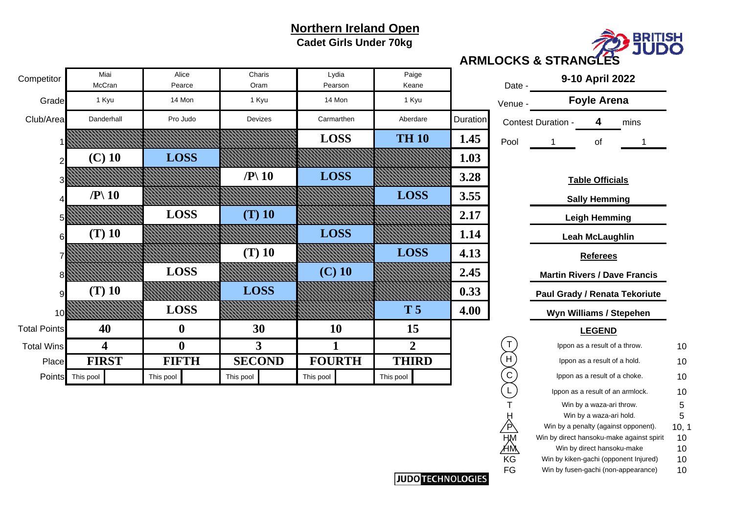**Cadet Girls Under 70kg**



**ARMLOCKS & STRANGLES**

|                         | Lydia<br>Pearson | Paige<br>Keane |          | Date -                 | 9-10 April 2022                           |       |
|-------------------------|------------------|----------------|----------|------------------------|-------------------------------------------|-------|
|                         | 14 Mon           | 1 Kyu          |          | Venue -                | <b>Foyle Arena</b>                        |       |
|                         | Carmarthen       | Aberdare       | Duration |                        | <b>Contest Duration -</b><br>4<br>mins    |       |
|                         | <b>LOSS</b>      | <b>TH 10</b>   | 1.45     | Pool                   | of<br>1<br>1                              |       |
|                         |                  |                | 1.03     |                        |                                           |       |
|                         | <b>LOSS</b>      |                | 3.28     |                        | <b>Table Officials</b>                    |       |
|                         |                  | <b>LOSS</b>    | 3.55     |                        | <b>Sally Hemming</b>                      |       |
|                         |                  |                | 2.17     |                        | <b>Leigh Hemming</b>                      |       |
|                         | <b>LOSS</b>      |                | 1.14     |                        | <b>Leah McLaughlin</b>                    |       |
|                         |                  | <b>LOSS</b>    | 4.13     |                        | <b>Referees</b>                           |       |
|                         | $(C)$ 10         |                | 2.45     |                        | <b>Martin Rivers / Dave Francis</b>       |       |
|                         |                  |                | 0.33     |                        | Paul Grady / Renata Tekoriute             |       |
|                         |                  | T <sub>5</sub> | 4.00     |                        | Wyn Williams / Stepehen                   |       |
|                         | 10               | 15             |          |                        | <b>LEGEND</b>                             |       |
|                         | 1                | $\overline{2}$ |          | Τ                      | Ippon as a result of a throw.             | 10    |
| $\overline{\mathbf{D}}$ | <b>FOURTH</b>    | <b>THIRD</b>   |          | H                      | Ippon as a result of a hold.              | 10    |
|                         | This pool        | This pool      |          | $\overline{C}$         | Ippon as a result of a choke.             | 10    |
|                         |                  |                |          | $\overline{L}$         | Ippon as a result of an armlock.          | 10    |
|                         |                  |                |          | т                      | Win by a waza-ari throw.                  | 5     |
|                         |                  |                |          |                        | Win by a waza-ari hold.                   | 5     |
|                         |                  |                |          | Ά                      | Win by a penalty (against opponent).      | 10, 1 |
|                         |                  |                |          | <b>HM</b><br>AM        | Win by direct hansoku-make against spirit | 10    |
|                         |                  |                |          |                        | Win by direct hansoku-make                | 10    |
|                         |                  |                |          | $\overline{\text{KG}}$ | Win by kiken-gachi (opponent Injured)     | 10    |
|                         |                  |                |          | FG                     | Win by fusen-gachi (non-appearance)       | 10    |

| Competitor          | Miai<br>McCran            | Alice<br>Pearce  |                           | Charis<br>Oram | Lydia<br>Pearson | Paige<br>Keane |                 | Date -      |                               | 9-10 April 2022               |                                     |    |
|---------------------|---------------------------|------------------|---------------------------|----------------|------------------|----------------|-----------------|-------------|-------------------------------|-------------------------------|-------------------------------------|----|
| Grade               | 1 Kyu                     | 14 Mon           |                           | 1 Kyu          | 14 Mon           | 1 Kyu          |                 | Venue -     |                               | <b>Foyle Arena</b>            |                                     |    |
| Club/Area           | Danderhall                | Pro Judo         |                           | Devizes        | Carmarthen       | Aberdare       | <b>Duration</b> |             | <b>Contest Duration -</b>     | 4                             | mins                                |    |
|                     |                           |                  |                           |                | <b>LOSS</b>      | <b>TH 10</b>   | 1.45            | Pool        |                               | of                            |                                     |    |
|                     | $(C)$ 10                  | <b>LOSS</b>      |                           |                |                  |                | 1.03            |             |                               |                               |                                     |    |
| 3                   |                           |                  | $\mathbb{P}\backslash 10$ |                | <b>LOSS</b>      |                | 3.28            |             |                               | <b>Table Officials</b>        |                                     |    |
|                     | $\mathbb{P} \setminus 10$ |                  |                           |                |                  | <b>LOSS</b>    | 3.55            |             |                               | <b>Sally Hemming</b>          |                                     |    |
| 51                  |                           | <b>LOSS</b>      |                           | $(T)$ 10       |                  |                | 2.17            |             |                               | <b>Leigh Hemming</b>          |                                     |    |
| 6                   | $(T)$ 10                  |                  |                           |                | <b>LOSS</b>      |                | 1.14            |             |                               | Leah McLaughlin               |                                     |    |
|                     |                           |                  |                           | $(T)$ 10       |                  | <b>LOSS</b>    | 4.13            |             |                               | <b>Referees</b>               |                                     |    |
| 8                   |                           | <b>LOSS</b>      |                           |                | $(C)$ 10         |                | 2.45            |             |                               |                               | <b>Martin Rivers / Dave Francis</b> |    |
| 9                   | $(T)$ 10                  |                  |                           | <b>LOSS</b>    |                  |                | 0.33            |             |                               |                               | Paul Grady / Renata Tekoriute       |    |
| 10                  |                           | <b>LOSS</b>      |                           |                |                  | <b>T5</b>      | 4.00            |             |                               | Wyn Williams / Stepehen       |                                     |    |
| <b>Total Points</b> | 40                        | $\boldsymbol{0}$ |                           | 30             | 10               | 15             |                 |             |                               | <b>LEGEND</b>                 |                                     |    |
| <b>Total Wins</b>   | 4                         | $\boldsymbol{0}$ |                           | 3              |                  | $\overline{2}$ |                 |             |                               | Ippon as a result of a throw. |                                     | 10 |
| Place               | <b>FIRST</b>              | <b>FIFTH</b>     |                           | <b>SECOND</b>  | <b>FOURTH</b>    | <b>THIRD</b>   |                 | H           |                               | Ippon as a result of a hold.  |                                     | 10 |
|                     | Points This pool          | This pool        | This pool                 |                | This pool        | This pool      |                 | $\mathsf C$ | Ippon as a result of a choke. |                               |                                     | 10 |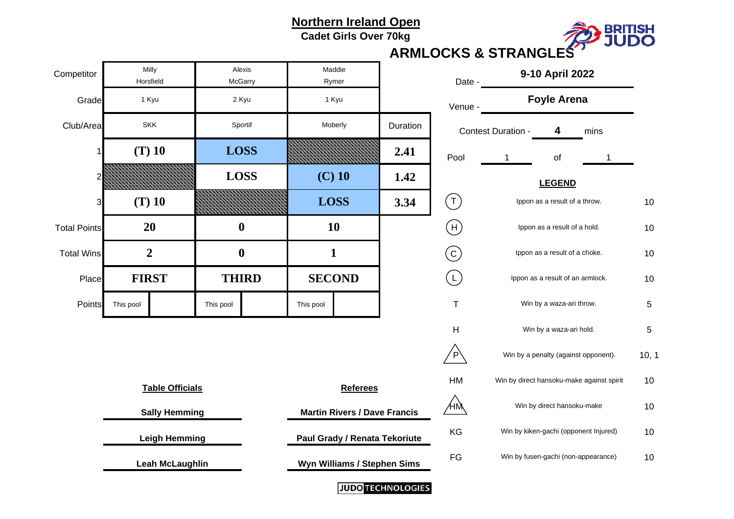**Cadet Girls Over 70kg**



#### **ARMLOCKS & STRANGLES**

| Competitor             |           | Milly<br>Horsfield     |           | Alexis<br>McGarry                    |               | Maddie<br>Rymer |                          | Date -                     | 9-10 April 2022                       |                               |                                           |     |
|------------------------|-----------|------------------------|-----------|--------------------------------------|---------------|-----------------|--------------------------|----------------------------|---------------------------------------|-------------------------------|-------------------------------------------|-----|
| Grade                  |           | 1 Kyu                  |           | 2 Kyu                                |               | 1 Kyu           |                          | Venue -                    |                                       | <b>Foyle Arena</b>            |                                           |     |
| Club/Area              |           | <b>SKK</b>             |           | Sportif                              |               | Moberly         | Duration                 |                            | <b>Contest Duration -</b>             | 4                             | mins                                      |     |
|                        |           | $(T)$ 10               |           | <b>LOSS</b>                          |               |                 | 2.41                     | Pool                       | 1                                     | of                            |                                           |     |
|                        |           |                        |           | <b>LOSS</b>                          | $(C)$ 10      |                 | 1.42                     |                            |                                       | <b>LEGEND</b>                 |                                           |     |
| 3                      |           | $(T)$ 10               |           |                                      | <b>LOSS</b>   |                 | 3.34                     | $(\mathsf{T})$             |                                       | Ippon as a result of a throw. |                                           | 10  |
| <b>Total Points</b>    |           | 20                     |           | $\boldsymbol{0}$                     |               | <b>10</b>       |                          | $(\mathsf{H})$             |                                       | Ippon as a result of a hold.  |                                           | 10  |
| <b>Total Wins</b>      |           | $\overline{2}$         |           | $\boldsymbol{0}$                     | $\mathbf{1}$  |                 |                          | (c)                        | Ippon as a result of a choke.         |                               |                                           | 10  |
| Place                  |           | <b>FIRST</b>           |           | <b>THIRD</b>                         | <b>SECOND</b> |                 |                          | $\left(\mathsf{L}\right)$  | Ippon as a result of an armlock.      |                               |                                           | 10  |
| Points                 | This pool |                        | This pool |                                      | This pool     |                 |                          | $\top$                     | Win by a waza-ari throw.              |                               |                                           | 5   |
|                        |           |                        |           |                                      |               |                 |                          | H                          | Win by a waza-ari hold.               |                               |                                           | 5   |
|                        |           |                        |           |                                      |               |                 |                          | $\overline{P}$             |                                       |                               | Win by a penalty (against opponent).      | 10, |
|                        |           | <b>Table Officials</b> |           |                                      |               | <b>Referees</b> |                          | HM                         |                                       |                               | Win by direct hansoku-make against spirit | 10  |
| <b>Sally Hemming</b>   |           |                        |           | <b>Martin Rivers / Dave Francis</b>  |               | ÆM              |                          | Win by direct hansoku-make |                                       | 10                            |                                           |     |
| <b>Leigh Hemming</b>   |           |                        |           | <b>Paul Grady / Renata Tekoriute</b> |               | KG              |                          |                            | Win by kiken-gachi (opponent Injured) | 10                            |                                           |     |
| <b>Leah McLaughlin</b> |           |                        |           | FG<br>Wyn Williams / Stephen Sims    |               |                 |                          |                            | Win by fusen-gachi (non-appearance)   | 10                            |                                           |     |
|                        |           |                        |           |                                      |               |                 | <b>JUDO TECHNOLOGIES</b> |                            |                                       |                               |                                           |     |

|             | Date -  | 9-10 April 2022                           |       |
|-------------|---------|-------------------------------------------|-------|
|             | Venue - | <b>Foyle Arena</b>                        |       |
| ion         |         | Contest Duration -<br>4<br>mins           |       |
| 1           | Pool    | of<br>1<br>1                              |       |
| $\mathbf 2$ |         | <b>LEGEND</b>                             |       |
| 4           |         | Ippon as a result of a throw.             | 10    |
|             | Н       | Ippon as a result of a hold.              | 10    |
|             |         | Ippon as a result of a choke.             | 10    |
|             |         | Ippon as a result of an armlock.          | 10    |
|             | T       | Win by a waza-ari throw.                  | 5     |
|             | н       | Win by a waza-ari hold.                   | 5     |
|             | P       | Win by a penalty (against opponent).      | 10, 1 |
|             | НM      | Win by direct hansoku-make against spirit | 10    |
| ∶is         | t٨      | Win by direct hansoku-make                | 10    |
| ute         | KG      | Win by kiken-gachi (opponent Injured)     | 10    |
| ns          | FG      | Win by fusen-gachi (non-appearance)       | 10    |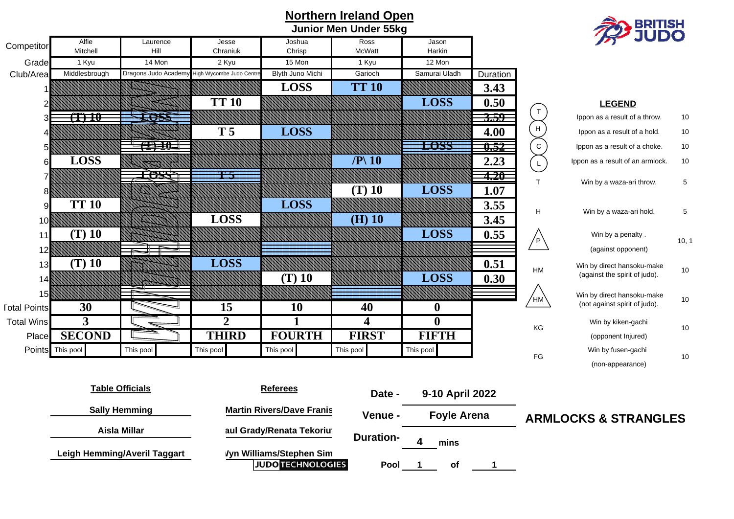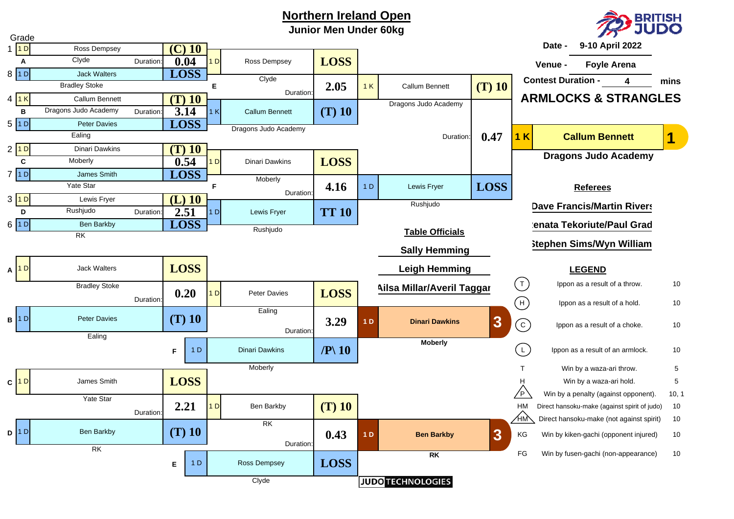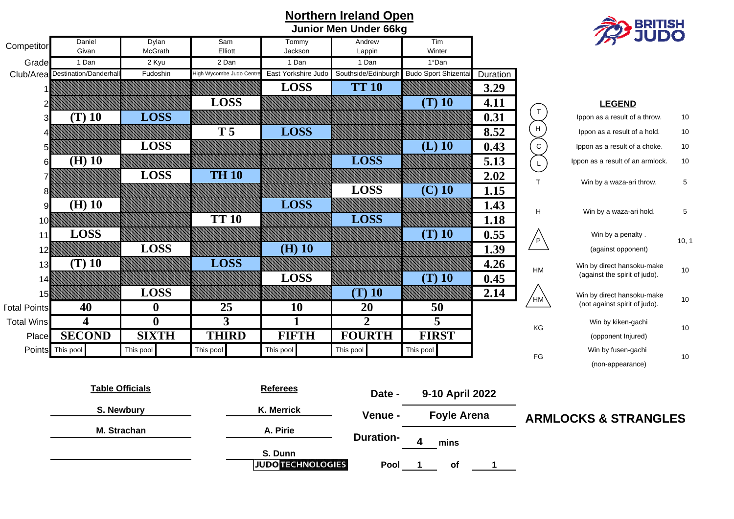| Northern Ireland Open<br><b>Junior Men Under 66kg</b> |                                 |                        |                        |                          |                     |                             |          |                            | <b>BRITISH<br/>JUDO</b>          |             |
|-------------------------------------------------------|---------------------------------|------------------------|------------------------|--------------------------|---------------------|-----------------------------|----------|----------------------------|----------------------------------|-------------|
|                                                       | Daniel                          | Dylan                  | Sam                    | Tommy                    | Andrew              | Tim                         |          |                            |                                  |             |
| Competitor                                            | Givan                           | McGrath                | Elliott                | Jackson                  | Lappin              | Winter                      |          |                            |                                  |             |
| Grade                                                 | 1 Dan                           | 2 Kyu                  | 2 Dan                  | 1 Dan                    | 1 Dan               | 1*Dan                       |          |                            |                                  |             |
|                                                       | Club/Area Destination/Danderhal | Fudoshin               | High Wycombe Judo Cent | East Yorkshire Judo      | Southside/Edinburgh | <b>Budo Sport Shizentai</b> | Duration |                            |                                  |             |
|                                                       |                                 |                        |                        | <b>LOSS</b>              | <b>TT 10</b>        |                             | 3.29     |                            |                                  |             |
|                                                       |                                 |                        | <b>LOSS</b>            |                          |                     | $(T)$ 10                    | 4.11     |                            | <b>LEGEND</b>                    |             |
|                                                       | $(T)$ 10                        | <b>LOSS</b>            |                        |                          |                     |                             | 0.31     | $\top$                     | Ippon as a result of a throw.    | 10          |
|                                                       |                                 |                        | T <sub>5</sub>         | <b>LOSS</b>              |                     |                             | 8.52     | $\boldsymbol{\mathsf{H}}$  | Ippon as a result of a hold.     | 10          |
|                                                       |                                 | <b>LOSS</b>            |                        |                          |                     | $(L)$ 10                    | 0.43     | $\overline{c}$             | Ippon as a result of a choke.    | 10          |
| 6                                                     | $(H)$ 10                        |                        |                        |                          | <b>LOSS</b>         |                             | 5.13     | $\mathsf{L}$               | Ippon as a result of an armlock. | 10          |
|                                                       |                                 | <b>LOSS</b>            | <b>TH 10</b>           |                          |                     |                             | 2.02     |                            |                                  |             |
|                                                       |                                 |                        |                        |                          | <b>LOSS</b>         | $(C)$ 10                    | 1.15     | T.                         | Win by a waza-ari throw.         | $\,$ 5 $\,$ |
|                                                       | $(H)$ 10                        |                        |                        | <b>LOSS</b>              |                     |                             | 1.43     |                            |                                  |             |
| 10                                                    |                                 |                        | <b>TT 10</b>           |                          | <b>LOSS</b>         |                             | 1.18     | Н                          | Win by a waza-ari hold.          | 5           |
| 11                                                    | <b>LOSS</b>                     |                        |                        |                          |                     | $(T)$ 10                    | 0.55     |                            | Win by a penalty.                |             |
| 12                                                    |                                 | <b>LOSS</b>            |                        | $(H)$ 10                 |                     |                             | 1.39     | $/$ P $\backslash$         | (against opponent)               | 10, 1       |
| 13                                                    | $(T)$ 10                        |                        | <b>LOSS</b>            |                          |                     |                             | 4.26     |                            | Win by direct hansoku-make       |             |
| 14                                                    |                                 |                        |                        | <b>LOSS</b>              |                     | $(T)$ 10                    | 0.45     | HM                         | (against the spirit of judo).    | 10          |
| 15                                                    |                                 | <b>LOSS</b>            |                        |                          | $(T)$ 10            |                             | 2.14     |                            | Win by direct hansoku-make       |             |
| <b>Total Points</b>                                   | 40                              | $\boldsymbol{0}$       | 25                     | 10                       | <b>20</b>           | 50                          |          | $^{\prime}$ HM $^{\prime}$ | (not against spirit of judo).    | 10          |
| <b>Total Wins</b>                                     | $\overline{\mathbf{4}}$         | $\bf{0}$               | 3                      | 1                        | $\overline{2}$      | 5                           |          | KG                         | Win by kiken-gachi               |             |
| Place                                                 | <b>SECOND</b>                   | <b>SIXTH</b>           | <b>THIRD</b>           | FIFTH                    | <b>FOURTH</b>       | <b>FIRST</b>                |          |                            | (opponent Injured)               | 10          |
| <b>Points</b>                                         | This pool                       | This pool              | This pool              | This pool                | This pool           | This pool                   |          | $\mathsf{FG}$              | Win by fusen-gachi               | 10          |
|                                                       |                                 |                        |                        |                          |                     |                             |          |                            | (non-appearance)                 |             |
|                                                       |                                 |                        |                        |                          |                     |                             |          |                            |                                  |             |
|                                                       |                                 | <b>Table Officials</b> |                        | <b>Referees</b>          | Date -              | 9-10 April 2022             |          |                            |                                  |             |
|                                                       |                                 | S. Newbury             |                        | K. Merrick               | Venue -             | <b>Foyle Arena</b>          |          |                            |                                  |             |
|                                                       |                                 |                        |                        |                          |                     |                             |          |                            | <b>ARMLOCKS &amp; STRANGLES</b>  |             |
|                                                       |                                 | M. Strachan            |                        | A. Pirie                 | <b>Duration-</b>    | 4<br>mins                   |          |                            |                                  |             |
|                                                       |                                 |                        |                        | S. Dunn                  |                     |                             |          |                            |                                  |             |
|                                                       |                                 |                        |                        | <b>JUDO TECHNOLOGIES</b> | Pool                | of<br>1                     | 1        |                            |                                  |             |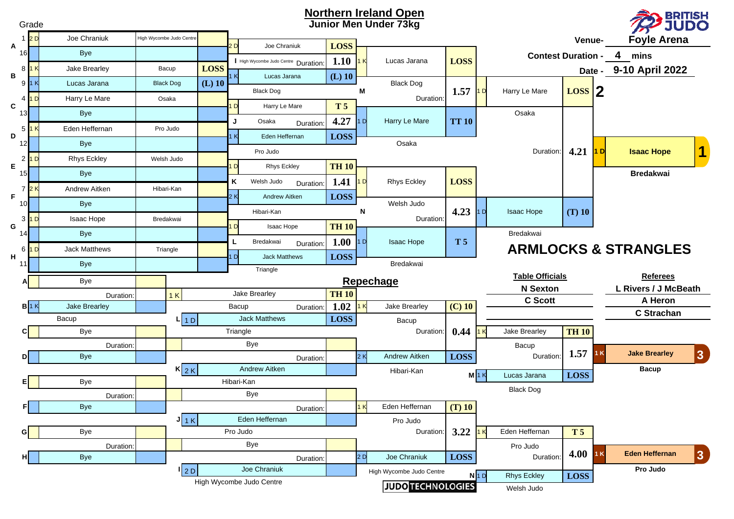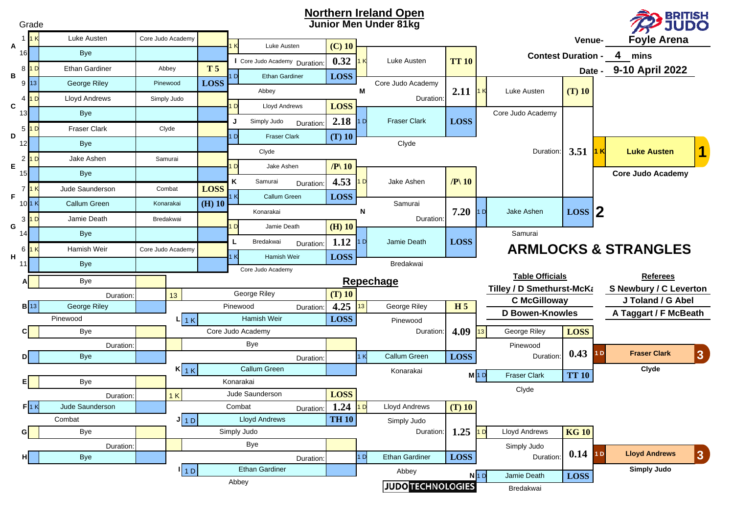

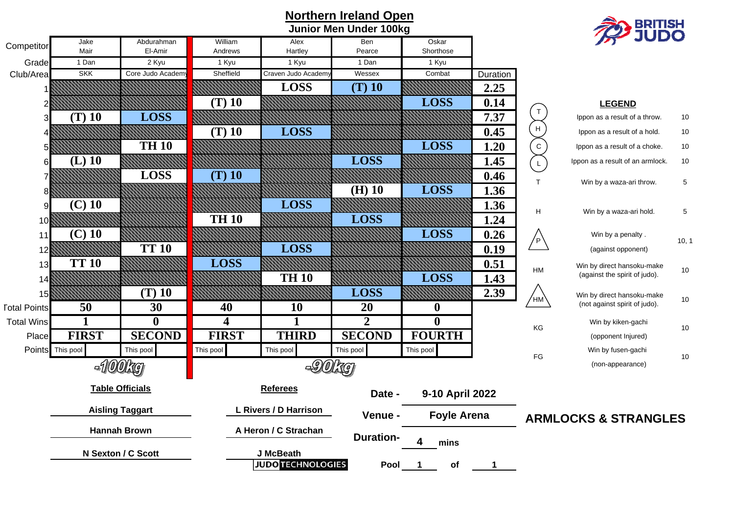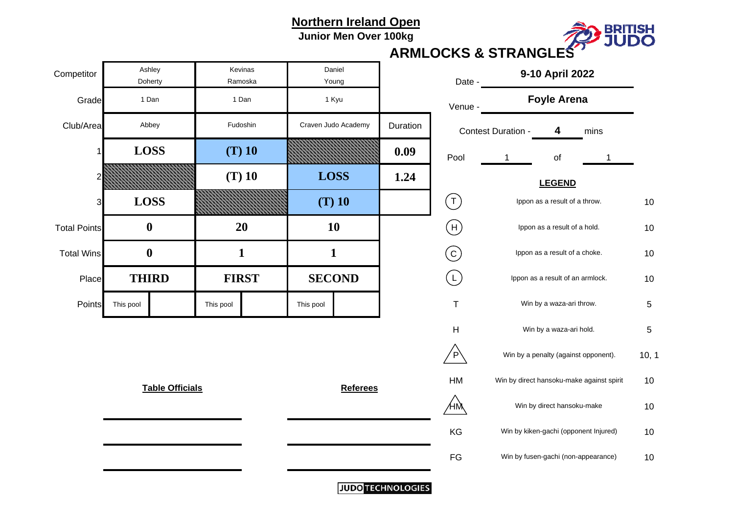**Junior Men Over 100kg**



#### **ARMLOCKS & STRANGLES**

| Competitor          |           | Ashley<br>Doherty      |           | Kevinas<br>Ramoska | Daniel<br>Young |                     |          | Date -                    | 9-10 April 2022                  |                                           |      |            |
|---------------------|-----------|------------------------|-----------|--------------------|-----------------|---------------------|----------|---------------------------|----------------------------------|-------------------------------------------|------|------------|
| Grade               |           | 1 Dan                  |           | 1 Dan              |                 | 1 Kyu               |          | Venue -                   |                                  | <b>Foyle Arena</b>                        |      |            |
| Club/Area           |           | Abbey                  |           | Fudoshin           |                 | Craven Judo Academy | Duration |                           | Contest Duration -               | 4                                         | mins |            |
| 1                   |           | <b>LOSS</b>            |           | $(T)$ 10           |                 |                     | 0.09     | Pool                      |                                  | of                                        |      |            |
|                     |           |                        |           | $(T)$ 10           | <b>LOSS</b>     |                     | 1.24     |                           |                                  | <b>LEGEND</b>                             |      |            |
| 3                   |           | <b>LOSS</b>            |           |                    | $(T)$ 10        |                     |          | $(\tau)$                  |                                  | Ippon as a result of a throw.             |      | 10         |
| <b>Total Points</b> |           | $\boldsymbol{0}$       |           | 20                 | 10              |                     |          | (H)                       |                                  | Ippon as a result of a hold.              |      | 10         |
| <b>Total Wins</b>   |           | $\boldsymbol{0}$       |           | 1                  | $\mathbf{1}$    |                     |          | $\rm (c)$                 | Ippon as a result of a choke.    |                                           |      | 10         |
| Place               |           | <b>THIRD</b>           |           | <b>FIRST</b>       | <b>SECOND</b>   |                     |          | $\left(\mathsf{L}\right)$ | Ippon as a result of an armlock. |                                           |      | 10         |
| Points              | This pool |                        | This pool |                    | This pool       |                     |          | $\mathsf T$               |                                  | Win by a waza-ari throw.                  |      | $\sqrt{5}$ |
|                     |           |                        |           |                    |                 |                     |          | Н                         |                                  | Win by a waza-ari hold.                   |      | 5          |
|                     |           |                        |           |                    |                 |                     |          | $\overline{P}$            |                                  | Win by a penalty (against opponent).      |      | 10,        |
|                     |           | <b>Table Officials</b> |           |                    |                 | <b>Referees</b>     |          | HM                        |                                  | Win by direct hansoku-make against spirit |      | 10         |
|                     |           |                        |           |                    |                 |                     |          | ΉŅ                        |                                  | Win by direct hansoku-make                |      | 10         |
|                     |           |                        |           |                    |                 |                     |          | KG                        |                                  | Win by kiken-gachi (opponent Injured)     |      | 10         |
|                     |           |                        |           |                    |                 |                     |          | $\mathsf{FG}$             |                                  | Win by fusen-gachi (non-appearance)       |      | 10         |
|                     |           |                        |           |                    |                 |                     |          |                           |                                  |                                           |      |            |

| Date -  |                    | 9-10 April 2022               |                                           |       |
|---------|--------------------|-------------------------------|-------------------------------------------|-------|
| Venue - |                    | <b>Foyle Arena</b>            |                                           |       |
|         | Contest Duration - | 4                             | mins                                      |       |
| Pool    | 1                  | of                            | 1                                         |       |
|         |                    | <b>LEGEND</b>                 |                                           |       |
|         |                    | Ippon as a result of a throw. |                                           | 10    |
| H       |                    | Ippon as a result of a hold.  |                                           | 10    |
|         |                    | Ippon as a result of a choke. |                                           | 10    |
|         |                    |                               | Ippon as a result of an armlock.          | 10    |
| т       |                    | Win by a waza-ari throw.      |                                           | 5     |
| н       |                    | Win by a waza-ari hold.       |                                           | 5     |
|         |                    |                               | Win by a penalty (against opponent).      | 10, 1 |
| HM      |                    |                               | Win by direct hansoku-make against spirit | 10    |
|         |                    | Win by direct hansoku-make    |                                           | 10    |
| KG      |                    |                               | Win by kiken-gachi (opponent Injured)     | 10    |
| FG      |                    |                               | Win by fusen-gachi (non-appearance)       | 10    |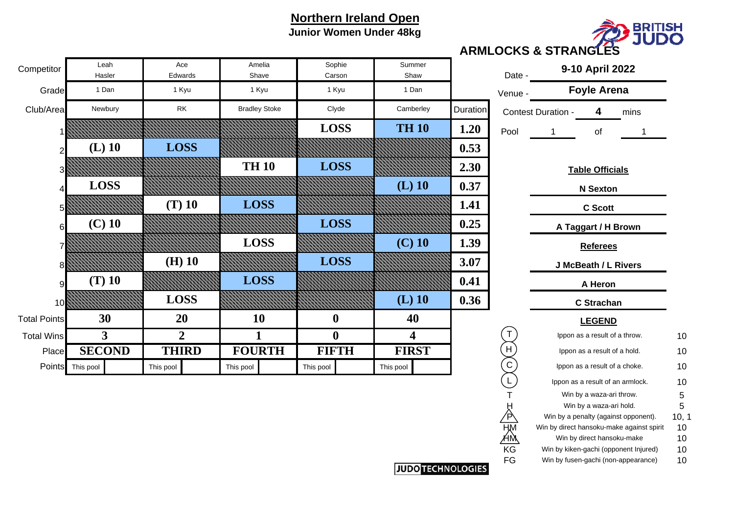

#### **Northern Ireland Open Junior Women Under 48kg**

| Competitor          | Leah<br>Hasler   | Ace<br>Edwards | Amelia<br>Shave      | Sophie<br>Carson | Summer<br>Shaw          |          | Date -      |                               | 9-10 April 2022                 |      |    |
|---------------------|------------------|----------------|----------------------|------------------|-------------------------|----------|-------------|-------------------------------|---------------------------------|------|----|
| Grade               | 1 Dan            | 1 Kyu          | 1 Kyu                | 1 Kyu            | 1 Dan                   |          | Venue -     |                               | <b>Foyle Arena</b>              |      |    |
| Club/Area           | Newbury          | <b>RK</b>      | <b>Bradley Stoke</b> | Clyde            | Camberley               | Duration |             | Contest Duration -            | 4                               | mins |    |
|                     |                  |                |                      | <b>LOSS</b>      | <b>TH 10</b>            | 1.20     | Pool        |                               | of                              |      |    |
|                     | $(L)$ 10         | <b>LOSS</b>    |                      |                  |                         | 0.53     |             |                               |                                 |      |    |
| 31                  |                  |                | <b>TH 10</b>         | <b>LOSS</b>      |                         | 2.30     |             |                               | <b>Table Officials</b>          |      |    |
|                     | <b>LOSS</b>      |                |                      |                  | $(L)$ 10                | 0.37     |             |                               | <b>N</b> Sexton                 |      |    |
| 51                  |                  | $(T)$ 10       | <b>LOSS</b>          |                  |                         | 1.41     |             |                               | <b>C</b> Scott                  |      |    |
| 6                   | $(C)$ 10         |                |                      | <b>LOSS</b>      |                         | 0.25     |             | A Taggart / H Brown           |                                 |      |    |
|                     |                  |                | <b>LOSS</b>          |                  | $(C)$ 10                | 1.39     |             | <b>Referees</b>               |                                 |      |    |
| 81                  |                  | $(H)$ 10       |                      | <b>LOSS</b>      |                         | 3.07     |             |                               | J McBeath / L Rivers            |      |    |
| 9                   | $(T)$ 10         |                | <b>LOSS</b>          |                  |                         | 0.41     |             |                               | A Heron                         |      |    |
| 10 <sup>8</sup>     |                  | <b>LOSS</b>    |                      |                  | $(L)$ 10                | 0.36     |             | <b>C</b> Strachan             |                                 |      |    |
| <b>Total Points</b> | 30               | 20             | 10                   | $\boldsymbol{0}$ | 40                      |          |             | <b>LEGEND</b>                 |                                 |      |    |
| <b>Total Wins</b>   | 3                | $\overline{2}$ | 1                    | $\boldsymbol{0}$ | $\overline{\mathbf{4}}$ |          |             | Ippon as a result of a throw. |                                 |      | 10 |
| Place               | <b>SECOND</b>    | <b>THIRD</b>   | <b>FOURTH</b>        | <b>FIFTH</b>     | <b>FIRST</b>            |          | H           | Ippon as a result of a hold.  |                                 |      | 10 |
|                     | Points This pool | This pool      | This pool            | This pool        | This pool               |          | $\mathsf C$ |                               | Ippon as a result of a choke.   |      | 10 |
|                     |                  |                |                      |                  |                         |          |             |                               | Innon as a result of an armlock |      | 10 |

4 mins  $10$ 10  $\mathsf T$  5 Win by a waza-ari throw.  $\mathsf S$  $\sqrt{5}$  $\mathsf H$  6 = 30 = 30 = 30 = 30  $\mathsf H$  = 50  $\mathsf H$  = 50  $\mathsf H$  = 50  $\mathsf H$  = 50  $\mathsf H$  = 50  $\mathsf H$  = 50  $\mathsf H$  = 50  $\mathsf H$  = 50  $\mathsf H$  = 50  $\mathsf H$  = 50  $\mathsf H$  = 50  $\mathsf H$  = 50  $\mathsf H$  = 50  $\mathsf H$  = 50  $\mathsf H$  = 50  $\mathsf H$  = 50  $5\phantom{1}$ /P\\ Win by a penalty (against opponent). 10, 1  $HM$  Win by direct hansoku-make against spirit  $10$  $10$  $HM$  Win by direct hansoku-make  $10$  $10$ KG Win by kiken-gachi (opponent Injured) 10  $10$ FG Win by fusen-gachi (non-appearance) 10 Ippon as a result of an armlock. **J McBeath / L Rivers A Taggart / H Brown C Scott N Sexton Table Officials** result of a throw. **LEGEND** trachan **Referees A Heron** result of a choke. I result of a hold.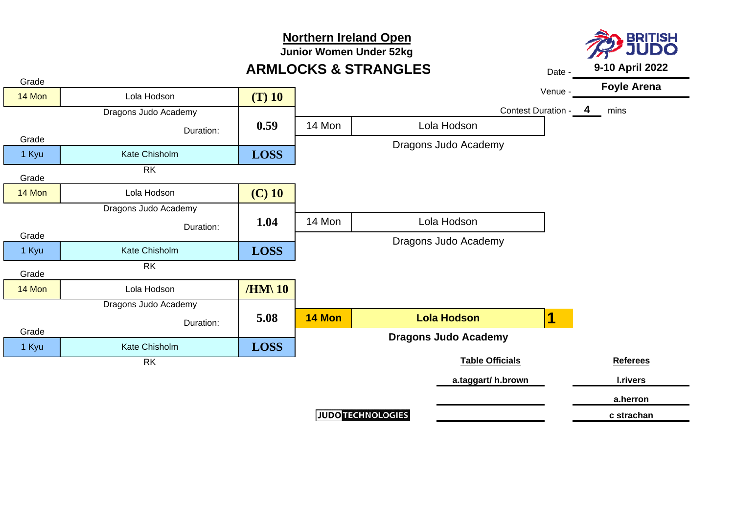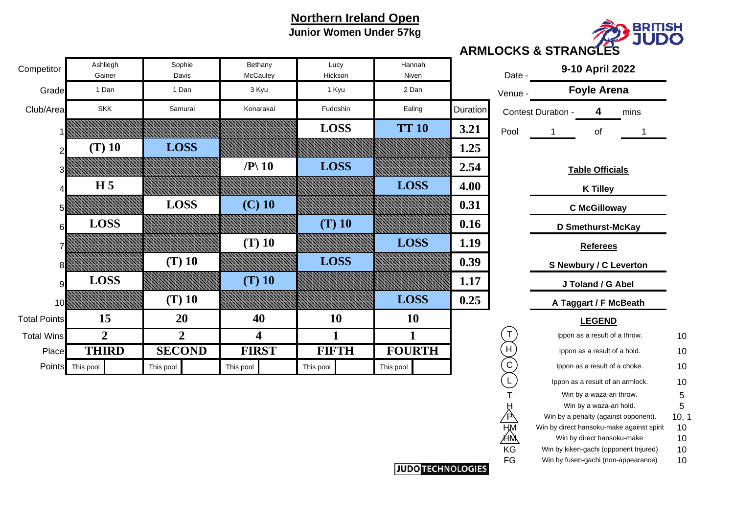## **Northern Ireland Open Junior Women Under 57kg**



| <b>Foyle Arena</b><br>Venue -<br><b>Duration</b><br>4<br>Contest Duration -<br>mins<br>$\bf{0}$<br>3.21<br>Pool<br>οf<br>1<br>1<br>1.25<br>2.54<br><b>Table Officials</b><br>$\bf S$<br>4.00<br><b>K Tilley</b><br>0.31<br><b>C</b> McGilloway<br>0.16<br>D Smethurst-McKay<br>1.19<br>S<br><b>Referees</b><br>0.39<br><b>S Newbury / C Leverton</b><br>1.17<br>J Toland / G Abel<br>0.25<br>$\bf S$<br>A Taggart / F McBeath<br><b>LEGEND</b><br>Τ<br>Ippon as a result of a throw.<br>$\mathsf{H}$<br>TH<br>Ippon as a result of a hold.<br>Ippon as a result of a choke. | h | Date - | 9-10 April 2022 |          |
|-----------------------------------------------------------------------------------------------------------------------------------------------------------------------------------------------------------------------------------------------------------------------------------------------------------------------------------------------------------------------------------------------------------------------------------------------------------------------------------------------------------------------------------------------------------------------------|---|--------|-----------------|----------|
|                                                                                                                                                                                                                                                                                                                                                                                                                                                                                                                                                                             |   |        |                 |          |
|                                                                                                                                                                                                                                                                                                                                                                                                                                                                                                                                                                             |   |        |                 |          |
|                                                                                                                                                                                                                                                                                                                                                                                                                                                                                                                                                                             |   |        |                 |          |
|                                                                                                                                                                                                                                                                                                                                                                                                                                                                                                                                                                             |   |        |                 |          |
|                                                                                                                                                                                                                                                                                                                                                                                                                                                                                                                                                                             |   |        |                 |          |
|                                                                                                                                                                                                                                                                                                                                                                                                                                                                                                                                                                             |   |        |                 |          |
|                                                                                                                                                                                                                                                                                                                                                                                                                                                                                                                                                                             |   |        |                 |          |
|                                                                                                                                                                                                                                                                                                                                                                                                                                                                                                                                                                             |   |        |                 |          |
|                                                                                                                                                                                                                                                                                                                                                                                                                                                                                                                                                                             |   |        |                 |          |
|                                                                                                                                                                                                                                                                                                                                                                                                                                                                                                                                                                             |   |        |                 |          |
|                                                                                                                                                                                                                                                                                                                                                                                                                                                                                                                                                                             |   |        |                 |          |
|                                                                                                                                                                                                                                                                                                                                                                                                                                                                                                                                                                             |   |        |                 |          |
|                                                                                                                                                                                                                                                                                                                                                                                                                                                                                                                                                                             |   |        |                 |          |
|                                                                                                                                                                                                                                                                                                                                                                                                                                                                                                                                                                             |   |        |                 | 10       |
|                                                                                                                                                                                                                                                                                                                                                                                                                                                                                                                                                                             |   |        |                 | 10       |
|                                                                                                                                                                                                                                                                                                                                                                                                                                                                                                                                                                             |   | С      |                 | 10       |
| L<br>Ippon as a result of an armlock.                                                                                                                                                                                                                                                                                                                                                                                                                                                                                                                                       |   |        |                 | 10       |
| 5<br>Win by a waza-ari throw.                                                                                                                                                                                                                                                                                                                                                                                                                                                                                                                                               |   |        |                 |          |
| 5<br>Win by a waza-ari hold.                                                                                                                                                                                                                                                                                                                                                                                                                                                                                                                                                |   |        |                 |          |
| Win by a penalty (against opponent).                                                                                                                                                                                                                                                                                                                                                                                                                                                                                                                                        |   |        |                 | 10, 1    |
| Win by direct hansoku-make against spirit                                                                                                                                                                                                                                                                                                                                                                                                                                                                                                                                   |   |        |                 | 10       |
| Win by direct hansoku-make<br>KG                                                                                                                                                                                                                                                                                                                                                                                                                                                                                                                                            |   |        |                 | 10       |
| Win by kiken-gachi (opponent Injured)<br>FG<br>Win by fusen-gachi (non-appearance)                                                                                                                                                                                                                                                                                                                                                                                                                                                                                          |   |        |                 | 10<br>10 |

| Competitor          | Ashliegh<br>Gainer | Sophie<br>Davis | Bethany<br>McCauley       | Lucy<br>Hickson | Hannah<br>Niven |                 | Date -    |                              | 9-10 April 2022               |    |
|---------------------|--------------------|-----------------|---------------------------|-----------------|-----------------|-----------------|-----------|------------------------------|-------------------------------|----|
| Grade               | 1 Dan              | 1 Dan           | 3 Kyu                     | 1 Kyu           | 2 Dan           |                 | Venue -   | <b>Foyle Arena</b>           |                               |    |
| Club/Area           | <b>SKK</b>         | Samurai         | Konarakai                 | Fudoshin        | Ealing          | <b>Duration</b> |           | Contest Duration -           | mins<br>4                     |    |
|                     |                    |                 |                           | <b>LOSS</b>     | <b>TT 10</b>    | 3.21            | Pool      |                              | of                            |    |
|                     | $(T)$ 10           | <b>LOSS</b>     |                           |                 |                 | 1.25            |           |                              |                               |    |
|                     |                    |                 | $\mathbb{P} \setminus 10$ | <b>LOSS</b>     |                 | 2.54            |           |                              | <b>Table Officials</b>        |    |
|                     | H <sub>5</sub>     |                 |                           |                 | <b>LOSS</b>     | 4.00            |           |                              | <b>K Tilley</b>               |    |
|                     |                    | <b>LOSS</b>     | $(C)$ 10                  |                 |                 | 0.31            |           |                              | <b>C</b> McGilloway           |    |
| 6                   | <b>LOSS</b>        |                 |                           | $(T)$ 10        |                 | 0.16            |           |                              | D Smethurst-McKay             |    |
|                     |                    |                 | $(T)$ 10                  |                 | <b>LOSS</b>     | 1.19            |           |                              | <b>Referees</b>               |    |
|                     |                    | $(T)$ 10        |                           | <b>LOSS</b>     |                 | 0.39            |           |                              | <b>S Newbury / C Leverton</b> |    |
|                     | <b>LOSS</b>        |                 | $(T)$ 10                  |                 |                 | 1.17            |           | J Toland / G Abel            |                               |    |
| 10                  |                    | $(T)$ 10        |                           |                 | <b>LOSS</b>     | 0.25            |           |                              | A Taggart / F McBeath         |    |
| <b>Total Points</b> | 15                 | 20              | 40                        | 10              | <b>10</b>       |                 |           |                              | <b>LEGEND</b>                 |    |
| <b>Total Wins</b>   | $\overline{2}$     | $\overline{2}$  | 4                         | 1               |                 |                 |           |                              | Ippon as a result of a throw. | 10 |
| Place               | <b>THIRD</b>       | <b>SECOND</b>   | <b>FIRST</b>              | <b>FIFTH</b>    | <b>FOURTH</b>   |                 | H         | Ippon as a result of a hold. |                               | 10 |
| Points              | This pool          | This pool       | This pool                 | This pool       | This pool       |                 | ${\bf C}$ |                              | Ippon as a result of a choke. | 10 |

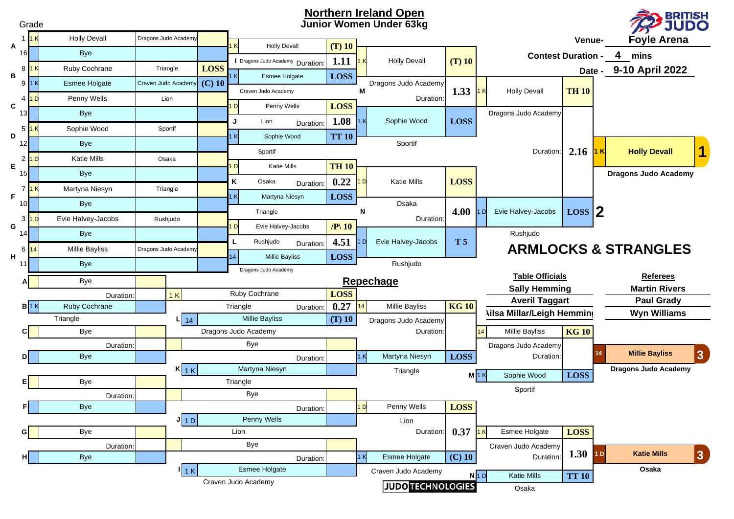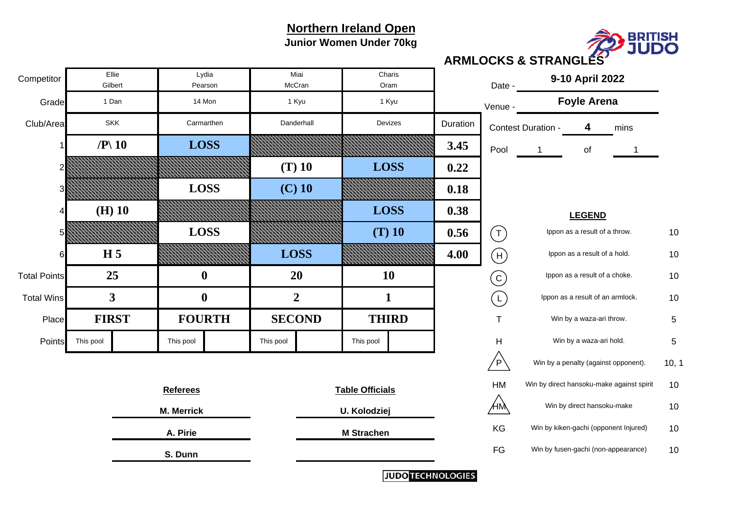**Junior Women Under 70kg**



Grade<u>d</u> venue - Almen - Almen - Almen - Almen - Almen - Almen - Venue - Venue - Venue - Venue - Venue - Venue - Venue -Club/Areaa SKK Carmarthen **Danderhall** Devizes Devizes Duration Contest Duration - 4 4 mins 1 **3.453.45**  $\begin{bmatrix} 9 & 1 \\ 9 & 1 \end{bmatrix}$  of  $\overline{1}$ 2 **0.22** $0.22$ 3 **0.18** $0.18$ 4 **0.38**0.38 5 **0.56** $\begin{matrix} 6 & 1 \end{matrix}$  ( T ) lppon as a result of a throw.  $\begin{matrix} 10 & 10 \end{matrix}$ 6 **4.00** $\begin{matrix} 0 & | & (\mathsf{H}) \end{matrix}$  lppon as a result of a hold.  $\begin{matrix} 10 & 10 \\ 10 & 10 \end{matrix}$ Total Pointss and the set of a choice  $25$  and the  $10$  and  $10$  and the choice  $\sim$  10 and the choice  $10$ Total WinsSI  $3$  I () I  $2$  I I I I (I) Ippon as a result of an armlock.  $\,$  10  $\,$  $10$ Placeel FIRST I FOURTH I SECOND I THIRD I T Win by a waza-ari throw. 5 PointsS This pool This pool This pool This pool This pool This pool This pool This pool This pool This pool This pool This pool This pool This pool This pool This pool This pool This pool This pool This pool This pool This pool  $\mathsf{P}\setminus\mathsf{I}$  Win by a penalty (against opponent).  $\blacksquare\mathsf{10},\mathsf{10}$ HM Win by direct hansoku-make against spirit 10  $10$  $\mathsf{HM} \hspace{1.5cm} 10$ **e** example the **M Strachen** Monometric Management Controller Monometric Monometric Monometric Monometric Monometric Monometric Monometric Monometric Monometric Monometric Monometric Monometric Monometric Monometric Monome FG Win by fusen-gachi (non-appearance) 10  $10$ 1 Dan 14 Mon 1 Kyu 1 Kyu 1 Kyu **3FOURTH SECOND THIRD**Win by a waza-ari hold. **M. Merrick U. Kolodziej LEGEND 0** 1 2 1 **FIRST**Competitor Ellie Lydia<br>
Gilbert Pearson **Foyle Arena McCran** Miai**20 10** Date -Charis OramDevizes**S. Dunn Referees Table Officials A. PirieM Strachen 9-10 April 2022 25**SKK **Gilbert** Ellie **Carmarthen**  Danderhall **0/P\ 10 LOSS (T) 10 LOSS LOSS (C) 10 (H) 10 LOSS LOSS (T) 10 H 5 LOSS** T H C  $(L)$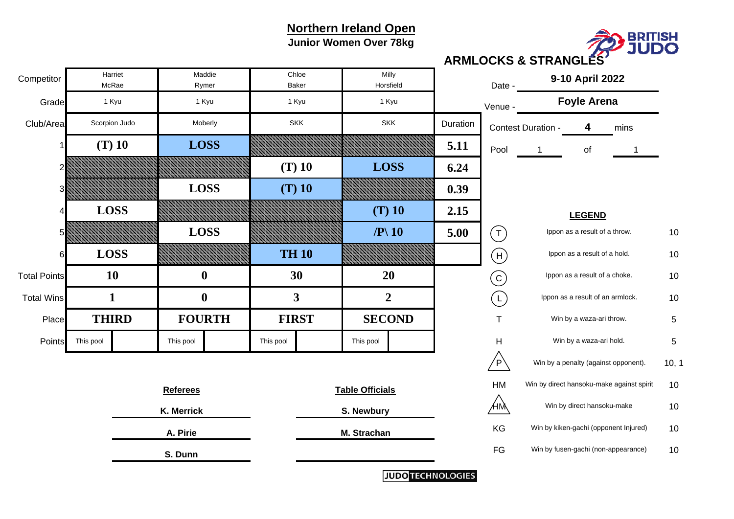**Junior Women Over 78kg**



**ARMLOCKS & STRANGLES**

| Competitor          |            | Harriet<br>McRae |                 | Maddie<br>Rymer  | Chloe<br>Baker |            | Milly<br>Horsfield     |                |          | Date -                            | 9-10 April 2022                       |                                      |                                           |       |
|---------------------|------------|------------------|-----------------|------------------|----------------|------------|------------------------|----------------|----------|-----------------------------------|---------------------------------------|--------------------------------------|-------------------------------------------|-------|
| Grade               |            | 1 Kyu            |                 | 1 Kyu            | 1 Kyu          |            |                        | 1 Kyu          |          | Venue -                           |                                       | <b>Foyle Arena</b>                   |                                           |       |
| Club/Area           |            | Scorpion Judo    |                 | Moberly          |                | <b>SKK</b> |                        | <b>SKK</b>     | Duration |                                   | Contest Duration -                    | 4                                    | mins                                      |       |
|                     |            | $(T)$ 10         |                 | <b>LOSS</b>      |                |            |                        |                | 5.11     | Pool                              |                                       | of                                   |                                           |       |
|                     |            |                  |                 |                  | $(T)$ 10       |            | <b>LOSS</b>            |                | 6.24     |                                   |                                       |                                      |                                           |       |
|                     |            |                  |                 | <b>LOSS</b>      | $(T)$ 10       |            |                        |                | 0.39     |                                   |                                       |                                      |                                           |       |
|                     |            | <b>LOSS</b>      |                 |                  |                |            |                        | $(T)$ 10       | 2.15     |                                   | <b>LEGEND</b>                         |                                      |                                           |       |
|                     |            |                  |                 | <b>LOSS</b>      |                |            | $\left P\right 10$     |                | 5.00     | $(\mathsf{T})$                    |                                       | Ippon as a result of a throw.        |                                           | 10    |
| 61                  |            | <b>LOSS</b>      |                 |                  | <b>TH 10</b>   |            |                        |                |          | $\begin{pmatrix} 1 \end{pmatrix}$ |                                       | Ippon as a result of a hold.         |                                           | 10    |
| <b>Total Points</b> |            | <b>10</b>        |                 | $\bf{0}$         | 30             |            |                        | 20             |          | $\bigodot$                        | Ippon as a result of a choke.         |                                      |                                           | 10    |
| <b>Total Wins</b>   |            | $\mathbf{1}$     |                 | $\boldsymbol{0}$ | 3              |            |                        | $\overline{2}$ |          | (L)                               |                                       | Ippon as a result of an armlock.     |                                           | 10    |
| Place               |            | <b>THIRD</b>     |                 | <b>FOURTH</b>    | <b>FIRST</b>   |            |                        | <b>SECOND</b>  |          | $\mathsf{T}$                      | Win by a waza-ari throw.              |                                      |                                           | 5     |
| Points              | This pool  |                  | This pool       |                  | This pool      |            | This pool              |                |          | $\mathsf H$                       | Win by a waza-ari hold.               |                                      |                                           | 5     |
|                     |            |                  |                 |                  |                |            |                        |                |          | $\sqrt{P}$                        |                                       | Win by a penalty (against opponent). |                                           | 10, 1 |
|                     |            |                  | <b>Referees</b> |                  |                |            | <b>Table Officials</b> |                |          | HM                                |                                       |                                      | Win by direct hansoku-make against spirit | 10    |
|                     | K. Merrick |                  |                 |                  |                | S. Newbury |                        |                | ÆМ       |                                   | Win by direct hansoku-make            |                                      | 10                                        |       |
| A. Pirie            |            |                  |                 |                  | M. Strachan    |            |                        | KG             |          |                                   | Win by kiken-gachi (opponent Injured) | 10                                   |                                           |       |
|                     | S. Dunn    |                  |                 |                  |                |            |                        |                | FG       |                                   | Win by fusen-gachi (non-appearance)   |                                      | 10                                        |       |
|                     |            | $\cdots$         |                 |                  |                |            |                        |                |          |                                   |                                       |                                      |                                           |       |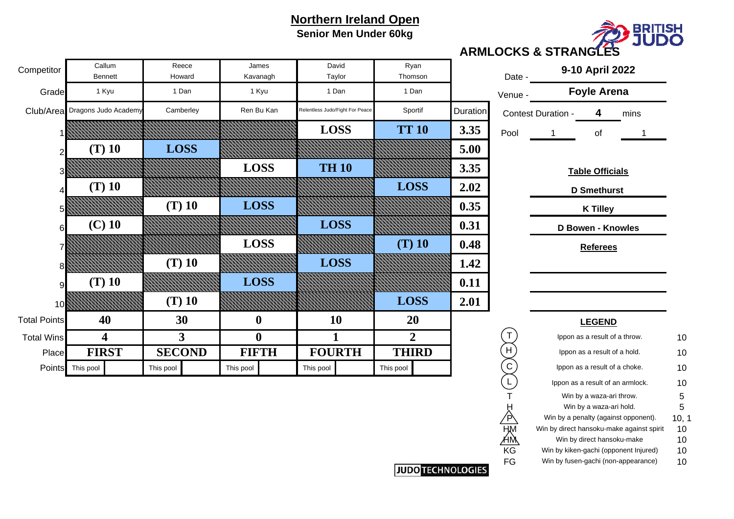## **Northern Ireland Open Senior Men Under 60kg**



#### **ARMLOCKS & STRANGLES**

| Callum<br><b>Bennett</b> | Reece<br>Howard | James<br>Kavanagh | David<br>Taylor                 | Ryan<br>Thomson |          | Date -  |                    | 9-10 April 2022               |      |    |
|--------------------------|-----------------|-------------------|---------------------------------|-----------------|----------|---------|--------------------|-------------------------------|------|----|
| 1 Kyu                    | 1 Dan           | 1 Kyu             | 1 Dan                           | 1 Dan           |          | Venue - |                    | <b>Foyle Arena</b>            |      |    |
| Dragons Judo Academy     | Camberley       | Ren Bu Kan        | Relentless Judo/Fight For Peace | Sportif         | Duration |         | Contest Duration - | 4                             | mins |    |
|                          |                 |                   | <b>LOSS</b>                     | <b>TT 10</b>    | 3.35     | Pool    | $\overline{1}$     | of                            |      |    |
| $(T)$ 10                 | <b>LOSS</b>     |                   |                                 |                 | 5.00     |         |                    |                               |      |    |
|                          |                 | <b>LOSS</b>       | <b>TH 10</b>                    |                 | 3.35     |         |                    | <b>Table Officials</b>        |      |    |
| $(T)$ 10                 |                 |                   |                                 | <b>LOSS</b>     | 2.02     |         |                    | <b>D</b> Smethurst            |      |    |
|                          | $(T)$ 10        | <b>LOSS</b>       |                                 |                 | 0.35     |         |                    | <b>K Tilley</b>               |      |    |
| $(C)$ 10                 |                 |                   | <b>LOSS</b>                     |                 | 0.31     |         |                    | <b>D Bowen - Knowles</b>      |      |    |
|                          |                 | <b>LOSS</b>       |                                 | $(T)$ 10        | 0.48     |         |                    | <b>Referees</b>               |      |    |
|                          | $(T)$ 10        |                   | <b>LOSS</b>                     |                 | 1.42     |         |                    |                               |      |    |
| $(T)$ 10                 |                 | <b>LOSS</b>       |                                 |                 | 0.11     |         |                    |                               |      |    |
|                          | $(T)$ 10        |                   |                                 | <b>LOSS</b>     | 2.01     |         |                    |                               |      |    |
| 40                       | 30              | $\bf{0}$          | 10                              | 20              |          |         |                    | <b>LEGEND</b>                 |      |    |
| 4                        | 3               | $\boldsymbol{0}$  |                                 | $\overline{2}$  |          |         |                    | Ippon as a result of a throw. |      | 10 |
| <b>FIRST</b>             | <b>SECOND</b>   | <b>FIFTH</b>      | <b>FOURTH</b>                   | <b>THIRD</b>    |          | H       |                    | Ippon as a result of a hold.  |      | 10 |

| <b>LEGEND</b>                             |       |
|-------------------------------------------|-------|
| Ippon as a result of a throw.             | 10    |
| Ippon as a result of a hold.              | 10    |
| Ippon as a result of a choke.             | 10    |
| Ippon as a result of an armlock.          | 10    |
| Win by a waza-ari throw.                  | 5     |
| Win by a waza-ari hold.                   | 5     |
| Win by a penalty (against opponent).      | 10, 1 |
| Win by direct hansoku-make against spirit | 10    |
| Win by direct hansoku-make                | 10    |

|    | VVIII DY GILECT HANSONG-MANE          | ιU |
|----|---------------------------------------|----|
| ΚG | Win by kiken-gachi (opponent Injured) | 10 |
| FG | Win by fusen-gachi (non-appearance)   | 10 |

| Competitor          | Callum<br><b>Bennett</b> | Reece<br>Howard | James<br>Kavanagh | David<br>Taylor                 | Ryan<br>Thomson | Date -          |                          | 9-10 April 2022                 |    |
|---------------------|--------------------------|-----------------|-------------------|---------------------------------|-----------------|-----------------|--------------------------|---------------------------------|----|
| Grade               | 1 Kyu                    | 1 Dan           | 1 Kyu             | 1 Dan                           | 1 Dan           |                 | Venue -                  | <b>Foyle Arena</b>              |    |
| Club/Area           | Dragons Judo Academy     | Camberley       | Ren Bu Kan        | Relentless Judo/Fight For Peace | Sportif         | <b>Duration</b> |                          | Contest Duration -<br>4<br>mins |    |
|                     |                          |                 |                   | <b>LOSS</b>                     | <b>TT 10</b>    | 3.35            | Pool                     | of                              |    |
|                     | $(T)$ 10                 | <b>LOSS</b>     |                   |                                 |                 | 5.00            |                          |                                 |    |
|                     |                          |                 | <b>LOSS</b>       | <b>TH 10</b>                    |                 | 3.35            |                          | <b>Table Officials</b>          |    |
|                     | $(T)$ 10                 |                 |                   |                                 | <b>LOSS</b>     | 2.02            |                          | <b>D</b> Smethurst              |    |
|                     |                          | $(T)$ 10        | <b>LOSS</b>       |                                 |                 | 0.35            |                          | <b>K Tilley</b>                 |    |
|                     | $(C)$ 10                 |                 |                   | <b>LOSS</b>                     |                 | 0.31            | <b>D Bowen - Knowles</b> |                                 |    |
|                     |                          |                 | <b>LOSS</b>       |                                 | $(T)$ 10        | 0.48            |                          | <b>Referees</b>                 |    |
| 8                   |                          | $(T)$ 10        |                   | <b>LOSS</b>                     |                 | 1.42            |                          |                                 |    |
|                     | $(T)$ 10                 |                 | <b>LOSS</b>       |                                 |                 | 0.11            |                          |                                 |    |
| 10                  |                          | $(T)$ 10        |                   |                                 | <b>LOSS</b>     | 2.01            |                          |                                 |    |
| <b>Total Points</b> | 40                       | 30              | 0                 | 10                              | 20              |                 |                          | <b>LEGEND</b>                   |    |
| <b>Total Wins</b>   | 4                        | $\mathbf{3}$    | $\mathbf{0}$      |                                 | $\overline{2}$  |                 | $\mathsf{T}$             | Ippon as a result of a throw.   | 10 |
| Place               | <b>FIRST</b>             | <b>SECOND</b>   | <b>FIFTH</b>      | <b>FOURTH</b>                   | <b>THIRD</b>    |                 | H                        | Ippon as a result of a hold.    | 10 |
| <b>Points</b>       | This pool                | This pool       | This pool         | This pool                       | This pool       |                 | $\overline{C}$           | Ippon as a result of a choke.   | 10 |

## **JUDO TECHNOLOGIES**

 $\frac{1}{2}$   $\frac{1}{2}$   $\frac{1}{2}$   $\frac{1}{2}$   $\frac{1}{2}$   $\frac{1}{2}$   $\frac{1}{2}$   $\frac{1}{2}$   $\frac{1}{2}$   $\frac{1}{2}$   $\frac{1}{2}$   $\frac{1}{2}$   $\frac{1}{2}$   $\frac{1}{2}$   $\frac{1}{2}$   $\frac{1}{2}$   $\frac{1}{2}$   $\frac{1}{2}$   $\frac{1}{2}$   $\frac{1}{2}$   $\frac{1}{2}$   $\frac{1}{2}$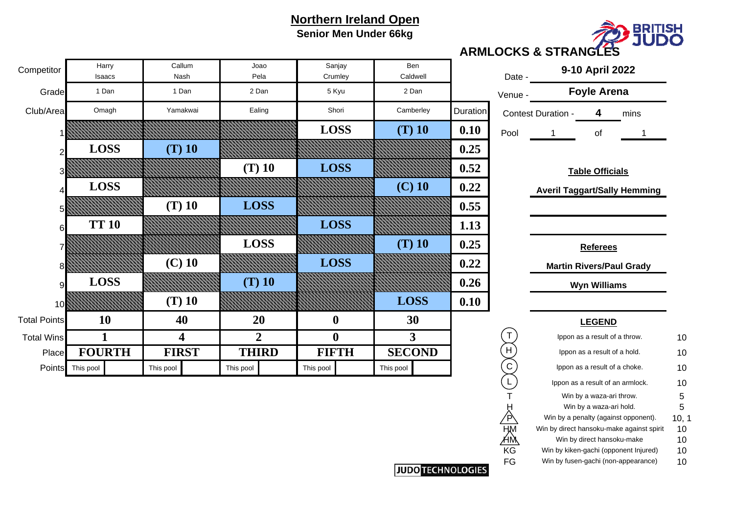## **Northern Ireland Open Senior Men Under 66kg**



#### **ARMLOCKS & STRANGLES**

|     | Date -  | 9-10 April 2022<br><b>Foyle Arena</b> |    |      |  |  |  |  |
|-----|---------|---------------------------------------|----|------|--|--|--|--|
|     | Venue - |                                       |    |      |  |  |  |  |
| ion |         | Contest Duration -                    |    | mins |  |  |  |  |
| 0   | Pool    |                                       | nt |      |  |  |  |  |

#### **Table Officials**

|    | Ippon as a result of a throw.             | 10    |
|----|-------------------------------------------|-------|
|    | Ippon as a result of a hold.              | 10    |
| С  | Ippon as a result of a choke.             | 10    |
|    | Ippon as a result of an armlock.          | 10    |
|    | Win by a waza-ari throw.                  | 5     |
|    | Win by a waza-ari hold.                   | 5     |
|    | Win by a penalty (against opponent).      | 10, 1 |
|    | Win by direct hansoku-make against spirit | 10    |
|    | Win by direct hansoku-make                | 10    |
| ΚG | Win by kiken-gachi (opponent Injured)     | 10    |
| FG | Win by fusen-gachi (non-appearance)       | 10    |
|    |                                           |       |

| Competitor          | Harry<br>Isaacs | Callum<br>Nash | Joao<br>Pela   | Sanjay<br>Crumley | Ben<br>Caldwell |          | Date -    |                    | 9-10 April 2022               |                                     |    |
|---------------------|-----------------|----------------|----------------|-------------------|-----------------|----------|-----------|--------------------|-------------------------------|-------------------------------------|----|
| Grade               | 1 Dan           | 1 Dan          | 2 Dan          | 5 Kyu             | 2 Dan           |          | Venue -   |                    | <b>Foyle Arena</b>            |                                     |    |
| Club/Area           | Omagh           | Yamakwai       | Ealing         | Shori             | Camberley       | Duration |           | Contest Duration - | 4                             | mins                                |    |
|                     |                 |                |                | <b>LOSS</b>       | $(T)$ 10        | 0.10     | Pool      |                    | of                            |                                     |    |
|                     | <b>LOSS</b>     | $(T)$ 10       |                |                   |                 | 0.25     |           |                    |                               |                                     |    |
|                     |                 |                | $(T)$ 10       | <b>LOSS</b>       |                 | 0.52     |           |                    | <b>Table Officials</b>        |                                     |    |
|                     | <b>LOSS</b>     |                |                |                   | $(C)$ 10        | 0.22     |           |                    |                               | <b>Averil Taggart/Sally Hemming</b> |    |
|                     |                 | $(T)$ 10       | <b>LOSS</b>    |                   |                 | 0.55     |           |                    |                               |                                     |    |
| 6                   | <b>TT 10</b>    |                |                | <b>LOSS</b>       |                 | 1.13     |           |                    |                               |                                     |    |
|                     |                 |                | <b>LOSS</b>    |                   | $(T)$ 10        | 0.25     |           |                    | <b>Referees</b>               |                                     |    |
|                     |                 | $(C)$ 10       |                | <b>LOSS</b>       |                 | 0.22     |           |                    |                               | <b>Martin Rivers/Paul Grady</b>     |    |
| g                   | <b>LOSS</b>     |                | $(T)$ 10       |                   |                 | 0.26     |           |                    | <b>Wyn Williams</b>           |                                     |    |
| 10                  |                 | $(T)$ 10       |                |                   | <b>LOSS</b>     | 0.10     |           |                    |                               |                                     |    |
| <b>Total Points</b> | 10              | 40             | 20             | $\boldsymbol{0}$  | 30              |          |           |                    | <b>LEGEND</b>                 |                                     |    |
| <b>Total Wins</b>   |                 | 4              | $\overline{2}$ | $\boldsymbol{0}$  | 3               |          |           |                    | Ippon as a result of a throw. |                                     | 10 |
| Place               | <b>FOURTH</b>   | <b>FIRST</b>   | <b>THIRD</b>   | <b>FIFTH</b>      | <b>SECOND</b>   |          | H         |                    | Ippon as a result of a hold.  |                                     | 10 |
| Points              | This pool       | This pool      | This pool      | This pool         | This pool       |          | ${\bf C}$ |                    | Ippon as a result of a choke. |                                     | 10 |

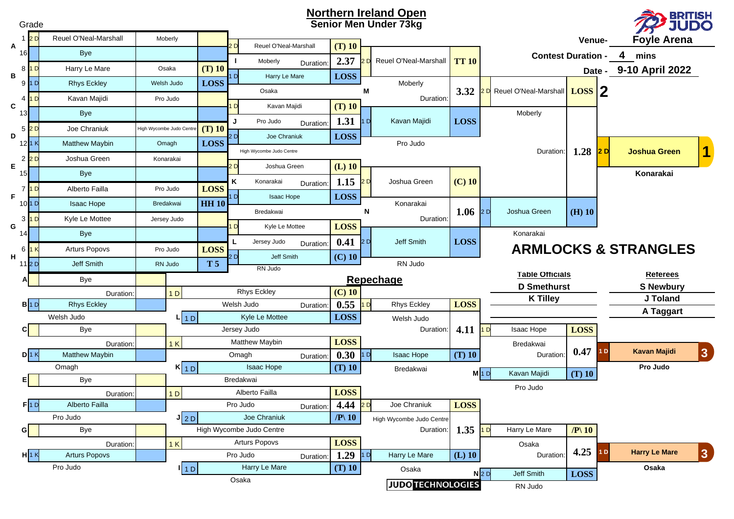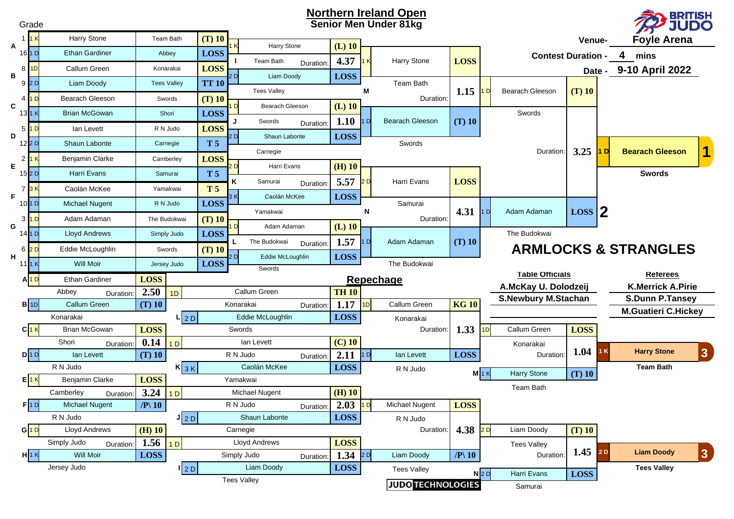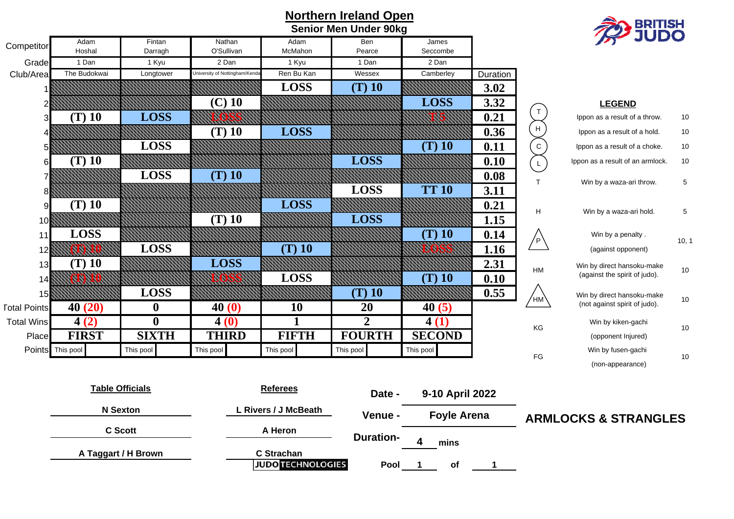|                     |                  |                        |                                |                                        | <b>BRITISH<br/>JUDO</b> |                               |          |                    |                                  |       |
|---------------------|------------------|------------------------|--------------------------------|----------------------------------------|-------------------------|-------------------------------|----------|--------------------|----------------------------------|-------|
| Competitor          | Adam<br>Hoshal   | Fintan<br>Darragh      | Nathan<br>O'Sullivan           | Adam<br>McMahon                        | Ben<br>Pearce           | James<br>Seccombe             |          |                    |                                  |       |
| Grade               | 1 Dan            | 1 Kyu                  | 2 Dan                          | 1 Kyu                                  | 1 Dan                   | 2 Dan                         |          |                    |                                  |       |
| Club/Area           | The Budokwai     | Longtower              | University of Nottingham/Kenda | Ren Bu Kan                             | Wessex                  | Camberley                     | Duration |                    |                                  |       |
|                     |                  |                        |                                | <b>LOSS</b>                            | (T) 10                  |                               | 3.02     |                    |                                  |       |
|                     |                  |                        | $(C)$ 10                       |                                        |                         | <b>LOSS</b>                   | 3.32     |                    | <b>LEGEND</b>                    |       |
| 3                   | $(T)$ 10         | <b>LOSS</b>            |                                |                                        |                         |                               | 0.21     | $\mathsf T$        | Ippon as a result of a throw.    | 10    |
|                     |                  |                        | $(T)$ 10                       | <b>LOSS</b>                            |                         |                               | 0.36     | H                  | Ippon as a result of a hold.     | $10$  |
| 5                   |                  | <b>LOSS</b>            |                                |                                        |                         | $(T)$ 10                      | 0.11     | ${\bf C}$          | Ippon as a result of a choke.    | 10    |
| 6                   | $(T)$ 10         |                        |                                |                                        | <b>LOSS</b>             |                               | 0.10     | $\mathsf{L}$       | Ippon as a result of an armlock. | 10    |
|                     |                  | <b>LOSS</b>            | $(T)$ 10                       |                                        |                         |                               | 0.08     |                    |                                  |       |
| 8                   |                  |                        |                                |                                        | <b>LOSS</b>             | <b>TT 10</b>                  | 3.11     | $\mathsf{T}$       | Win by a waza-ari throw.         | 5     |
| 9                   | $(T)$ 10         |                        |                                | <b>LOSS</b>                            |                         |                               | 0.21     |                    |                                  |       |
| 10                  |                  |                        | $(T)$ 10                       |                                        | <b>LOSS</b>             |                               | 1.15     | H                  | Win by a waza-ari hold.          | 5     |
| 11                  | <b>LOSS</b>      |                        |                                |                                        |                         | $(T)$ 10                      | 0.14     |                    | Win by a penalty.                |       |
| 12                  |                  | <b>LOSS</b>            |                                | $(T)$ 10                               |                         |                               | 1.16     | $/$ P $\backslash$ | (against opponent)               | 10, 1 |
| 13                  | $(T)$ 10         |                        | <b>LOSS</b>                    |                                        |                         |                               | 2.31     |                    | Win by direct hansoku-make       |       |
| 14                  |                  |                        |                                | <b>LOSS</b>                            |                         | $(T)$ 10                      | 0.10     | HM                 | (against the spirit of judo).    | $10$  |
| 15                  |                  | <b>LOSS</b>            |                                |                                        | $(T)$ 10                |                               | 0.55     |                    | Win by direct hansoku-make       |       |
| <b>Total Points</b> | 40(20)           | $\boldsymbol{0}$       | 40(0)                          | 10                                     | 20                      | 40(5)                         |          | ∕нм\               | (not against spirit of judo).    | $10$  |
| <b>Total Wins</b>   | 4(2)             | $\boldsymbol{0}$       | 4(0)                           | 1                                      | $\overline{2}$          | 4(1)                          |          |                    | Win by kiken-gachi               |       |
| Place               | <b>FIRST</b>     | <b>SIXTH</b>           | <b>THIRD</b>                   | <b>FIFTH</b>                           | <b>FOURTH</b>           | <b>SECOND</b>                 |          | KG                 | (opponent Injured)               | 10    |
|                     | Points This pool | This pool              | This pool                      | This pool                              | This pool               | This pool                     |          |                    | Win by fusen-gachi               |       |
|                     |                  |                        |                                |                                        |                         |                               |          | ${\sf FG}$         | (non-appearance)                 | 10    |
|                     |                  | <b>Table Officials</b> |                                | <b>Referees</b>                        | Date -                  | 9-10 April 2022               |          |                    |                                  |       |
|                     | <b>N</b> Sexton  |                        |                                | L Rivers / J McBeath                   | Venue -                 | <b>Foyle Arena</b>            |          |                    | <b>ARMLOCKS &amp; STRANGLES</b>  |       |
|                     | <b>C</b> Scott   |                        |                                | A Heron                                |                         | <b>Duration-</b><br>4<br>mins |          |                    |                                  |       |
|                     |                  | A Taggart / H Brown    |                                | C Strachan<br><b>JUDO TECHNOLOGIES</b> | Pool                    | of                            | 1        |                    |                                  |       |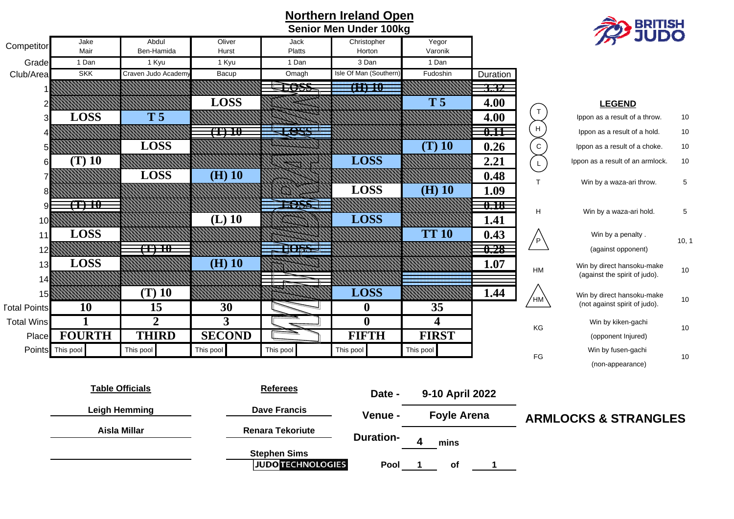| Northern Ireland Open |                        |                     |                 |                         |                               |                         |                   |                                                                                                             | <b>BRITISH<br/>JUDO</b>          |             |  |  |
|-----------------------|------------------------|---------------------|-----------------|-------------------------|-------------------------------|-------------------------|-------------------|-------------------------------------------------------------------------------------------------------------|----------------------------------|-------------|--|--|
|                       |                        |                     |                 |                         | <b>Senior Men Under 100kg</b> |                         |                   |                                                                                                             |                                  |             |  |  |
| Competitor            | Jake<br>Mair           | Abdul<br>Ben-Hamida | Oliver<br>Hurst | Jack<br>Platts          | Christopher<br>Horton         | Yegor<br>Varonik        |                   |                                                                                                             |                                  |             |  |  |
| Grade                 | 1 Dan                  | 1 Kyu               | 1 Kyu           | 1 Dan                   | 3 Dan                         | 1 Dan                   |                   |                                                                                                             |                                  |             |  |  |
| Club/Area             | <b>SKK</b>             | Craven Judo Academy | Bacup           | Omagh                   | Isle Of Man (Southern         | Fudoshin                | Duration          |                                                                                                             |                                  |             |  |  |
|                       |                        |                     |                 | 7055                    | $\overline{(\text{H})10}$     |                         | 3.32              |                                                                                                             |                                  |             |  |  |
|                       |                        |                     | <b>LOSS</b>     |                         |                               | T <sub>5</sub>          | 4.00              |                                                                                                             | <b>LEGEND</b>                    |             |  |  |
|                       | <b>LOSS</b>            | T <sub>5</sub>      |                 |                         |                               |                         | 4.00              | $\ensuremath{\mathsf{T}}$                                                                                   | Ippon as a result of a throw.    | 10          |  |  |
|                       |                        |                     | $\times$        | <b>Less</b>             |                               |                         | 0.11              | $\boldsymbol{\mathsf{H}}$                                                                                   | Ippon as a result of a hold.     | 10          |  |  |
|                       |                        | <b>LOSS</b>         |                 |                         |                               | $(T)$ 10                | 0.26              | ${\rm C}$                                                                                                   | Ippon as a result of a choke.    | 10          |  |  |
| 6                     | $(T)$ 10               |                     |                 |                         | <b>LOSS</b>                   |                         | 2.21              | $\mathsf{L}% _{0}\left( \mathsf{L}_{0}\right) ^{\ast }=\mathsf{L}_{0}\left( \mathsf{L}_{0}\right) ^{\ast }$ | Ippon as a result of an armlock. | 10          |  |  |
|                       |                        | <b>LOSS</b>         | $(H)$ 10        |                         |                               |                         | 0.48              |                                                                                                             |                                  |             |  |  |
|                       |                        |                     |                 |                         | <b>LOSS</b>                   | $(H)$ 10                | 1.09              | T.                                                                                                          | Win by a waza-ari throw.         | $\mathbf 5$ |  |  |
| 9                     | (T) 10                 |                     |                 | <b>EARS</b>             |                               |                         | $\overline{0.18}$ |                                                                                                             |                                  |             |  |  |
| 10                    |                        |                     | $(L)$ 10        |                         | <b>LOSS</b>                   |                         | 1.41              | $\overline{H}$                                                                                              | Win by a waza-ari hold.          | 5           |  |  |
| 11                    | <b>LOSS</b>            |                     |                 |                         |                               | <b>TT 10</b>            | 0.43              |                                                                                                             | Win by a penalty.                |             |  |  |
| 12                    |                        | $\times$            |                 | <b>HOSS</b>             |                               |                         | 0.28              | $/$ P $\backslash$                                                                                          | (against opponent)               | 10, 1       |  |  |
| 13                    | <b>LOSS</b>            |                     | $(H)$ 10        |                         |                               |                         | 1.07              |                                                                                                             | Win by direct hansoku-make       |             |  |  |
| 14                    |                        |                     |                 |                         |                               |                         |                   | $\mathsf{HM}% _{0}$                                                                                         | (against the spirit of judo).    | 10          |  |  |
| 15                    |                        | $(T)$ 10            |                 |                         | <b>LOSS</b>                   |                         | 1.44              |                                                                                                             | Win by direct hansoku-make       |             |  |  |
| <b>Total Points</b>   | 10                     | 15                  | 30              |                         | $\boldsymbol{0}$              | 35                      |                   | $^{\prime}$ HM $^{\prime}$                                                                                  | (not against spirit of judo).    | 10          |  |  |
| <b>Total Wins</b>     | 1                      | $\overline{2}$      | $\overline{3}$  |                         | $\mathbf{0}$                  | $\overline{\mathbf{4}}$ |                   | KG                                                                                                          | Win by kiken-gachi               | $10$        |  |  |
| Place                 | <b>FOURTH</b>          | <b>THIRD</b>        | <b>SECOND</b>   |                         | <b>FIFTH</b>                  | <b>FIRST</b>            |                   |                                                                                                             | (opponent Injured)               |             |  |  |
|                       | Points This pool       | This pool           | This pool       | This pool               | This pool                     | This pool               |                   | $\mathop{\mathsf{FG}}$                                                                                      | Win by fusen-gachi               | 10          |  |  |
|                       |                        |                     |                 |                         |                               |                         |                   |                                                                                                             | (non-appearance)                 |             |  |  |
|                       |                        |                     |                 |                         |                               |                         |                   |                                                                                                             |                                  |             |  |  |
|                       | <b>Table Officials</b> |                     |                 | <b>Referees</b>         | Date -                        | 9-10 April 2022         |                   |                                                                                                             |                                  |             |  |  |
|                       | <b>Leigh Hemming</b>   |                     |                 | <b>Dave Francis</b>     | Venue -                       | <b>Foyle Arena</b>      |                   |                                                                                                             | <b>ARMLOCKS &amp; STRANGLES</b>  |             |  |  |
|                       | <b>Aisla Millar</b>    |                     |                 | <b>Renara Tekoriute</b> |                               |                         |                   |                                                                                                             |                                  |             |  |  |
|                       |                        |                     |                 |                         | <b>Duration-</b>              | 4<br>mins               |                   |                                                                                                             |                                  |             |  |  |
|                       | <b>Stephen Sims</b>    |                     |                 |                         |                               |                         |                   |                                                                                                             |                                  |             |  |  |

**of**

**Pool 1 1**

#### **Northern Ireland Open Senior Men Under 100kg**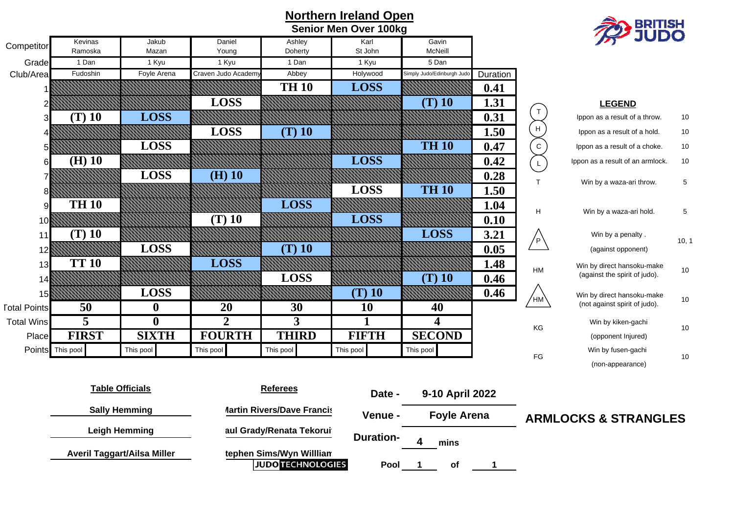|                     |                      |                                    |                    |                                                      | <b>BRITISH</b>   |                           |          |               |                                  |       |
|---------------------|----------------------|------------------------------------|--------------------|------------------------------------------------------|------------------|---------------------------|----------|---------------|----------------------------------|-------|
| Competitor          | Kevinas              | Jakub                              | Daniel             | Ashley                                               | Karl             | Gavin                     |          |               |                                  |       |
|                     | Ramoska              | Mazan                              | Young              | Doherty                                              | St John          | McNeill                   |          |               |                                  |       |
| Grade               | 1 Dan                | 1 Kyu                              | 1 Kyu              | 1 Dan                                                | 1 Kyu            | 5 Dan                     |          |               |                                  |       |
| Club/Area           | Fudoshin             | Foyle Arena                        | Craven Judo Academ | Abbey                                                | Holywood         | Simply Judo/Edinburgh Jud | Duration |               |                                  |       |
|                     |                      |                                    |                    | <b>TH 10</b>                                         | <b>LOSS</b>      |                           | 0.41     |               |                                  |       |
|                     |                      |                                    | <b>LOSS</b>        |                                                      |                  | $(T)$ 10                  | 1.31     | $\top$        | <b>LEGEND</b>                    |       |
|                     | $(T)$ 10             | <b>LOSS</b>                        |                    |                                                      |                  |                           | 0.31     |               | Ippon as a result of a throw.    | 10    |
|                     |                      |                                    | <b>LOSS</b>        | $(T)$ 10                                             |                  |                           | 1.50     | $\mathsf{H}$  | Ippon as a result of a hold.     | 10    |
|                     |                      | <b>LOSS</b>                        |                    |                                                      |                  | <b>TH 10</b>              | 0.47     | ${\rm c}$     | Ippon as a result of a choke.    | 10    |
| 61                  | $(H)$ 10             |                                    |                    |                                                      | <b>LOSS</b>      |                           | 0.42     | $\mathsf{L}$  | Ippon as a result of an armlock. | 10    |
|                     |                      | LOSS                               | $(H)$ 10           |                                                      |                  |                           | 0.28     | T.            | Win by a waza-ari throw.         | 5     |
|                     |                      |                                    |                    |                                                      | <b>LOSS</b>      | <b>TH 10</b>              | 1.50     |               |                                  |       |
| 9                   | <b>TH 10</b>         |                                    |                    | <b>LOSS</b>                                          |                  |                           | 1.04     | H             | Win by a waza-ari hold.          | 5     |
| 10                  |                      |                                    | $(T)$ 10           |                                                      | <b>LOSS</b>      |                           | 0.10     |               |                                  |       |
| 11                  | $(T)$ 10             |                                    |                    |                                                      |                  | <b>LOSS</b>               | 3.21     | $\sqrt{P}$    | Win by a penalty.                | 10, 1 |
| 12                  |                      | <b>LOSS</b>                        |                    | $(T)$ 10                                             |                  |                           | 0.05     |               | (against opponent)               |       |
| 13                  | <b>TT 10</b>         |                                    | <b>LOSS</b>        |                                                      |                  |                           | 1.48     | HM            | Win by direct hansoku-make       | 10    |
| 14                  |                      |                                    |                    | <b>LOSS</b>                                          |                  | $(T)$ 10                  | 0.46     |               | (against the spirit of judo).    |       |
| 15                  |                      | <b>LOSS</b>                        |                    |                                                      | $(T)$ 10         |                           | 0.46     | ∕нмे          | Win by direct hansoku-make       | 10    |
| <b>Total Points</b> | 50                   | $\boldsymbol{0}$                   | 20                 | 30                                                   | 10               | 40                        |          |               | (not against spirit of judo).    |       |
| <b>Total Wins</b>   | 5                    | $\mathbf{0}$                       | $\overline{2}$     | 3                                                    | 1                | 4                         |          | KG            | Win by kiken-gachi               | 10    |
| Place               | <b>FIRST</b>         | <b>SIXTH</b>                       | <b>FOURTH</b>      | <b>THIRD</b>                                         | <b>FIFTH</b>     | <b>SECOND</b>             |          |               | (opponent Injured)               |       |
|                     | Points This pool     | This pool                          | This pool          | This pool                                            | This pool        | This pool                 |          | $\mathsf{FG}$ | Win by fusen-gachi               | 10    |
|                     |                      |                                    |                    |                                                      |                  |                           |          |               | (non-appearance)                 |       |
|                     |                      | <b>Table Officials</b>             |                    | <b>Referees</b>                                      |                  |                           |          |               |                                  |       |
|                     |                      |                                    |                    |                                                      | Date -           | 9-10 April 2022           |          |               |                                  |       |
|                     |                      | <b>Sally Hemming</b>               |                    | <b>Martin Rivers/Dave Francis</b>                    | Venue -          | <b>Foyle Arena</b>        |          |               | <b>ARMLOCKS &amp; STRANGLES</b>  |       |
|                     | <b>Leigh Hemming</b> |                                    |                    | aul Grady/Renata Tekorui                             |                  |                           |          |               |                                  |       |
|                     |                      |                                    |                    |                                                      | <b>Duration-</b> | 4<br>mins                 |          |               |                                  |       |
|                     |                      | <b>Averil Taggart/Ailsa Miller</b> |                    | tephen Sims/Wyn Willlian<br><b>JUDO TECHNOLOGIES</b> | Pool             | of                        | 1        |               |                                  |       |

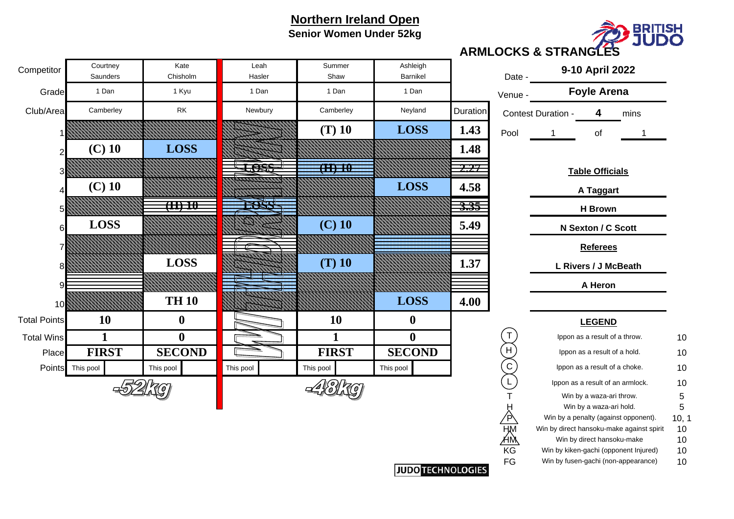## **Northern Ireland Open Senior Women Under 52kg**



#### **ARMLOCKS & STRANGLES**

| Competitor          | Courtney<br>Saunders | Kate<br>Chisholm                 | Leah<br>Hasler | Summer<br>Shaw | Ashleigh<br>Barnikel |                 | Date -  |                    | 9-10 April 2022                  |      |    |
|---------------------|----------------------|----------------------------------|----------------|----------------|----------------------|-----------------|---------|--------------------|----------------------------------|------|----|
| Grade               | 1 Dan                | 1 Kyu                            | 1 Dan          | 1 Dan          | 1 Dan                |                 | Venue - |                    | <b>Foyle Arena</b>               |      |    |
| Club/Area           | Camberley            | $\mathsf{RK}$                    | Newbury        | Camberley      | Neyland              | <b>Duration</b> |         | Contest Duration - | 4                                | mins |    |
|                     |                      |                                  |                | $(T)$ 10       | <b>LOSS</b>          | 1.43            | Pool    |                    | of                               |      |    |
|                     | $(C)$ 10             | <b>LOSS</b>                      |                |                |                      | 1.48            |         |                    |                                  |      |    |
|                     |                      |                                  | <b>Less</b>    | $\times 10$    |                      | 2.27            |         |                    | <b>Table Officials</b>           |      |    |
|                     | $(C)$ 10             |                                  |                |                | <b>LOSS</b>          | 4.58            |         |                    | A Taggart                        |      |    |
|                     |                      | $\overline{\text{(\text{H})10}}$ |                |                |                      | <u>3.35</u>     |         |                    | <b>H</b> Brown                   |      |    |
| 6                   | <b>LOSS</b>          |                                  |                | $(C)$ 10       |                      | 5.49            |         |                    | N Sexton / C Scott               |      |    |
|                     |                      |                                  |                |                |                      |                 |         |                    | <b>Referees</b>                  |      |    |
|                     |                      | <b>LOSS</b>                      |                | $(T)$ 10       |                      | 1.37            |         |                    | L Rivers / J McBeath             |      |    |
|                     |                      |                                  |                |                |                      |                 |         |                    | A Heron                          |      |    |
| 10                  |                      | <b>TH 10</b>                     |                |                | <b>LOSS</b>          | 4.00            |         |                    |                                  |      |    |
| <b>Total Points</b> | <b>10</b>            | $\boldsymbol{0}$                 |                | <b>10</b>      | $\bf{0}$             |                 |         |                    | <b>LEGEND</b>                    |      |    |
| <b>Total Wins</b>   | 1                    | $\boldsymbol{0}$                 |                |                | $\bf{0}$             |                 |         |                    | Ippon as a result of a throw.    |      | 10 |
| Place               | <b>FIRST</b>         | <b>SECOND</b>                    |                | <b>FIRST</b>   | <b>SECOND</b>        |                 | H       |                    | Ippon as a result of a hold.     |      | 10 |
|                     | Points This pool     | This pool                        | This pool      | This pool      | This pool            |                 | С       |                    | Ippon as a result of a choke.    |      | 10 |
|                     |                      |                                  |                |                |                      |                 |         |                    | Ippon as a result of an armlock. |      | 10 |
|                     |                      |                                  |                |                |                      |                 |         |                    | Win by a waza-ari throw.         |      | 5  |
|                     |                      |                                  |                |                |                      |                 | Ĥ       |                    | Win by a waza-ari hold.          |      | 5  |

| Date -  |                           | 9-10 April 2022               |      |  |  |  |  |  |  |
|---------|---------------------------|-------------------------------|------|--|--|--|--|--|--|
| /enue - |                           | <b>Foyle Arena</b>            |      |  |  |  |  |  |  |
|         | <b>Contest Duration -</b> | 4                             | mins |  |  |  |  |  |  |
| Pool    | 1                         | of                            | 1    |  |  |  |  |  |  |
|         |                           |                               |      |  |  |  |  |  |  |
|         |                           | <b>Table Officials</b>        |      |  |  |  |  |  |  |
|         | A Taggart                 |                               |      |  |  |  |  |  |  |
|         |                           | <b>H</b> Brown                |      |  |  |  |  |  |  |
|         |                           | N Sexton / C Scott            |      |  |  |  |  |  |  |
|         |                           | <b>Referees</b>               |      |  |  |  |  |  |  |
|         |                           | L Rivers / J McBeath          |      |  |  |  |  |  |  |
|         |                           | <b>A Heron</b>                |      |  |  |  |  |  |  |
|         |                           |                               |      |  |  |  |  |  |  |
|         |                           | <u>LEGEND</u>                 |      |  |  |  |  |  |  |
| Т       |                           | Ippon as a result of a throw. |      |  |  |  |  |  |  |
|         |                           | lopon as a result of a hold.  |      |  |  |  |  |  |  |

|    | ipport as a result of a throw.            | ιv    |
|----|-------------------------------------------|-------|
|    | Ippon as a result of a hold.              | 10    |
|    | Ippon as a result of a choke.             | 10    |
|    | Ippon as a result of an armlock.          | 10    |
|    | Win by a waza-ari throw.                  | 5     |
|    | Win by a waza-ari hold.                   | 5     |
|    | Win by a penalty (against opponent).      | 10, 1 |
|    | Win by direct hansoku-make against spirit | 10    |
|    | Win by direct hansoku-make                | 10    |
| ΚG | Win by kiken-gachi (opponent Injured)     | 10    |
| FG | Win by fusen-gachi (non-appearance)       | 10    |
|    |                                           |       |

**JUDO TECHNOLOGIES**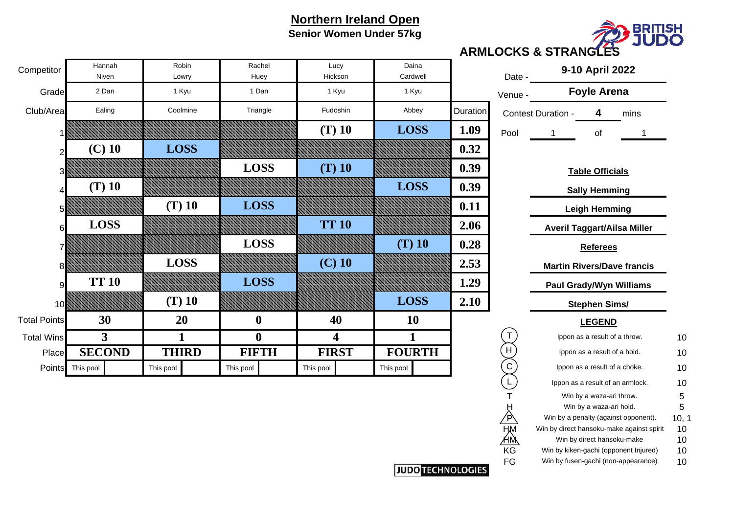## **Northern Ireland Open Senior Women Under 57kg**



| Lucy<br>ickson          | Daina<br>Cardwell         |          | Date -      | 9-10 April 2022                    |                                   |                                                                              |          |  |  |  |
|-------------------------|---------------------------|----------|-------------|------------------------------------|-----------------------------------|------------------------------------------------------------------------------|----------|--|--|--|
| l Kyu                   | 1 Kyu                     |          | Venue -     |                                    | <b>Foyle Arena</b>                |                                                                              |          |  |  |  |
| doshin                  | Abbey                     | Duration |             | <b>Contest Duration -</b>          | 4                                 | mins                                                                         |          |  |  |  |
| $D$ 10                  | <b>LOSS</b>               | 1.09     | Pool        | 1                                  | of                                | 1                                                                            |          |  |  |  |
|                         |                           | 0.32     |             |                                    |                                   |                                                                              |          |  |  |  |
| $D_{10}$                |                           | 0.39     |             |                                    | <b>Table Officials</b>            |                                                                              |          |  |  |  |
|                         | <b>LOSS</b>               | 0.39     |             | <b>Sally Hemming</b>               |                                   |                                                                              |          |  |  |  |
|                         |                           | 0.11     |             | <b>Leigh Hemming</b>               |                                   |                                                                              |          |  |  |  |
| $\Gamma$ 10             |                           | 2.06     |             | <b>Averil Taggart/Ailsa Miller</b> |                                   |                                                                              |          |  |  |  |
|                         | $(T)$ 10                  | 0.28     |             |                                    | <b>Referees</b>                   |                                                                              |          |  |  |  |
| $2)$ 10                 |                           | 2.53     |             |                                    | <b>Martin Rivers/Dave francis</b> |                                                                              |          |  |  |  |
|                         |                           | 1.29     |             |                                    | <b>Paul Grady/Wyn Williams</b>    |                                                                              |          |  |  |  |
|                         | <b>LOSS</b>               | 2.10     |             |                                    | <b>Stephen Sims/</b>              |                                                                              |          |  |  |  |
| 40                      | 10                        |          |             |                                    | <b>LEGEND</b>                     |                                                                              |          |  |  |  |
| $\overline{\mathbf{4}}$ | $\mathbf{1}$              |          |             |                                    | Ippon as a result of a throw.     |                                                                              | 10       |  |  |  |
| <b>RST</b>              | <b>FOURTH</b>             |          | Η           |                                    | Ippon as a result of a hold.      |                                                                              | 10       |  |  |  |
|                         | This pool                 |          | $\mathsf C$ |                                    |                                   | Ippon as a result of a choke.                                                | 10       |  |  |  |
|                         |                           |          |             |                                    |                                   | Ippon as a result of an armlock.                                             | 10       |  |  |  |
|                         |                           |          |             |                                    | Win by a waza-ari throw.          |                                                                              | 5        |  |  |  |
|                         |                           |          |             |                                    | Win by a waza-ari hold.           |                                                                              | 5        |  |  |  |
|                         |                           |          |             |                                    |                                   | Win by a penalty (against opponent).                                         | 10, 1    |  |  |  |
|                         |                           |          | HM          |                                    |                                   | Win by direct hansoku-make against spirit                                    | 10       |  |  |  |
|                         |                           |          | ΗM<br>KG    |                                    | Win by direct hansoku-make        |                                                                              | 10       |  |  |  |
|                         |                           |          | FG          |                                    |                                   | Win by kiken-gachi (opponent Injured)<br>Win by fusen-gachi (non-appearance) | 10<br>10 |  |  |  |
|                         | <b>IIIDO TECHNOLOGIES</b> |          |             |                                    |                                   |                                                                              |          |  |  |  |

| Competitor          | Hannah<br>Niven  | Robin<br>Lowry | Rachel<br>Huey   | Lucy<br>Hickson         | Daina<br>Cardwell |          | Date -       | 9-10 April 2022                 |                                    |    |  |
|---------------------|------------------|----------------|------------------|-------------------------|-------------------|----------|--------------|---------------------------------|------------------------------------|----|--|
| Grade               | 2 Dan            | 1 Kyu          | 1 Dan            | 1 Kyu                   | 1 Kyu             |          | Venue -      |                                 | <b>Foyle Arena</b>                 |    |  |
| Club/Area           | Ealing           | Coolmine       | Triangle         | Fudoshin                | Abbey             | Duration |              | Contest Duration -<br>mins<br>4 |                                    |    |  |
|                     |                  |                |                  | $(T)$ 10                | <b>LOSS</b>       | 1.09     | Pool         |                                 | of                                 |    |  |
|                     | $(C)$ 10         | <b>LOSS</b>    |                  |                         |                   | 0.32     |              |                                 |                                    |    |  |
|                     |                  |                | <b>LOSS</b>      | $(T)$ 10                |                   | 0.39     |              |                                 | <b>Table Officials</b>             |    |  |
|                     | $(T)$ 10         |                |                  |                         | <b>LOSS</b>       | 0.39     |              |                                 | <b>Sally Hemming</b>               |    |  |
|                     |                  | $(T)$ 10       | <b>LOSS</b>      |                         |                   | 0.11     |              |                                 | <b>Leigh Hemming</b>               |    |  |
|                     | <b>LOSS</b>      |                |                  | <b>TT 10</b>            |                   | 2.06     |              |                                 | <b>Averil Taggart/Ailsa Miller</b> |    |  |
|                     |                  |                | <b>LOSS</b>      |                         | $(T)$ 10          | 0.28     |              |                                 | <b>Referees</b>                    |    |  |
|                     |                  | <b>LOSS</b>    |                  | $(C)$ 10                |                   | 2.53     |              |                                 | <b>Martin Rivers/Dave francis</b>  |    |  |
|                     | <b>TT 10</b>     |                | <b>LOSS</b>      |                         |                   | 1.29     |              |                                 | <b>Paul Grady/Wyn Williams</b>     |    |  |
| 10 $\mathbb{N}$     |                  | $(T)$ 10       |                  |                         | <b>LOSS</b>       | 2.10     |              |                                 | <b>Stephen Sims/</b>               |    |  |
| <b>Total Points</b> | 30               | 20             | $\boldsymbol{0}$ | 40                      | 10                |          |              |                                 | <b>LEGEND</b>                      |    |  |
| <b>Total Wins</b>   | $\overline{3}$   |                | $\mathbf{0}$     | $\overline{\mathbf{4}}$ |                   |          |              |                                 | Ippon as a result of a throw.      | 10 |  |
| Place               | <b>SECOND</b>    | <b>THIRD</b>   | <b>FIFTH</b>     | <b>FIRST</b>            | <b>FOURTH</b>     |          | H            |                                 | Ippon as a result of a hold.       | 10 |  |
|                     | Points This pool | This pool      | This pool        | This pool               | This pool         |          | $\mathbf{C}$ |                                 | Ippon as a result of a choke.      | 10 |  |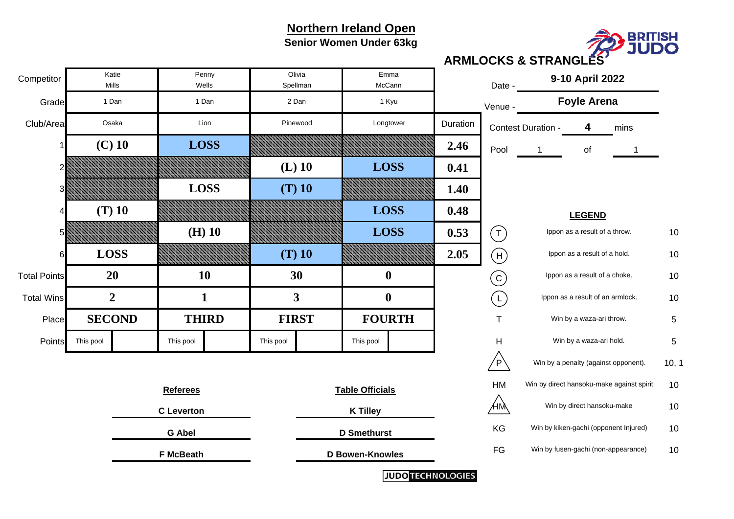#### **Northern Ireland Open Senior Women Under 63kg**



| Competitor          |                   | Katie<br>Mills | Wells            | Penny              | Olivia<br>Emma<br>McCann<br>Spellman |                        | Date -           | 9-10 April 2022 |                         |                                       |                                           |                                      |      |       |
|---------------------|-------------------|----------------|------------------|--------------------|--------------------------------------|------------------------|------------------|-----------------|-------------------------|---------------------------------------|-------------------------------------------|--------------------------------------|------|-------|
| Grade               |                   | 1 Dan          |                  | 1 Dan              | 2 Dan                                |                        | 1 Kyu            |                 |                         | Venue -                               |                                           | <b>Foyle Arena</b>                   |      |       |
| Club/Area           |                   | Osaka          |                  | Lion               |                                      | Pinewood               | Longtower        |                 | Duration                |                                       | Contest Duration -                        | 4                                    | mins |       |
|                     |                   | $(C)$ 10       | <b>LOSS</b>      |                    |                                      |                        |                  |                 | 2.46                    | Pool                                  | -1                                        | of                                   | 1    |       |
|                     |                   |                |                  |                    |                                      | $(L)$ 10               | <b>LOSS</b>      |                 | 0.41                    |                                       |                                           |                                      |      |       |
| 3                   |                   |                | <b>LOSS</b>      |                    |                                      | $(T)$ 10               |                  |                 | 1.40                    |                                       |                                           |                                      |      |       |
| 4                   |                   | $(T)$ 10       |                  |                    |                                      |                        | <b>LOSS</b>      |                 | 0.48                    | <b>LEGEND</b>                         |                                           |                                      |      |       |
|                     | $(H)$ 10          |                |                  |                    |                                      | <b>LOSS</b>            |                  | 0.53            | $(\mathsf{T})$          | Ippon as a result of a throw.         |                                           |                                      | 10   |       |
| 6                   |                   | <b>LOSS</b>    |                  |                    |                                      | $(T)$ 10               |                  |                 | 2.05                    | $(\mathsf{H})$                        | Ippon as a result of a hold.              |                                      |      | 10    |
| <b>Total Points</b> |                   | <b>20</b>      | <b>10</b>        |                    |                                      | 30                     | $\mathbf 0$      |                 |                         | $\left( $                             | Ippon as a result of a choke.             |                                      |      | 10    |
| <b>Total Wins</b>   |                   | $\overline{2}$ | $\mathbf{1}$     |                    | 3                                    |                        | $\boldsymbol{0}$ |                 |                         | $\left(\mathsf{L}\right)$             | Ippon as a result of an armlock.          |                                      |      | 10    |
| Place               |                   | <b>SECOND</b>  |                  | <b>THIRD</b>       |                                      | <b>FIRST</b>           | <b>FOURTH</b>    |                 |                         | Τ                                     |                                           | Win by a waza-ari throw.             |      | 5     |
| Points              | This pool         |                | This pool        |                    | This pool                            |                        | This pool        |                 |                         | Н                                     |                                           | Win by a waza-ari hold.              |      | 5     |
|                     |                   |                |                  |                    |                                      |                        |                  |                 |                         | $\sqrt{P}$                            |                                           | Win by a penalty (against opponent). |      | 10, 1 |
| <b>Referees</b>     |                   |                |                  |                    | <b>Table Officials</b>               |                        |                  |                 |                         | HM                                    | Win by direct hansoku-make against spirit |                                      |      | 10    |
|                     | <b>C</b> Leverton |                |                  |                    | <b>K Tilley</b>                      |                        |                  |                 | ÆM                      |                                       | Win by direct hansoku-make                | 10                                   |      |       |
| <b>G Abel</b>       |                   |                |                  | <b>D</b> Smethurst |                                      |                        |                  |                 | KG                      | Win by kiken-gachi (opponent Injured) |                                           |                                      | 10   |       |
|                     |                   |                | <b>F McBeath</b> |                    |                                      | <b>D Bowen-Knowles</b> |                  |                 |                         | FG                                    | Win by fusen-gachi (non-appearance)       |                                      |      | 10    |
|                     |                   |                |                  |                    |                                      |                        |                  |                 | <b>JUDOTECHNOLOGIES</b> |                                       |                                           |                                      |      |       |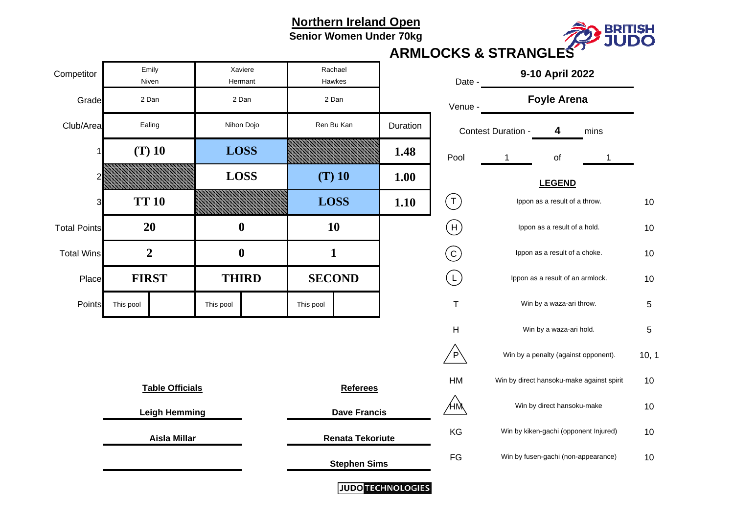**Senior Women Under 70kg**



| Competitor          | Emily<br>Niven         | Xaviere<br>Hermant |                                                | Rachael<br>Hawkes   |                          | 9-10 April 2022<br>Date -                       |                                           |                                      |  |            |  |
|---------------------|------------------------|--------------------|------------------------------------------------|---------------------|--------------------------|-------------------------------------------------|-------------------------------------------|--------------------------------------|--|------------|--|
| Grade               | 2 Dan                  | 2 Dan              |                                                | 2 Dan               |                          | Venue -                                         | <b>Foyle Arena</b>                        |                                      |  |            |  |
| Club/Area           | Ealing                 | Nihon Dojo         |                                                | Ren Bu Kan          | Duration                 | Contest Duration -<br>4                         |                                           | mins                                 |  |            |  |
| 1                   | $(T)$ 10               | <b>LOSS</b>        |                                                |                     | 1.48                     | Pool                                            | $\mathbf{1}$                              | of                                   |  |            |  |
| 2                   |                        | <b>LOSS</b>        | $(T)$ 10<br><b>LOSS</b>                        |                     | 1.00                     |                                                 |                                           |                                      |  |            |  |
| 3                   | <b>TT 10</b>           |                    |                                                |                     | 1.10                     | $(\mathsf{T})$                                  | Ippon as a result of a throw.             |                                      |  |            |  |
| <b>Total Points</b> | 20                     | $\boldsymbol{0}$   | 10                                             |                     |                          | $(\mathsf{H})$                                  | Ippon as a result of a hold.              |                                      |  | 10         |  |
| <b>Total Wins</b>   | $\overline{2}$         | $\boldsymbol{0}$   | $\mathbf{1}$                                   |                     |                          | $(\mathtt{c})$<br>Ippon as a result of a choke. |                                           |                                      |  | 10         |  |
| Place               | <b>FIRST</b>           | <b>THIRD</b>       | <b>SECOND</b>                                  |                     |                          | $\lfloor \perp \rfloor$                         | Ippon as a result of an armlock.          |                                      |  | $10$       |  |
| Points              | This pool              | This pool          | This pool                                      |                     |                          | $\mathsf T$                                     | Win by a waza-ari throw.                  |                                      |  |            |  |
|                     |                        |                    |                                                |                     |                          | H                                               |                                           | Win by a waza-ari hold.              |  | $\sqrt{5}$ |  |
|                     |                        |                    |                                                |                     |                          | P.                                              |                                           | Win by a penalty (against opponent). |  | 10, 1      |  |
|                     | <b>Table Officials</b> |                    | <b>Referees</b>                                |                     |                          | HM                                              | Win by direct hansoku-make against spirit |                                      |  |            |  |
|                     | <b>Leigh Hemming</b>   |                    |                                                | <b>Dave Francis</b> |                          | ⁄нӎ                                             | Win by direct hansoku-make                |                                      |  |            |  |
|                     | <b>Aisla Millar</b>    |                    | <b>Renata Tekoriute</b><br><b>Stephen Sims</b> |                     |                          | KG                                              | Win by kiken-gachi (opponent Injured)     |                                      |  |            |  |
|                     |                        |                    |                                                |                     |                          | FG                                              | Win by fusen-gachi (non-appearance)       |                                      |  |            |  |
|                     |                        |                    |                                                |                     | <b>JUDO TECHNOLOGIES</b> |                                                 |                                           |                                      |  |            |  |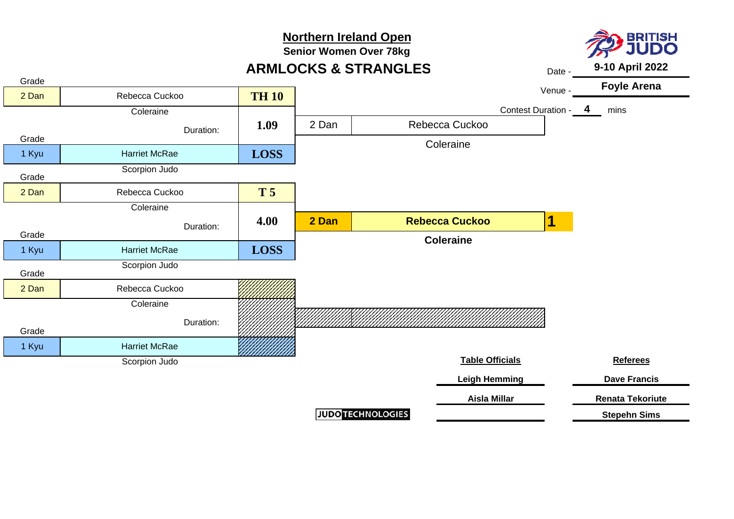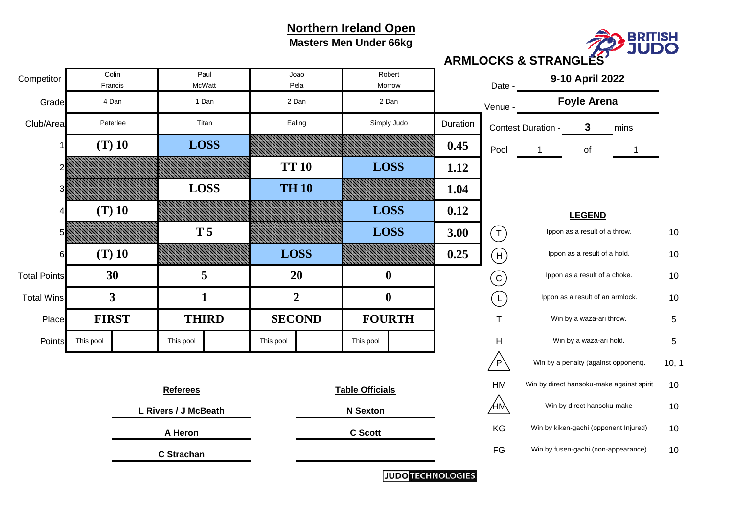**Masters Men Under 66kg**



Gradee communication de la communication de la communication de la communication de la communication de la communication de la communication de la communication de la communication de la communication de la communication de la Club/Areaa Peterlee | Titan | Ealing | Simply Judo Duration Contest Duration - 3 3 mins 1 **0.450.45**  $\begin{bmatrix} 1 & 0 & 0 \\ 0 & 1 & 0 \\ 0 & 0 & 1 \end{bmatrix}$  of  $\overline{1}$ 2 **1.12**3 **1.04**1.04 4 **0.12** $0.12$ 5 **3.00** $\begin{matrix} 0 & | & (\top) & \end{matrix}$  lppon as a result of a throw.  $\begin{matrix} 10 & 10 \\ 10 & 10 \\ \end{matrix}$ 66 (T) 10 *MMMMMMMMM EOSS EMMMMMMMM 0.25*  10 Ippon as a result of a hold. Total Pointss and the control of  $10$  and  $10$  and  $10$  and  $10$  and  $10$  are  $10$  and  $10$  are  $10$  are  $10$ Total WinsSI  $3$  I  $1$  I  $2$  I OI I  $($  I  $)$  Ippon as a result of an armlock.  $\,$  10  $\,$  $10$ Place T 5 Win by a waza-ari throw. PointsS This pool This pool This pool This pool This pool This pool This pool This pool This pool This pool This pool This pool This pool This pool This pool This pool This pool This pool This pool This pool This pool This pool  $\mathsf{P}\setminus\mathsf{I}$  Win by a penalty (against opponent).  $\blacksquare\mathsf{10},\mathsf{10}$ HM Win by direct hansoku-make against spirit 10  $10$  $\mathsf{HM} \hspace{1.5cm} 10$ **n** and the second of the Secott contract the contract of the Secott of the Second C Scott contract and the KG win by kiken-gachi (opponent Injured) and the second of the Second C Scott contract and the Second Music method FG Win by fusen-gachi (non-appearance) 10  $10$ **(T) 10 LOSS T 5 LOSS (T) 10 LOSS LOSS TH 10TT 10 LOSS (T) 10 LOSS C Scott 9-10 April 2022 30**PeterleeFrancisColin Titan Ealing **5**Simply Judo **C Strachan Referees Table Officials A Heron**Date -RobertPela MorrowJoao **20 0** Competitor Paul McWatt**Foyle Arena L Rivers / J McBeath N Sexton LEGEND 1 2 1 0 FIRST** 4 Dan 1 Dan 2 Dan 2 Dan2 Dan **3THIRD SECOND FOURTH** Win by a waza-ari hold. T H C  $(L)$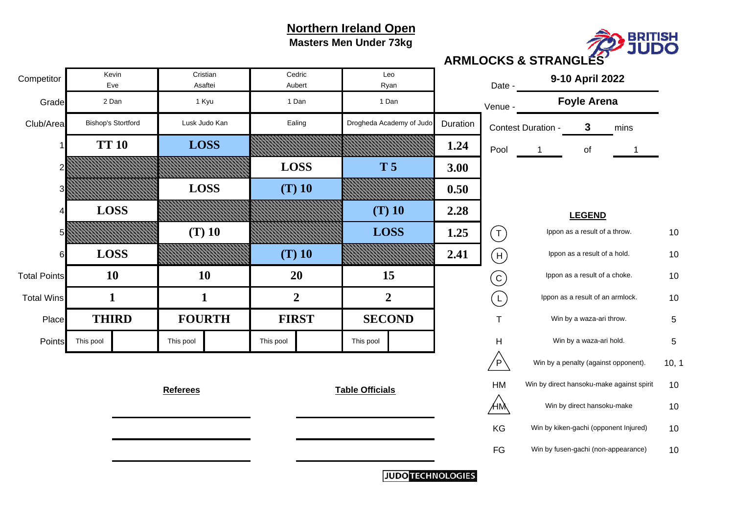**Masters Men Under 73kg**



| Competitor          |                          | Kevin<br>Eve              | Asaftei         | Cristian      |              | Cedric<br>Aubert | Leo<br>Ryan              |             |          | Date -                    | 9-10 April 2022                  |                                           |      |            |
|---------------------|--------------------------|---------------------------|-----------------|---------------|--------------|------------------|--------------------------|-------------|----------|---------------------------|----------------------------------|-------------------------------------------|------|------------|
| Grade               |                          | 2 Dan                     |                 | 1 Kyu         |              | 1 Dan            | 1 Dan                    |             |          | Venue -                   |                                  | <b>Foyle Arena</b>                        |      |            |
| Club/Area           |                          | <b>Bishop's Stortford</b> |                 | Lusk Judo Kan |              | Ealing           | Drogheda Academy of Judo |             | Duration |                           | Contest Duration -               | $\mathbf{3}$                              | mins |            |
|                     |                          | <b>TT 10</b>              |                 | <b>LOSS</b>   |              |                  |                          |             | 1.24     | Pool                      |                                  | of                                        |      |            |
|                     |                          |                           |                 |               | <b>LOSS</b>  |                  | <b>T5</b>                |             | 3.00     |                           |                                  |                                           |      |            |
|                     |                          |                           | <b>LOSS</b>     |               |              | $(T)$ 10         |                          |             | 0.50     |                           |                                  |                                           |      |            |
|                     |                          | <b>LOSS</b>               |                 |               |              |                  | $(T)$ 10                 |             | 2.28     |                           |                                  |                                           |      |            |
|                     |                          |                           |                 | $(T)$ 10      |              |                  |                          | <b>LOSS</b> | 1.25     | $(\tau)$                  | Ippon as a result of a throw.    |                                           |      | 10         |
| 6                   |                          | <b>LOSS</b>               |                 |               | $(T)$ 10     |                  |                          |             | 2.41     | $(\mathsf{H})$            |                                  | Ippon as a result of a hold.              |      | 10         |
| <b>Total Points</b> |                          | <b>10</b>                 | 10              |               |              | 20               |                          | 15          |          | $\left( 6\right)$         | Ippon as a result of a choke.    |                                           |      | 10         |
| <b>Total Wins</b>   |                          | $\mathbf{1}$              | $\mathbf{1}$    |               |              | $\overline{2}$   | $\overline{2}$           |             |          | $\left(\mathsf{L}\right)$ | Ippon as a result of an armlock. |                                           |      | 10         |
| Place               |                          | <b>THIRD</b>              | <b>FOURTH</b>   |               | <b>FIRST</b> |                  | <b>SECOND</b>            |             |          | $\top$                    |                                  | Win by a waza-ari throw.                  |      | $\sqrt{5}$ |
| Points              | This pool                |                           | This pool       |               | This pool    |                  | This pool                |             |          | $\overline{H}$            |                                  | Win by a waza-ari hold.                   |      | 5          |
|                     |                          |                           |                 |               |              |                  |                          |             |          | $\sqrt{P}$                |                                  | Win by a penalty (against opponent).      |      | 10, 1      |
|                     |                          |                           | <b>Referees</b> |               |              |                  | <b>Table Officials</b>   |             |          | HM                        |                                  | Win by direct hansoku-make against spirit |      | 10         |
|                     |                          |                           |                 |               |              |                  |                          |             |          | ÆM                        | Win by direct hansoku-make       |                                           |      | 10         |
|                     |                          |                           |                 |               |              |                  |                          |             |          | KG                        |                                  | Win by kiken-gachi (opponent Injured)     |      | 10         |
|                     |                          |                           |                 |               |              |                  |                          |             |          | FG                        |                                  | Win by fusen-gachi (non-appearance)       |      | 10         |
|                     | <b>JUDO TECHNOLOGIES</b> |                           |                 |               |              |                  |                          |             |          |                           |                                  |                                           |      |            |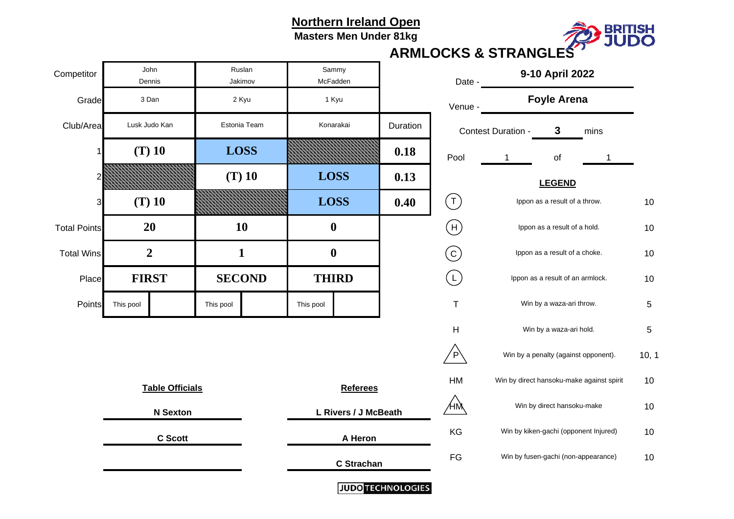**Masters Men Under 81kg**



| Competitor          | John<br>Dennis         |                 | Ruslan<br>Jakimov |             |                      | Sammy<br>McFadden |                          | Date -                                    |                                            | 9-10 April 2022               |                                      |            |
|---------------------|------------------------|-----------------|-------------------|-------------|----------------------|-------------------|--------------------------|-------------------------------------------|--------------------------------------------|-------------------------------|--------------------------------------|------------|
| Grade               | 3 Dan<br>2 Kyu         |                 |                   | 1 Kyu       |                      |                   | Venue -                  |                                           | <b>Foyle Arena</b>                         |                               |                                      |            |
| Club/Area           | Lusk Judo Kan          |                 | Estonia Team      |             |                      | Konarakai         | Duration                 |                                           | Contest Duration -<br>$\mathbf{3}$<br>mins |                               |                                      |            |
|                     | $(T)$ 10               |                 | <b>LOSS</b>       |             |                      |                   | 0.18                     | Pool                                      | $\mathbf{1}$                               | of                            | 1                                    |            |
|                     |                        |                 | $(T)$ 10          |             | <b>LOSS</b>          |                   | 0.13                     | <b>LEGEND</b>                             |                                            |                               |                                      |            |
| 3                   | $(T)$ 10               |                 |                   | <b>LOSS</b> |                      | 0.40              | $(\mathsf{T})$           |                                           | Ippon as a result of a throw.              | 10                            |                                      |            |
| <b>Total Points</b> | 20                     |                 | 10                |             | $\boldsymbol{0}$     |                   |                          | $(\mathsf{H})$                            |                                            | Ippon as a result of a hold.  |                                      |            |
| <b>Total Wins</b>   | $\boldsymbol{2}$       |                 | $\mathbf{1}$      |             | $\boldsymbol{0}$     |                   |                          | $(\mathsf{c})$                            |                                            | Ippon as a result of a choke. |                                      |            |
| Place               | <b>FIRST</b>           |                 | <b>SECOND</b>     |             | <b>THIRD</b>         |                   |                          | $\left(\mathsf{L}\right)$                 |                                            |                               | Ippon as a result of an armlock.     | 10         |
| Points              | This pool              |                 | This pool         |             | This pool            |                   |                          | $\mathsf T$                               |                                            | Win by a waza-ari throw.      |                                      | 5          |
|                     |                        |                 |                   |             |                      |                   |                          | Η                                         |                                            | Win by a waza-ari hold.       |                                      | $\sqrt{5}$ |
|                     |                        |                 |                   |             |                      |                   |                          | $\overline{P}$                            |                                            |                               | Win by a penalty (against opponent). | 10, 1      |
|                     | <b>Table Officials</b> |                 | <b>Referees</b>   |             |                      | HM                |                          | Win by direct hansoku-make against spirit | 10                                         |                               |                                      |            |
|                     |                        | <b>N</b> Sexton |                   |             | L Rivers / J McBeath |                   |                          | ΉŅ                                        |                                            | Win by direct hansoku-make    | $10$                                 |            |
|                     | <b>C</b> Scott         |                 |                   | A Heron     |                      |                   | KG                       | Win by kiken-gachi (opponent Injured)     |                                            |                               |                                      |            |
|                     |                        |                 |                   |             | C Strachan           |                   |                          | FG                                        | Win by fusen-gachi (non-appearance)        | 10                            |                                      |            |
|                     |                        |                 |                   |             |                      |                   | <b>JUDO TECHNOLOGIES</b> |                                           |                                            |                               |                                      |            |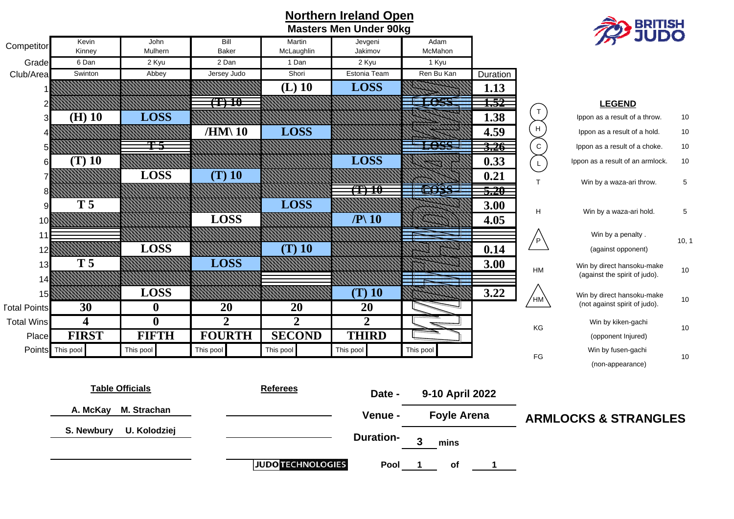

## **Northern Ireland Open Masters Men Under 90kg**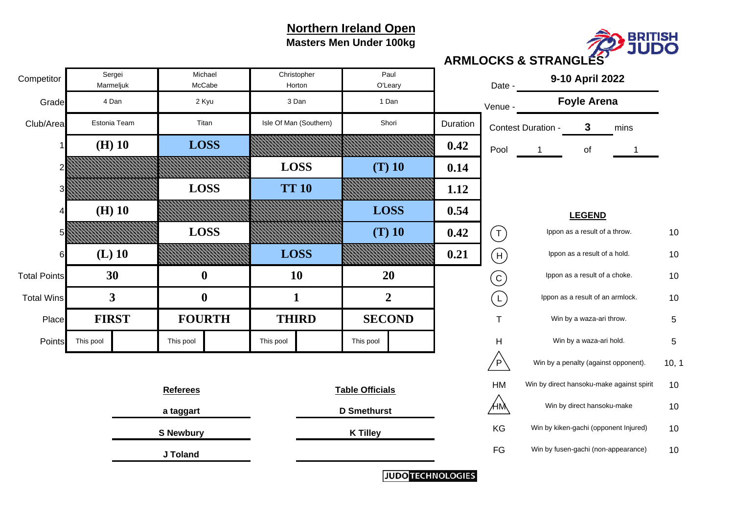## **Northern Ireland Open**

**Masters Men Under 100kg**



Gradee communication de la communication de la communication de la communication de la communication de la communication de la communication de la communication de la communication de la communication de la communication de la Club/Areaa Estonia Team **1988** Titan I Isle Of Man (Southern) Shori **Duration Contest Duration - 3** 3 mins 11 (H) 10 | LOSS NAMANA MANAHANA 0.42 **0.42** Pool 1 of  $\overline{1}$ 2 **0.14**3 **1.12**1.12 4 **0.54**5 **0.42** $2$  |  $($  T  $)$  Ippon as a result of a throw.  $10$ 66 (L) 10 *MMMMMMMM LOSS EMMMMMMMM* 0.21  $1 | (+)$  Ippon as a result of a hold.  $10$ Total Pointss and the second of  $10$  and  $10$  and  $10$  and  $10$  and  $10$  and  $10$  and  $10$  are  $10$  as a result of a choke. In  $10$ Total WinsSI  $3$  I () I  $1$  I  $2$  I (I) Ippon as a result of an armlock.  $\,$  10  $\,$  $10$ Placeel FIRST I FOURTH I THIRD I SECOND I T Win by a waza-ari throw. 5 PointsS This pool This pool This pool This pool This pool This pool This pool This pool This pool This pool This pool This pool This pool This pool This pool This pool This pool This pool This pool This pool This pool This pool  $\mathsf{P}\setminus\mathsf{I}$  Win by a penalty (against opponent).  $\blacksquare\mathsf{10},\mathsf{10}$ HM Win by direct hansoku-make against spirit 10  $10$  $\mathsf{HM} \hspace{1.5cm} 10$ **S Newbury with the set of the SNewbury Control of the KG** Win by kiken-gachi (opponent Injured) and the SNewbury FG Win by fusen-gachi (non-appearance) 10  $10$ **(L) 10 LOSS LOSS (T) 10 (H) 10 LOSS LOSS TT 10LOSS (T) 10 (H) 10 LOSS K Tilley 9-10 April 2022 30**Estonia TeamMarmeljuk Sergei Titan Isle Of Man (Southern) **0**Shori **J Toland Referees Table Officials** Date -PaulHorton O'Leary Christopher **10 20** Competitor Sergei Michael Marmeliuk McCabe **Foyle Arena a taggart D Smethurst LEGEND 0** 1 1 2 **FIRST**4 Dan 2 Kyu 3 Dan 1 Dan **3FOURTH THIRD SECOND** Win by a waza-ari hold. T H C  $(L)$ 

**JUDO TECHNOLOGIES**